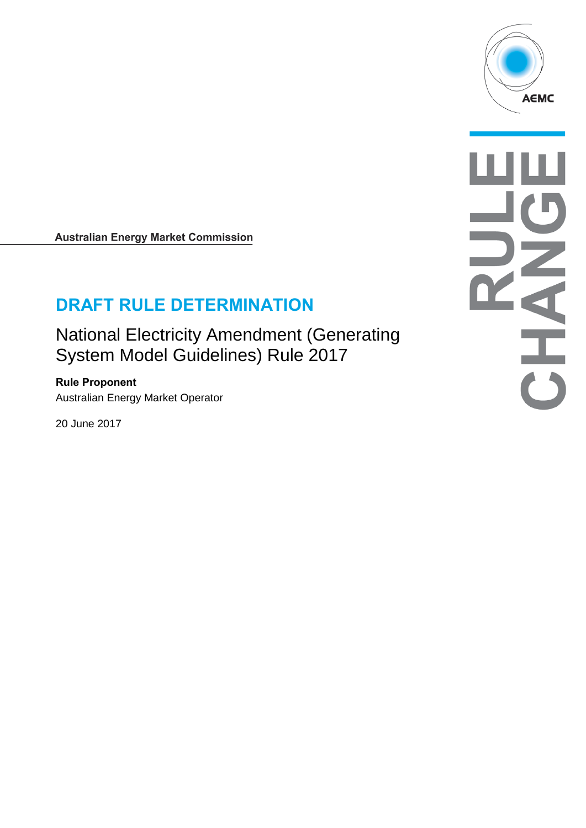

**Australian Energy Market Commission** 

# **DRAFT RULE DETERMINATION**

National Electricity Amendment (Generating System Model Guidelines) Rule 2017

**Rule Proponent** Australian Energy Market Operator

20 June 2017

**AHAHA**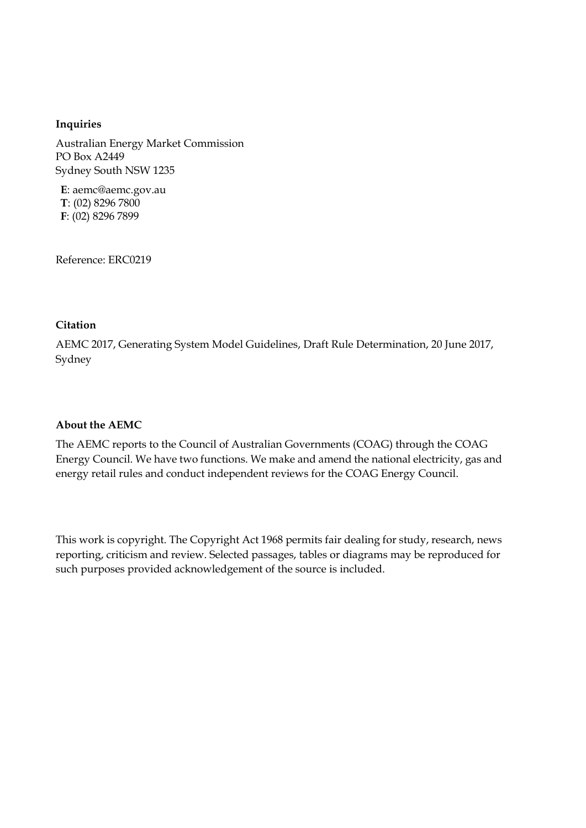#### **Inquiries**

Australian Energy Market Commission PO Box A2449 Sydney South NSW 1235

**E**: aemc@aemc.gov.au **T**: (02) 8296 7800 **F**: (02) 8296 7899

Reference: ERC0219

#### **Citation**

AEMC 2017, Generating System Model Guidelines, Draft Rule Determination, 20 June 2017, Sydney

#### **About the AEMC**

The AEMC reports to the Council of Australian Governments (COAG) through the COAG Energy Council. We have two functions. We make and amend the national electricity, gas and energy retail rules and conduct independent reviews for the COAG Energy Council.

This work is copyright. The Copyright Act 1968 permits fair dealing for study, research, news reporting, criticism and review. Selected passages, tables or diagrams may be reproduced for such purposes provided acknowledgement of the source is included.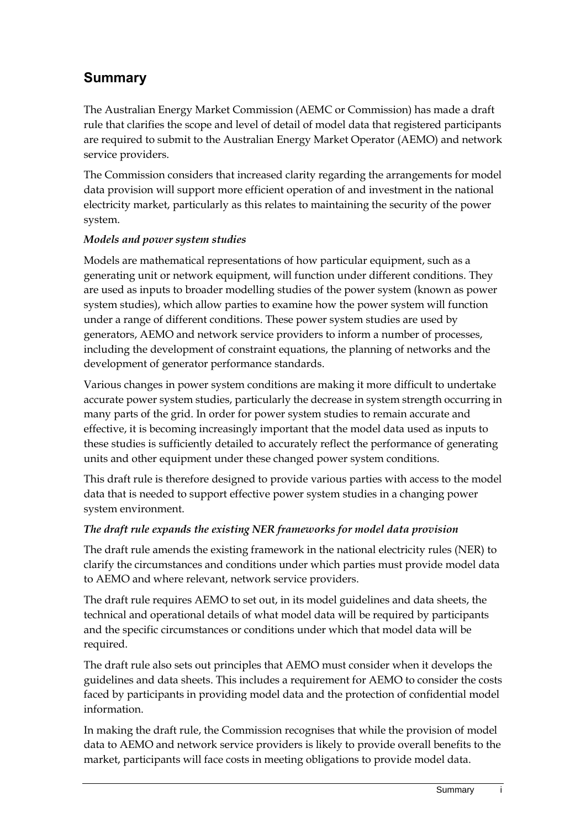# **Summary**

The Australian Energy Market Commission (AEMC or Commission) has made a draft rule that clarifies the scope and level of detail of model data that registered participants are required to submit to the Australian Energy Market Operator (AEMO) and network service providers.

The Commission considers that increased clarity regarding the arrangements for model data provision will support more efficient operation of and investment in the national electricity market, particularly as this relates to maintaining the security of the power system.

#### *Models and power system studies*

Models are mathematical representations of how particular equipment, such as a generating unit or network equipment, will function under different conditions. They are used as inputs to broader modelling studies of the power system (known as power system studies), which allow parties to examine how the power system will function under a range of different conditions. These power system studies are used by generators, AEMO and network service providers to inform a number of processes, including the development of constraint equations, the planning of networks and the development of generator performance standards.

Various changes in power system conditions are making it more difficult to undertake accurate power system studies, particularly the decrease in system strength occurring in many parts of the grid. In order for power system studies to remain accurate and effective, it is becoming increasingly important that the model data used as inputs to these studies is sufficiently detailed to accurately reflect the performance of generating units and other equipment under these changed power system conditions.

This draft rule is therefore designed to provide various parties with access to the model data that is needed to support effective power system studies in a changing power system environment.

#### *The draft rule expands the existing NER frameworks for model data provision*

The draft rule amends the existing framework in the national electricity rules (NER) to clarify the circumstances and conditions under which parties must provide model data to AEMO and where relevant, network service providers.

The draft rule requires AEMO to set out, in its model guidelines and data sheets, the technical and operational details of what model data will be required by participants and the specific circumstances or conditions under which that model data will be required.

The draft rule also sets out principles that AEMO must consider when it develops the guidelines and data sheets. This includes a requirement for AEMO to consider the costs faced by participants in providing model data and the protection of confidential model information.

In making the draft rule, the Commission recognises that while the provision of model data to AEMO and network service providers is likely to provide overall benefits to the market, participants will face costs in meeting obligations to provide model data.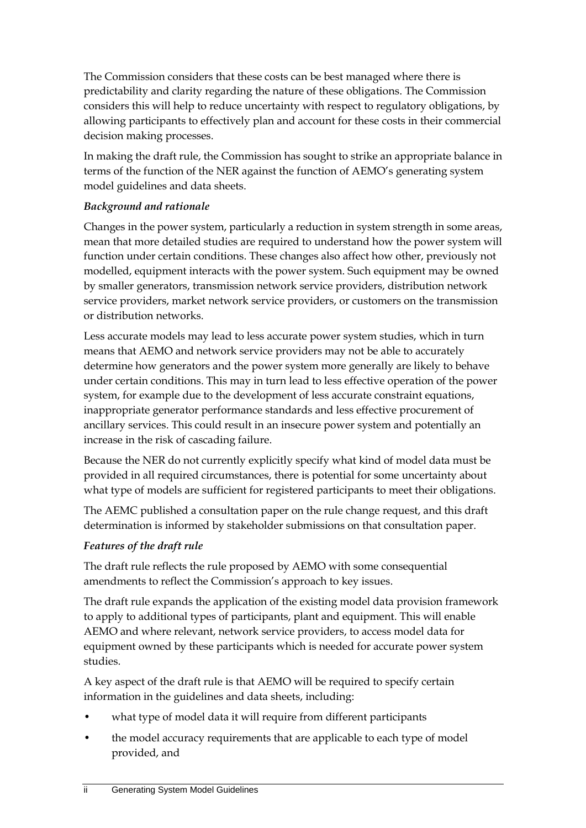The Commission considers that these costs can be best managed where there is predictability and clarity regarding the nature of these obligations. The Commission considers this will help to reduce uncertainty with respect to regulatory obligations, by allowing participants to effectively plan and account for these costs in their commercial decision making processes.

In making the draft rule, the Commission has sought to strike an appropriate balance in terms of the function of the NER against the function of AEMO's generating system model guidelines and data sheets.

#### *Background and rationale*

Changes in the power system, particularly a reduction in system strength in some areas, mean that more detailed studies are required to understand how the power system will function under certain conditions. These changes also affect how other, previously not modelled, equipment interacts with the power system. Such equipment may be owned by smaller generators, transmission network service providers, distribution network service providers, market network service providers, or customers on the transmission or distribution networks.

Less accurate models may lead to less accurate power system studies, which in turn means that AEMO and network service providers may not be able to accurately determine how generators and the power system more generally are likely to behave under certain conditions. This may in turn lead to less effective operation of the power system, for example due to the development of less accurate constraint equations, inappropriate generator performance standards and less effective procurement of ancillary services. This could result in an insecure power system and potentially an increase in the risk of cascading failure.

Because the NER do not currently explicitly specify what kind of model data must be provided in all required circumstances, there is potential for some uncertainty about what type of models are sufficient for registered participants to meet their obligations.

The AEMC published a consultation paper on the rule change request, and this draft determination is informed by stakeholder submissions on that consultation paper.

## *Features of the draft rule*

The draft rule reflects the rule proposed by AEMO with some consequential amendments to reflect the Commission's approach to key issues.

The draft rule expands the application of the existing model data provision framework to apply to additional types of participants, plant and equipment. This will enable AEMO and where relevant, network service providers, to access model data for equipment owned by these participants which is needed for accurate power system studies.

A key aspect of the draft rule is that AEMO will be required to specify certain information in the guidelines and data sheets, including:

- what type of model data it will require from different participants
- the model accuracy requirements that are applicable to each type of model provided, and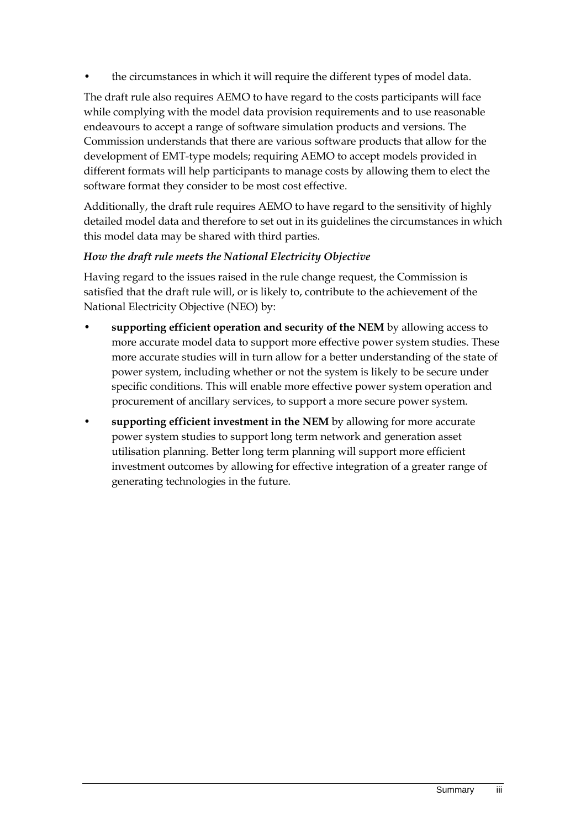• the circumstances in which it will require the different types of model data.

The draft rule also requires AEMO to have regard to the costs participants will face while complying with the model data provision requirements and to use reasonable endeavours to accept a range of software simulation products and versions. The Commission understands that there are various software products that allow for the development of EMT-type models; requiring AEMO to accept models provided in different formats will help participants to manage costs by allowing them to elect the software format they consider to be most cost effective.

Additionally, the draft rule requires AEMO to have regard to the sensitivity of highly detailed model data and therefore to set out in its guidelines the circumstances in which this model data may be shared with third parties.

#### *How the draft rule meets the National Electricity Objective*

Having regard to the issues raised in the rule change request, the Commission is satisfied that the draft rule will, or is likely to, contribute to the achievement of the National Electricity Objective (NEO) by:

- **supporting efficient operation and security of the NEM** by allowing access to more accurate model data to support more effective power system studies. These more accurate studies will in turn allow for a better understanding of the state of power system, including whether or not the system is likely to be secure under specific conditions. This will enable more effective power system operation and procurement of ancillary services, to support a more secure power system.
- **supporting efficient investment in the NEM** by allowing for more accurate power system studies to support long term network and generation asset utilisation planning. Better long term planning will support more efficient investment outcomes by allowing for effective integration of a greater range of generating technologies in the future.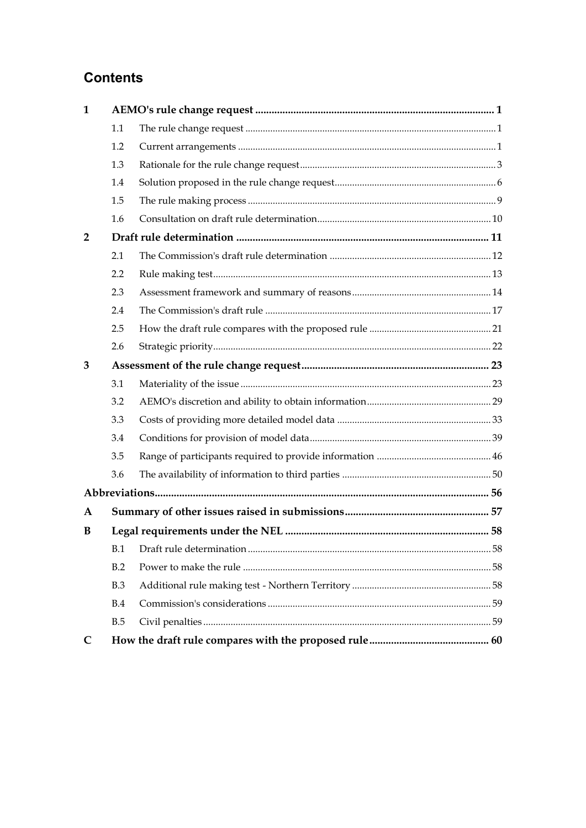# **Contents**

| 1              |     |  |  |  |
|----------------|-----|--|--|--|
|                | 1.1 |  |  |  |
|                | 1.2 |  |  |  |
|                | 1.3 |  |  |  |
|                | 1.4 |  |  |  |
|                | 1.5 |  |  |  |
|                | 1.6 |  |  |  |
| $\overline{2}$ |     |  |  |  |
|                | 2.1 |  |  |  |
|                | 2.2 |  |  |  |
|                | 2.3 |  |  |  |
|                | 2.4 |  |  |  |
|                | 2.5 |  |  |  |
|                | 2.6 |  |  |  |
| 3              |     |  |  |  |
|                | 3.1 |  |  |  |
|                | 3.2 |  |  |  |
|                | 3.3 |  |  |  |
|                | 3.4 |  |  |  |
|                | 3.5 |  |  |  |
|                | 3.6 |  |  |  |
|                |     |  |  |  |
| A              |     |  |  |  |
| B              |     |  |  |  |
|                | B.1 |  |  |  |
|                | B.2 |  |  |  |
|                | B.3 |  |  |  |
|                | B.4 |  |  |  |
|                | B.5 |  |  |  |
| $\mathsf{C}$   |     |  |  |  |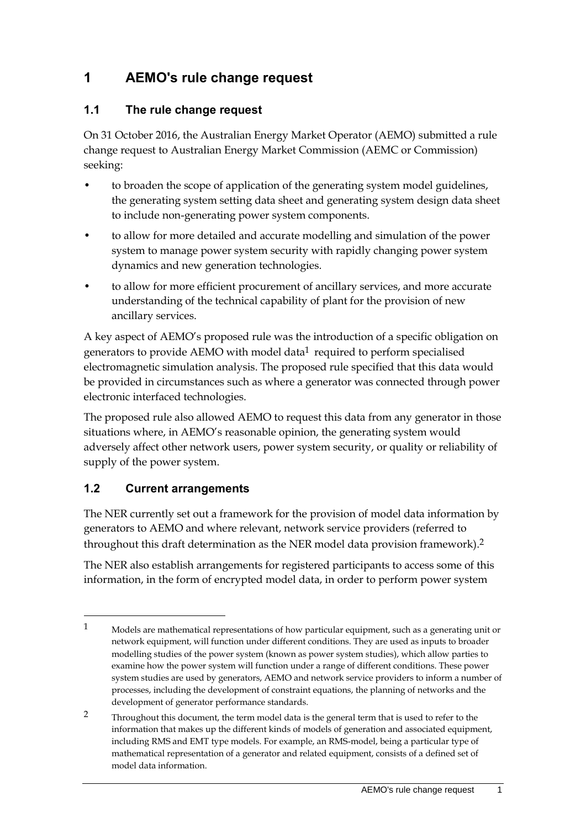# <span id="page-8-0"></span>**1 AEMO's rule change request**

## <span id="page-8-1"></span>**1.1 The rule change request**

On 31 October 2016, the Australian Energy Market Operator (AEMO) submitted a rule change request to Australian Energy Market Commission (AEMC or Commission) seeking:

- to broaden the scope of application of the generating system model guidelines, the generating system setting data sheet and generating system design data sheet to include non-generating power system components.
- to allow for more detailed and accurate modelling and simulation of the power system to manage power system security with rapidly changing power system dynamics and new generation technologies.
- to allow for more efficient procurement of ancillary services, and more accurate understanding of the technical capability of plant for the provision of new ancillary services.

A key aspect of AEMO's proposed rule was the introduction of a specific obligation on generators to provide AEMO with model data<sup>1</sup> required to perform specialised electromagnetic simulation analysis. The proposed rule specified that this data would be provided in circumstances such as where a generator was connected through power electronic interfaced technologies.

The proposed rule also allowed AEMO to request this data from any generator in those situations where, in AEMO's reasonable opinion, the generating system would adversely affect other network users, power system security, or quality or reliability of supply of the power system.

## <span id="page-8-2"></span>**1.2 Current arrangements**

<u>.</u>

The NER currently set out a framework for the provision of model data information by generators to AEMO and where relevant, network service providers (referred to throughout this draft determination as the NER model data provision framework). 2

The NER also establish arrangements for registered participants to access some of this information, in the form of encrypted model data, in order to perform power system

<sup>1</sup> Models are mathematical representations of how particular equipment, such as a generating unit or network equipment, will function under different conditions. They are used as inputs to broader modelling studies of the power system (known as power system studies), which allow parties to examine how the power system will function under a range of different conditions. These power system studies are used by generators, AEMO and network service providers to inform a number of processes, including the development of constraint equations, the planning of networks and the development of generator performance standards.

<sup>2</sup> Throughout this document, the term model data is the general term that is used to refer to the information that makes up the different kinds of models of generation and associated equipment, including RMS and EMT type models. For example, an RMS-model, being a particular type of mathematical representation of a generator and related equipment, consists of a defined set of model data information.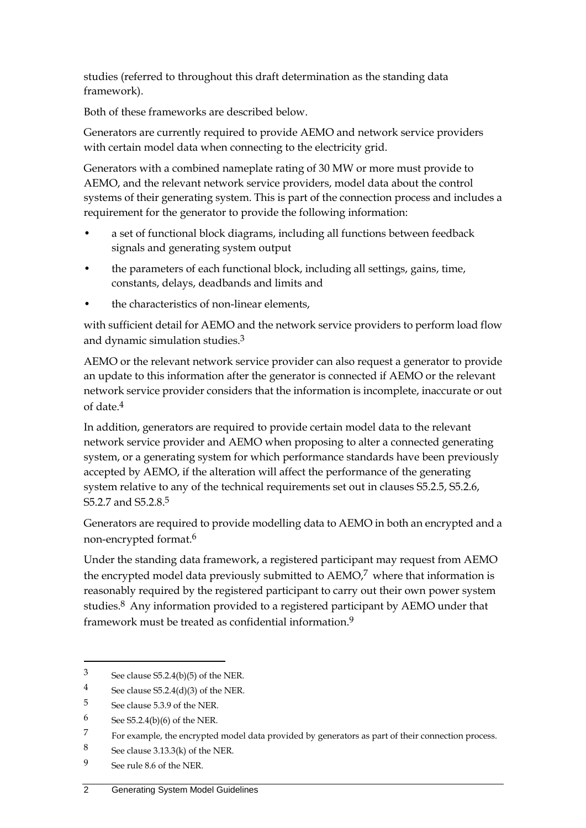studies (referred to throughout this draft determination as the standing data framework).

Both of these frameworks are described below.

Generators are currently required to provide AEMO and network service providers with certain model data when connecting to the electricity grid.

Generators with a combined nameplate rating of 30 MW or more must provide to AEMO, and the relevant network service providers, model data about the control systems of their generating system. This is part of the connection process and includes a requirement for the generator to provide the following information:

- a set of functional block diagrams, including all functions between feedback signals and generating system output
- the parameters of each functional block, including all settings, gains, time, constants, delays, deadbands and limits and
- the characteristics of non-linear elements,

with sufficient detail for AEMO and the network service providers to perform load flow and dynamic simulation studies.3

AEMO or the relevant network service provider can also request a generator to provide an update to this information after the generator is connected if AEMO or the relevant network service provider considers that the information is incomplete, inaccurate or out of date.4

In addition, generators are required to provide certain model data to the relevant network service provider and AEMO when proposing to alter a connected generating system, or a generating system for which performance standards have been previously accepted by AEMO, if the alteration will affect the performance of the generating system relative to any of the technical requirements set out in clauses S5.2.5, S5.2.6, S<sub>5.2.7</sub> and S<sub>5.2.8.5</sub>

Generators are required to provide modelling data to AEMO in both an encrypted and a non-encrypted format.6

Under the standing data framework, a registered participant may request from AEMO the encrypted model data previously submitted to  $AEMO<sub>l</sub><sup>7</sup>$  where that information is reasonably required by the registered participant to carry out their own power system studies.8 Any information provided to a registered participant by AEMO under that framework must be treated as confidential information.9

 $3$  See clause S5.2.4(b)(5) of the NER.

<sup>4</sup> See clause  $S5.2.4(d)(3)$  of the NER.

<sup>5</sup> See clause 5.3.9 of the NER.

 $6$  See S5.2.4(b)(6) of the NER.

<sup>7</sup> For example, the encrypted model data provided by generators as part of their connection process.

<sup>8</sup> See clause 3.13.3(k) of the NER.

<sup>9</sup> See rule 8.6 of the NER.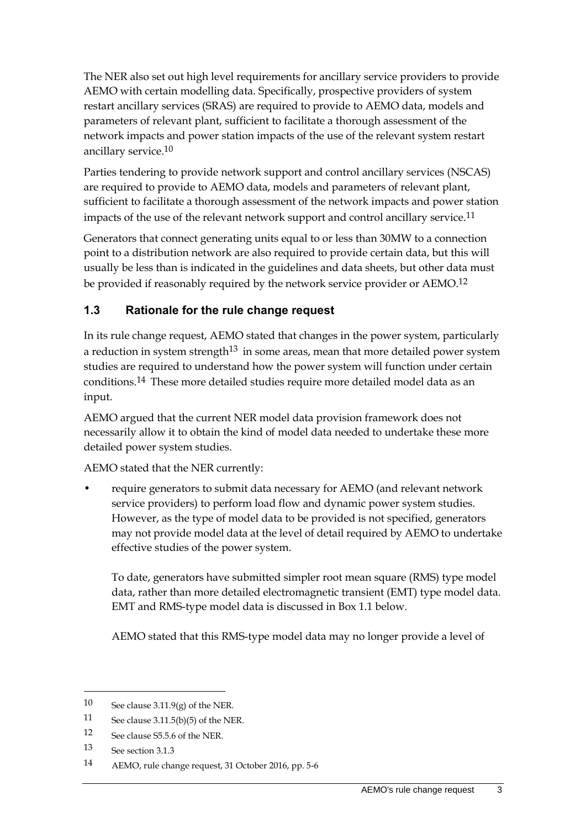The NER also set out high level requirements for ancillary service providers to provide AEMO with certain modelling data. Specifically, prospective providers of system restart ancillary services (SRAS) are required to provide to AEMO data, models and parameters of relevant plant, sufficient to facilitate a thorough assessment of the network impacts and power station impacts of the use of the relevant system restart ancillary service.10

Parties tendering to provide network support and control ancillary services (NSCAS) are required to provide to AEMO data, models and parameters of relevant plant, sufficient to facilitate a thorough assessment of the network impacts and power station impacts of the use of the relevant network support and control ancillary service.<sup>11</sup>

Generators that connect generating units equal to or less than 30MW to a connection point to a distribution network are also required to provide certain data, but this will usually be less than is indicated in the guidelines and data sheets, but other data must be provided if reasonably required by the network service provider or AEMO.12

# <span id="page-10-0"></span>**1.3 Rationale for the rule change request**

In its rule change request, AEMO stated that changes in the power system, particularly a reduction in system strength<sup>13</sup> in some areas, mean that more detailed power system studies are required to understand how the power system will function under certain conditions.14 These more detailed studies require more detailed model data as an input.

AEMO argued that the current NER model data provision framework does not necessarily allow it to obtain the kind of model data needed to undertake these more detailed power system studies.

AEMO stated that the NER currently:

• require generators to submit data necessary for AEMO (and relevant network service providers) to perform load flow and dynamic power system studies. However, as the type of model data to be provided is not specified, generators may not provide model data at the level of detail required by AEMO to undertake effective studies of the power system.

To date, generators have submitted simpler root mean square (RMS) type model data, rather than more detailed electromagnetic transient (EMT) type model data. EMT and RMS-type model data is discussed in Box 1.1 below.

AEMO stated that this RMS-type model data may no longer provide a level of

<sup>10</sup> See clause 3.11.9(g) of the NER.

<sup>11</sup> See clause 3.11.5(b)(5) of the NER.

<sup>12</sup> See clause S5.5.6 of the NER.

<sup>13</sup> See section 3.1.3

<sup>14</sup> AEMO, rule change request, 31 October 2016, pp. 5-6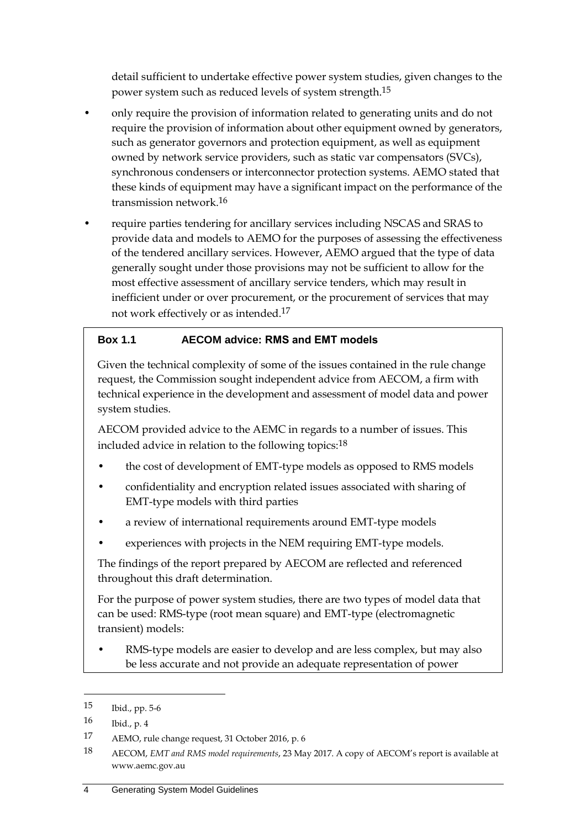detail sufficient to undertake effective power system studies, given changes to the power system such as reduced levels of system strength.15

- only require the provision of information related to generating units and do not require the provision of information about other equipment owned by generators, such as generator governors and protection equipment, as well as equipment owned by network service providers, such as static var compensators (SVCs), synchronous condensers or interconnector protection systems. AEMO stated that these kinds of equipment may have a significant impact on the performance of the transmission network.16
- require parties tendering for ancillary services including NSCAS and SRAS to provide data and models to AEMO for the purposes of assessing the effectiveness of the tendered ancillary services. However, AEMO argued that the type of data generally sought under those provisions may not be sufficient to allow for the most effective assessment of ancillary service tenders, which may result in inefficient under or over procurement, or the procurement of services that may not work effectively or as intended.17

## **Box 1.1 AECOM advice: RMS and EMT models**

Given the technical complexity of some of the issues contained in the rule change request, the Commission sought independent advice from AECOM, a firm with technical experience in the development and assessment of model data and power system studies.

AECOM provided advice to the AEMC in regards to a number of issues. This included advice in relation to the following topics:<sup>18</sup>

- the cost of development of EMT-type models as opposed to RMS models
- confidentiality and encryption related issues associated with sharing of EMT-type models with third parties
- a review of international requirements around EMT-type models
- experiences with projects in the NEM requiring EMT-type models.

The findings of the report prepared by AECOM are reflected and referenced throughout this draft determination.

For the purpose of power system studies, there are two types of model data that can be used: RMS-type (root mean square) and EMT-type (electromagnetic transient) models:

RMS-type models are easier to develop and are less complex, but may also be less accurate and not provide an adequate representation of power

<sup>15</sup> Ibid., pp. 5-6

<sup>16</sup> Ibid., p. 4

<sup>17</sup> AEMO, rule change request, 31 October 2016, p. 6

<sup>18</sup> AECOM, *EMT and RMS model requirements*, 23 May 2017. A copy of AECOM's report is available at www.aemc.gov.au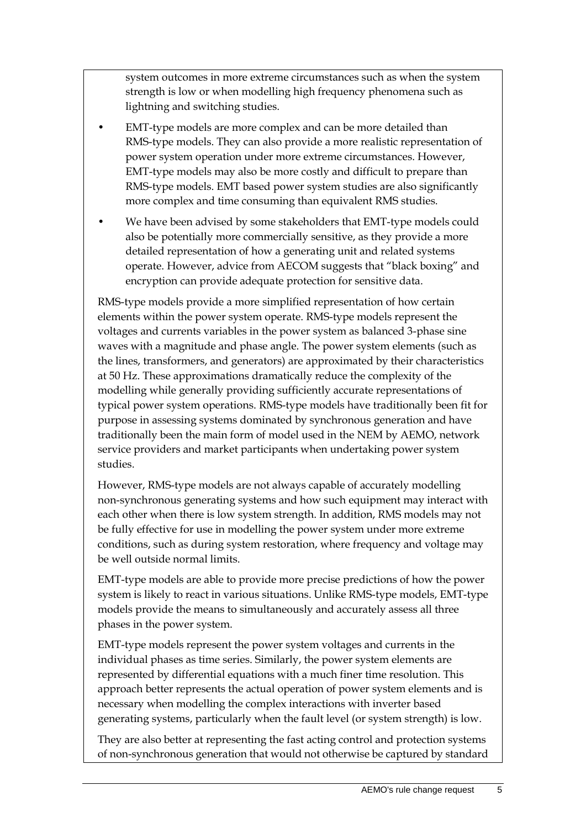system outcomes in more extreme circumstances such as when the system strength is low or when modelling high frequency phenomena such as lightning and switching studies.

- EMT-type models are more complex and can be more detailed than RMS-type models. They can also provide a more realistic representation of power system operation under more extreme circumstances. However, EMT-type models may also be more costly and difficult to prepare than RMS-type models. EMT based power system studies are also significantly more complex and time consuming than equivalent RMS studies.
- We have been advised by some stakeholders that EMT-type models could also be potentially more commercially sensitive, as they provide a more detailed representation of how a generating unit and related systems operate. However, advice from AECOM suggests that "black boxing" and encryption can provide adequate protection for sensitive data.

RMS-type models provide a more simplified representation of how certain elements within the power system operate. RMS-type models represent the voltages and currents variables in the power system as balanced 3-phase sine waves with a magnitude and phase angle. The power system elements (such as the lines, transformers, and generators) are approximated by their characteristics at 50 Hz. These approximations dramatically reduce the complexity of the modelling while generally providing sufficiently accurate representations of typical power system operations. RMS-type models have traditionally been fit for purpose in assessing systems dominated by synchronous generation and have traditionally been the main form of model used in the NEM by AEMO, network service providers and market participants when undertaking power system studies.

However, RMS-type models are not always capable of accurately modelling non-synchronous generating systems and how such equipment may interact with each other when there is low system strength. In addition, RMS models may not be fully effective for use in modelling the power system under more extreme conditions, such as during system restoration, where frequency and voltage may be well outside normal limits.

EMT-type models are able to provide more precise predictions of how the power system is likely to react in various situations. Unlike RMS-type models, EMT-type models provide the means to simultaneously and accurately assess all three phases in the power system.

EMT-type models represent the power system voltages and currents in the individual phases as time series. Similarly, the power system elements are represented by differential equations with a much finer time resolution. This approach better represents the actual operation of power system elements and is necessary when modelling the complex interactions with inverter based generating systems, particularly when the fault level (or system strength) is low.

They are also better at representing the fast acting control and protection systems of non-synchronous generation that would not otherwise be captured by standard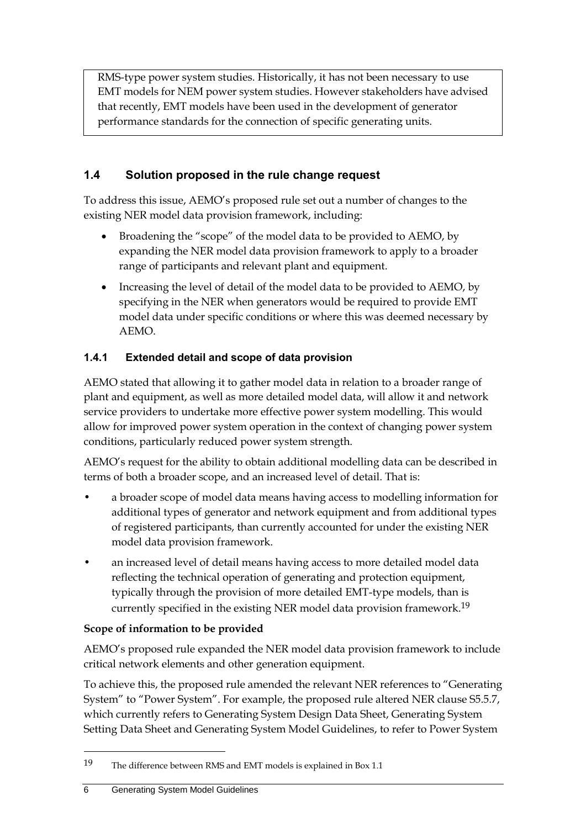RMS-type power system studies. Historically, it has not been necessary to use EMT models for NEM power system studies. However stakeholders have advised that recently, EMT models have been used in the development of generator performance standards for the connection of specific generating units.

# <span id="page-13-0"></span>**1.4 Solution proposed in the rule change request**

To address this issue, AEMO's proposed rule set out a number of changes to the existing NER model data provision framework, including:

- Broadening the "scope" of the model data to be provided to AEMO, by expanding the NER model data provision framework to apply to a broader range of participants and relevant plant and equipment.
- Increasing the level of detail of the model data to be provided to AEMO, by specifying in the NER when generators would be required to provide EMT model data under specific conditions or where this was deemed necessary by AEMO.

# **1.4.1 Extended detail and scope of data provision**

AEMO stated that allowing it to gather model data in relation to a broader range of plant and equipment, as well as more detailed model data, will allow it and network service providers to undertake more effective power system modelling. This would allow for improved power system operation in the context of changing power system conditions, particularly reduced power system strength.

AEMO's request for the ability to obtain additional modelling data can be described in terms of both a broader scope, and an increased level of detail. That is:

- a broader scope of model data means having access to modelling information for additional types of generator and network equipment and from additional types of registered participants, than currently accounted for under the existing NER model data provision framework.
- an increased level of detail means having access to more detailed model data reflecting the technical operation of generating and protection equipment, typically through the provision of more detailed EMT-type models, than is currently specified in the existing NER model data provision framework. 19

## **Scope of information to be provided**

AEMO's proposed rule expanded the NER model data provision framework to include critical network elements and other generation equipment.

To achieve this, the proposed rule amended the relevant NER references to "Generating System" to "Power System". For example, the proposed rule altered NER clause S5.5.7, which currently refers to Generating System Design Data Sheet, Generating System Setting Data Sheet and Generating System Model Guidelines, to refer to Power System

1

<sup>19</sup> The difference between RMS and EMT models is explained in Box 1.1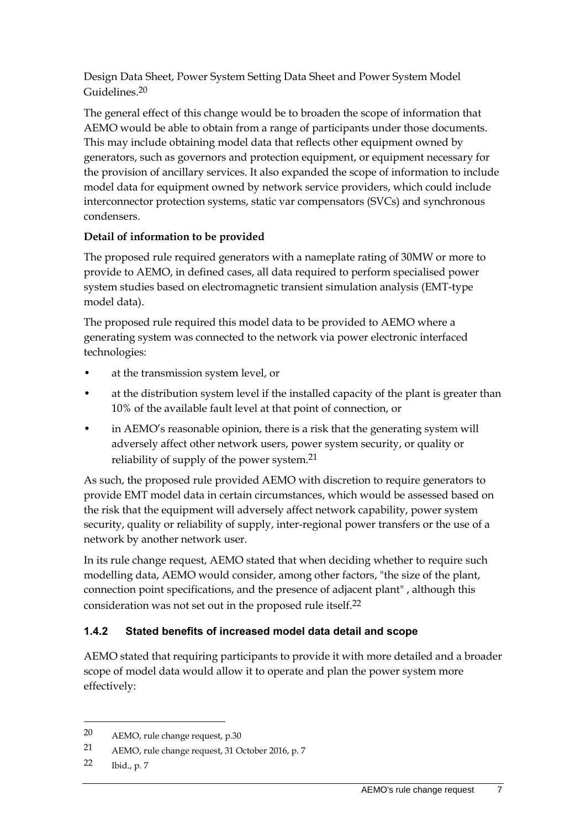Design Data Sheet, Power System Setting Data Sheet and Power System Model Guidelines. 20

The general effect of this change would be to broaden the scope of information that AEMO would be able to obtain from a range of participants under those documents. This may include obtaining model data that reflects other equipment owned by generators, such as governors and protection equipment, or equipment necessary for the provision of ancillary services. It also expanded the scope of information to include model data for equipment owned by network service providers, which could include interconnector protection systems, static var compensators (SVCs) and synchronous condensers.

#### **Detail of information to be provided**

The proposed rule required generators with a nameplate rating of 30MW or more to provide to AEMO, in defined cases, all data required to perform specialised power system studies based on electromagnetic transient simulation analysis (EMT-type model data).

The proposed rule required this model data to be provided to AEMO where a generating system was connected to the network via power electronic interfaced technologies:

- at the transmission system level, or
- at the distribution system level if the installed capacity of the plant is greater than 10% of the available fault level at that point of connection, or
- in AEMO's reasonable opinion, there is a risk that the generating system will adversely affect other network users, power system security, or quality or reliability of supply of the power system.21

As such, the proposed rule provided AEMO with discretion to require generators to provide EMT model data in certain circumstances, which would be assessed based on the risk that the equipment will adversely affect network capability, power system security, quality or reliability of supply, inter-regional power transfers or the use of a network by another network user.

In its rule change request, AEMO stated that when deciding whether to require such modelling data, AEMO would consider, among other factors, "the size of the plant, connection point specifications, and the presence of adjacent plant" , although this consideration was not set out in the proposed rule itself.22

## **1.4.2 Stated benefits of increased model data detail and scope**

AEMO stated that requiring participants to provide it with more detailed and a broader scope of model data would allow it to operate and plan the power system more effectively:

<sup>20</sup> AEMO, rule change request, p.30

<sup>21</sup> AEMO, rule change request, 31 October 2016, p. 7

<sup>22</sup> Ibid., p. 7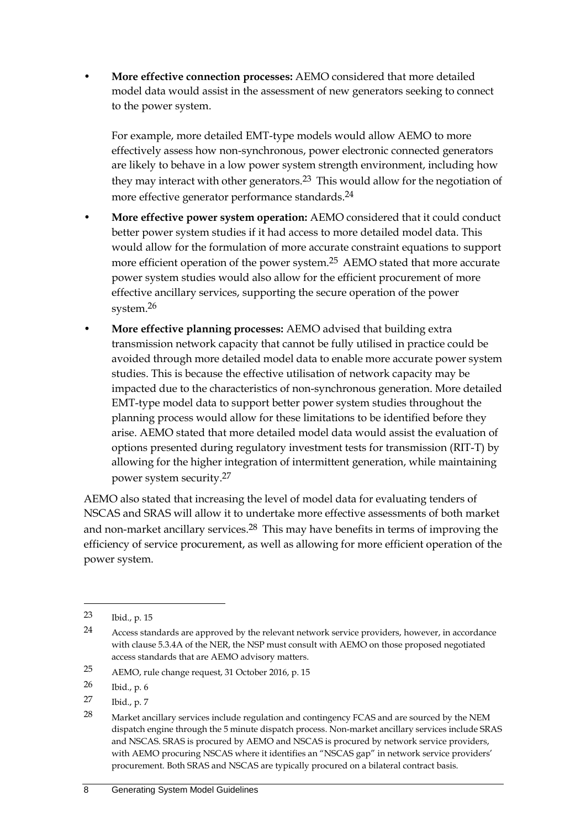• **More effective connection processes:** AEMO considered that more detailed model data would assist in the assessment of new generators seeking to connect to the power system.

For example, more detailed EMT-type models would allow AEMO to more effectively assess how non-synchronous, power electronic connected generators are likely to behave in a low power system strength environment, including how they may interact with other generators.23 This would allow for the negotiation of more effective generator performance standards. 24

- **More effective power system operation:** AEMO considered that it could conduct better power system studies if it had access to more detailed model data. This would allow for the formulation of more accurate constraint equations to support more efficient operation of the power system.<sup>25</sup> AEMO stated that more accurate power system studies would also allow for the efficient procurement of more effective ancillary services, supporting the secure operation of the power system.26
- **More effective planning processes:** AEMO advised that building extra transmission network capacity that cannot be fully utilised in practice could be avoided through more detailed model data to enable more accurate power system studies. This is because the effective utilisation of network capacity may be impacted due to the characteristics of non-synchronous generation. More detailed EMT-type model data to support better power system studies throughout the planning process would allow for these limitations to be identified before they arise. AEMO stated that more detailed model data would assist the evaluation of options presented during regulatory investment tests for transmission (RIT-T) by allowing for the higher integration of intermittent generation, while maintaining power system security.27

AEMO also stated that increasing the level of model data for evaluating tenders of NSCAS and SRAS will allow it to undertake more effective assessments of both market and non-market ancillary services.<sup>28</sup> This may have benefits in terms of improving the efficiency of service procurement, as well as allowing for more efficient operation of the power system.

-

<sup>23</sup> Ibid., p. 15

<sup>24</sup> Access standards are approved by the relevant network service providers, however, in accordance with clause 5.3.4A of the NER, the NSP must consult with AEMO on those proposed negotiated access standards that are AEMO advisory matters.

<sup>25</sup> AEMO, rule change request, 31 October 2016, p. 15

<sup>26</sup> Ibid., p. 6

<sup>27</sup> Ibid., p. 7

<sup>28</sup> Market ancillary services include regulation and contingency FCAS and are sourced by the NEM dispatch engine through the 5 minute dispatch process. Non-market ancillary services include SRAS and NSCAS. SRAS is procured by AEMO and NSCAS is procured by network service providers, with AEMO procuring NSCAS where it identifies an "NSCAS gap" in network service providers' procurement. Both SRAS and NSCAS are typically procured on a bilateral contract basis.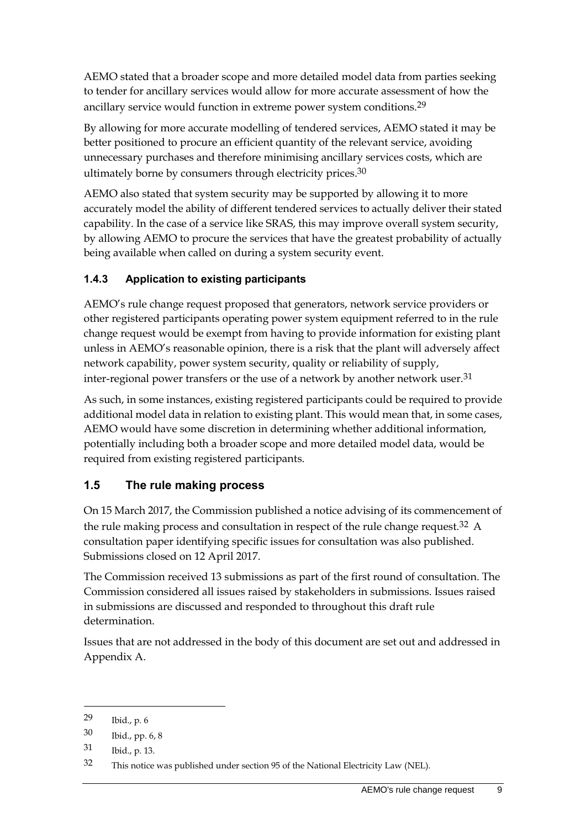AEMO stated that a broader scope and more detailed model data from parties seeking to tender for ancillary services would allow for more accurate assessment of how the ancillary service would function in extreme power system conditions.<sup>29</sup>

By allowing for more accurate modelling of tendered services, AEMO stated it may be better positioned to procure an efficient quantity of the relevant service, avoiding unnecessary purchases and therefore minimising ancillary services costs, which are ultimately borne by consumers through electricity prices. $30$ 

AEMO also stated that system security may be supported by allowing it to more accurately model the ability of different tendered services to actually deliver their stated capability. In the case of a service like SRAS, this may improve overall system security, by allowing AEMO to procure the services that have the greatest probability of actually being available when called on during a system security event.

## **1.4.3 Application to existing participants**

AEMO's rule change request proposed that generators, network service providers or other registered participants operating power system equipment referred to in the rule change request would be exempt from having to provide information for existing plant unless in AEMO's reasonable opinion, there is a risk that the plant will adversely affect network capability, power system security, quality or reliability of supply, inter-regional power transfers or the use of a network by another network user.<sup>31</sup>

As such, in some instances, existing registered participants could be required to provide additional model data in relation to existing plant. This would mean that, in some cases, AEMO would have some discretion in determining whether additional information, potentially including both a broader scope and more detailed model data, would be required from existing registered participants.

## <span id="page-16-0"></span>**1.5 The rule making process**

On 15 March 2017, the Commission published a notice advising of its commencement of the rule making process and consultation in respect of the rule change request.<sup>32</sup> A consultation paper identifying specific issues for consultation was also published. Submissions closed on 12 April 2017.

The Commission received 13 submissions as part of the first round of consultation. The Commission considered all issues raised by stakeholders in submissions. Issues raised in submissions are discussed and responded to throughout this draft rule determination.

Issues that are not addressed in the body of this document are set out and addressed in Appendix A.

<sup>29</sup> Ibid., p. 6

<sup>30</sup> Ibid., pp. 6, 8

<sup>31</sup> Ibid., p. 13.

<sup>32</sup> This notice was published under section 95 of the National Electricity Law (NEL).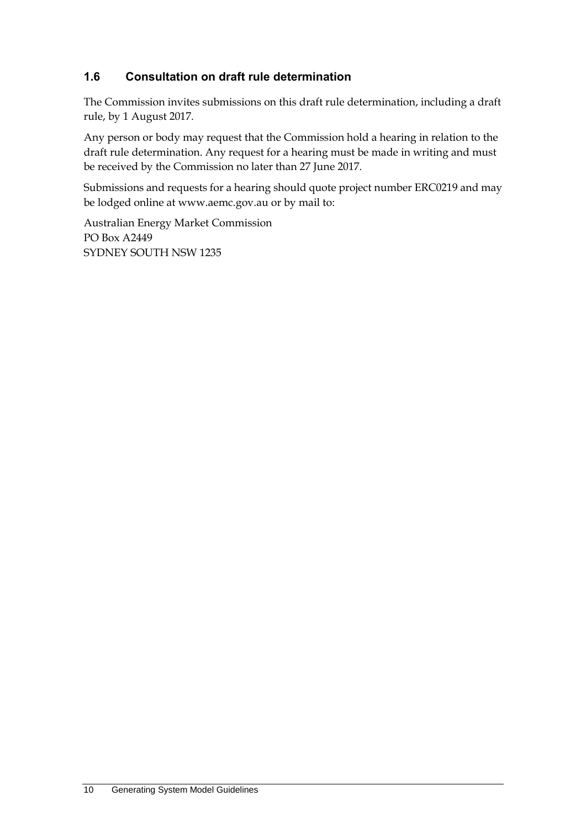# <span id="page-17-0"></span>**1.6 Consultation on draft rule determination**

The Commission invites submissions on this draft rule determination, including a draft rule, by 1 August 2017.

Any person or body may request that the Commission hold a hearing in relation to the draft rule determination. Any request for a hearing must be made in writing and must be received by the Commission no later than 27 June 2017.

Submissions and requests for a hearing should quote project number ERC0219 and may be lodged online at www.aemc.gov.au or by mail to:

Australian Energy Market Commission PO Box A2449 SYDNEY SOUTH NSW 1235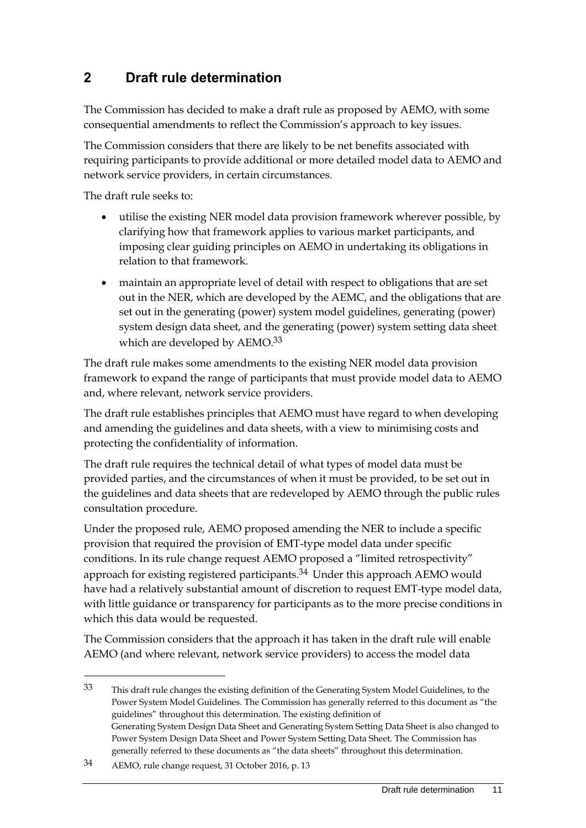# <span id="page-18-0"></span>**2 Draft rule determination**

The Commission has decided to make a draft rule as proposed by AEMO, with some consequential amendments to reflect the Commission's approach to key issues.

The Commission considers that there are likely to be net benefits associated with requiring participants to provide additional or more detailed model data to AEMO and network service providers, in certain circumstances.

The draft rule seeks to:

- utilise the existing NER model data provision framework wherever possible, by clarifying how that framework applies to various market participants, and imposing clear guiding principles on AEMO in undertaking its obligations in relation to that framework.
- maintain an appropriate level of detail with respect to obligations that are set out in the NER, which are developed by the AEMC, and the obligations that are set out in the generating (power) system model guidelines, generating (power) system design data sheet, and the generating (power) system setting data sheet which are developed by AEMO.<sup>33</sup>

The draft rule makes some amendments to the existing NER model data provision framework to expand the range of participants that must provide model data to AEMO and, where relevant, network service providers.

The draft rule establishes principles that AEMO must have regard to when developing and amending the guidelines and data sheets, with a view to minimising costs and protecting the confidentiality of information.

The draft rule requires the technical detail of what types of model data must be provided parties, and the circumstances of when it must be provided, to be set out in the guidelines and data sheets that are redeveloped by AEMO through the public rules consultation procedure.

Under the proposed rule, AEMO proposed amending the NER to include a specific provision that required the provision of EMT-type model data under specific conditions. In its rule change request AEMO proposed a "limited retrospectivity" approach for existing registered participants.<sup>34</sup> Under this approach AEMO would have had a relatively substantial amount of discretion to request EMT-type model data, with little guidance or transparency for participants as to the more precise conditions in which this data would be requested.

The Commission considers that the approach it has taken in the draft rule will enable AEMO (and where relevant, network service providers) to access the model data

<sup>33</sup> This draft rule changes the existing definition of the Generating System Model Guidelines, to the Power System Model Guidelines. The Commission has generally referred to this document as "the guidelines" throughout this determination. The existing definition of Generating System Design Data Sheet and Generating System Setting Data Sheet is also changed to Power System Design Data Sheet and Power System Setting Data Sheet. The Commission has generally referred to these documents as "the data sheets" throughout this determination.

<sup>34</sup> AEMO, rule change request, 31 October 2016, p. 13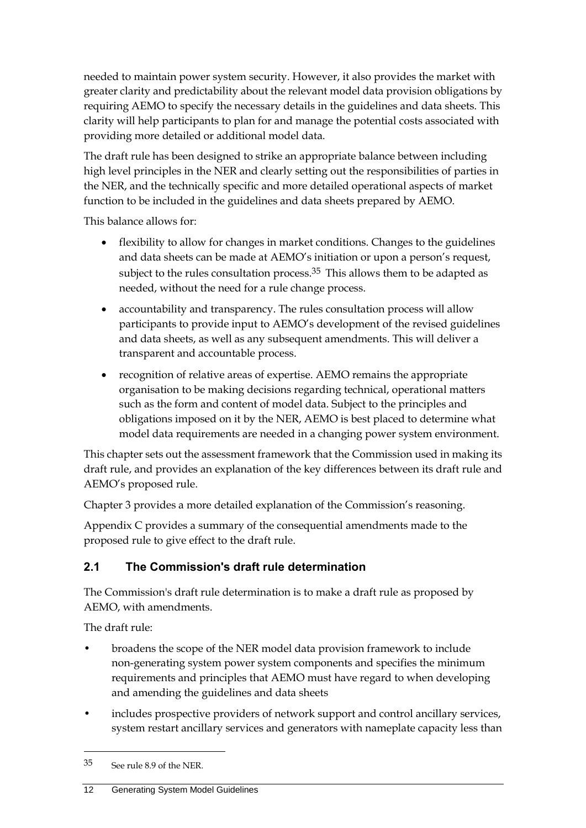needed to maintain power system security. However, it also provides the market with greater clarity and predictability about the relevant model data provision obligations by requiring AEMO to specify the necessary details in the guidelines and data sheets. This clarity will help participants to plan for and manage the potential costs associated with providing more detailed or additional model data.

The draft rule has been designed to strike an appropriate balance between including high level principles in the NER and clearly setting out the responsibilities of parties in the NER, and the technically specific and more detailed operational aspects of market function to be included in the guidelines and data sheets prepared by AEMO.

This balance allows for:

- flexibility to allow for changes in market conditions. Changes to the guidelines and data sheets can be made at AEMO's initiation or upon a person's request, subject to the rules consultation process.<sup>35</sup> This allows them to be adapted as needed, without the need for a rule change process.
- accountability and transparency. The rules consultation process will allow participants to provide input to AEMO's development of the revised guidelines and data sheets, as well as any subsequent amendments. This will deliver a transparent and accountable process.
- recognition of relative areas of expertise. AEMO remains the appropriate organisation to be making decisions regarding technical, operational matters such as the form and content of model data. Subject to the principles and obligations imposed on it by the NER, AEMO is best placed to determine what model data requirements are needed in a changing power system environment.

This chapter sets out the assessment framework that the Commission used in making its draft rule, and provides an explanation of the key differences between its draft rule and AEMO's proposed rule.

Chapter 3 provides a more detailed explanation of the Commission's reasoning.

Appendix C provides a summary of the consequential amendments made to the proposed rule to give effect to the draft rule.

# <span id="page-19-0"></span>**2.1 The Commission's draft rule determination**

The Commission's draft rule determination is to make a draft rule as proposed by AEMO, with amendments.

The draft rule:

1

- broadens the scope of the NER model data provision framework to include non-generating system power system components and specifies the minimum requirements and principles that AEMO must have regard to when developing and amending the guidelines and data sheets
- includes prospective providers of network support and control ancillary services, system restart ancillary services and generators with nameplate capacity less than

<sup>35</sup> See rule 8.9 of the NER.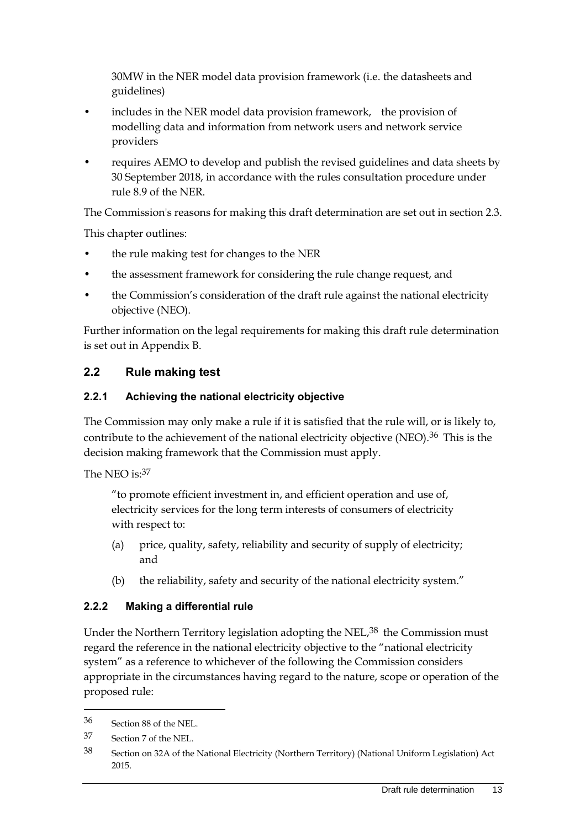30MW in the NER model data provision framework (i.e. the datasheets and guidelines)

- includes in the NER model data provision framework, the provision of modelling data and information from network users and network service providers
- requires AEMO to develop and publish the revised guidelines and data sheets by 30 September 2018, in accordance with the rules consultation procedure under rule 8.9 of the NER.

The Commission's reasons for making this draft determination are set out in section 2.3.

This chapter outlines:

- the rule making test for changes to the NER
- the assessment framework for considering the rule change request, and
- the Commission's consideration of the draft rule against the national electricity objective (NEO).

Further information on the legal requirements for making this draft rule determination is set out in Appendix B.

# <span id="page-20-0"></span>**2.2 Rule making test**

#### **2.2.1 Achieving the national electricity objective**

The Commission may only make a rule if it is satisfied that the rule will, or is likely to, contribute to the achievement of the national electricity objective (NEO).<sup>36</sup> This is the decision making framework that the Commission must apply.

The NEO is: 37

"to promote efficient investment in, and efficient operation and use of, electricity services for the long term interests of consumers of electricity with respect to:

- (a) price, quality, safety, reliability and security of supply of electricity; and
- (b) the reliability, safety and security of the national electricity system."

## **2.2.2 Making a differential rule**

Under the Northern Territory legislation adopting the NEL,<sup>38</sup> the Commission must regard the reference in the national electricity objective to the "national electricity system" as a reference to whichever of the following the Commission considers appropriate in the circumstances having regard to the nature, scope or operation of the proposed rule:

<sup>36</sup> Section 88 of the NEL.

<sup>37</sup> Section 7 of the NEL.

<sup>38</sup> Section on 32A of the National Electricity (Northern Territory) (National Uniform Legislation) Act 2015.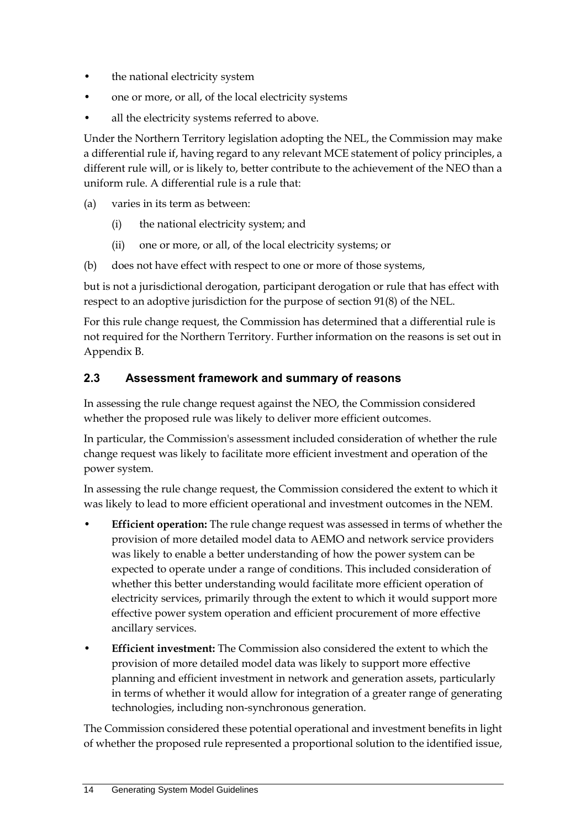- the national electricity system
- one or more, or all, of the local electricity systems
- all the electricity systems referred to above.

Under the Northern Territory legislation adopting the NEL, the Commission may make a differential rule if, having regard to any relevant MCE statement of policy principles, a different rule will, or is likely to, better contribute to the achievement of the NEO than a uniform rule. A differential rule is a rule that:

- (a) varies in its term as between:
	- (i) the national electricity system; and
	- (ii) one or more, or all, of the local electricity systems; or
- (b) does not have effect with respect to one or more of those systems,

but is not a jurisdictional derogation, participant derogation or rule that has effect with respect to an adoptive jurisdiction for the purpose of section 91(8) of the NEL.

For this rule change request, the Commission has determined that a differential rule is not required for the Northern Territory. Further information on the reasons is set out in Appendix B.

#### <span id="page-21-0"></span>**2.3 Assessment framework and summary of reasons**

In assessing the rule change request against the NEO, the Commission considered whether the proposed rule was likely to deliver more efficient outcomes.

In particular, the Commission's assessment included consideration of whether the rule change request was likely to facilitate more efficient investment and operation of the power system.

In assessing the rule change request, the Commission considered the extent to which it was likely to lead to more efficient operational and investment outcomes in the NEM.

- **Efficient operation:** The rule change request was assessed in terms of whether the provision of more detailed model data to AEMO and network service providers was likely to enable a better understanding of how the power system can be expected to operate under a range of conditions. This included consideration of whether this better understanding would facilitate more efficient operation of electricity services, primarily through the extent to which it would support more effective power system operation and efficient procurement of more effective ancillary services.
- **Efficient investment:** The Commission also considered the extent to which the provision of more detailed model data was likely to support more effective planning and efficient investment in network and generation assets, particularly in terms of whether it would allow for integration of a greater range of generating technologies, including non-synchronous generation.

The Commission considered these potential operational and investment benefits in light of whether the proposed rule represented a proportional solution to the identified issue,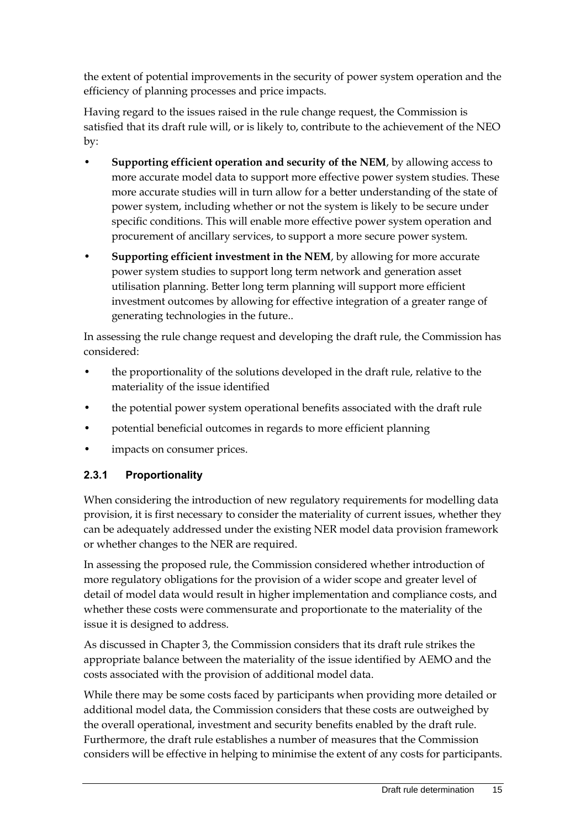the extent of potential improvements in the security of power system operation and the efficiency of planning processes and price impacts.

Having regard to the issues raised in the rule change request, the Commission is satisfied that its draft rule will, or is likely to, contribute to the achievement of the NEO by:

- **Supporting efficient operation and security of the NEM**, by allowing access to more accurate model data to support more effective power system studies. These more accurate studies will in turn allow for a better understanding of the state of power system, including whether or not the system is likely to be secure under specific conditions. This will enable more effective power system operation and procurement of ancillary services, to support a more secure power system.
- **Supporting efficient investment in the NEM**, by allowing for more accurate power system studies to support long term network and generation asset utilisation planning. Better long term planning will support more efficient investment outcomes by allowing for effective integration of a greater range of generating technologies in the future..

In assessing the rule change request and developing the draft rule, the Commission has considered:

- the proportionality of the solutions developed in the draft rule, relative to the materiality of the issue identified
- the potential power system operational benefits associated with the draft rule
- potential beneficial outcomes in regards to more efficient planning
- impacts on consumer prices.

#### **2.3.1 Proportionality**

When considering the introduction of new regulatory requirements for modelling data provision, it is first necessary to consider the materiality of current issues, whether they can be adequately addressed under the existing NER model data provision framework or whether changes to the NER are required.

In assessing the proposed rule, the Commission considered whether introduction of more regulatory obligations for the provision of a wider scope and greater level of detail of model data would result in higher implementation and compliance costs, and whether these costs were commensurate and proportionate to the materiality of the issue it is designed to address.

As discussed in Chapter 3, the Commission considers that its draft rule strikes the appropriate balance between the materiality of the issue identified by AEMO and the costs associated with the provision of additional model data.

While there may be some costs faced by participants when providing more detailed or additional model data, the Commission considers that these costs are outweighed by the overall operational, investment and security benefits enabled by the draft rule. Furthermore, the draft rule establishes a number of measures that the Commission considers will be effective in helping to minimise the extent of any costs for participants.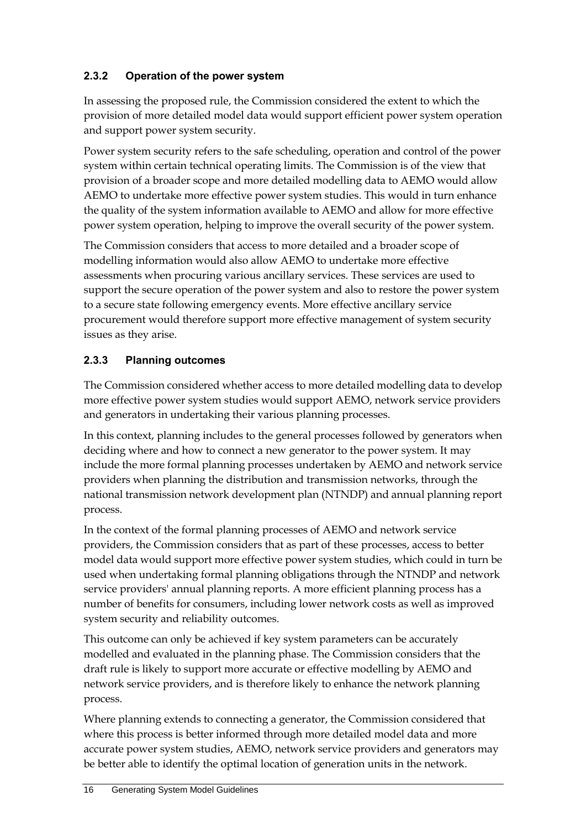# **2.3.2 Operation of the power system**

In assessing the proposed rule, the Commission considered the extent to which the provision of more detailed model data would support efficient power system operation and support power system security.

Power system security refers to the safe scheduling, operation and control of the power system within certain technical operating limits. The Commission is of the view that provision of a broader scope and more detailed modelling data to AEMO would allow AEMO to undertake more effective power system studies. This would in turn enhance the quality of the system information available to AEMO and allow for more effective power system operation, helping to improve the overall security of the power system.

The Commission considers that access to more detailed and a broader scope of modelling information would also allow AEMO to undertake more effective assessments when procuring various ancillary services. These services are used to support the secure operation of the power system and also to restore the power system to a secure state following emergency events. More effective ancillary service procurement would therefore support more effective management of system security issues as they arise.

# **2.3.3 Planning outcomes**

The Commission considered whether access to more detailed modelling data to develop more effective power system studies would support AEMO, network service providers and generators in undertaking their various planning processes.

In this context, planning includes to the general processes followed by generators when deciding where and how to connect a new generator to the power system. It may include the more formal planning processes undertaken by AEMO and network service providers when planning the distribution and transmission networks, through the national transmission network development plan (NTNDP) and annual planning report process.

In the context of the formal planning processes of AEMO and network service providers, the Commission considers that as part of these processes, access to better model data would support more effective power system studies, which could in turn be used when undertaking formal planning obligations through the NTNDP and network service providers' annual planning reports. A more efficient planning process has a number of benefits for consumers, including lower network costs as well as improved system security and reliability outcomes.

This outcome can only be achieved if key system parameters can be accurately modelled and evaluated in the planning phase. The Commission considers that the draft rule is likely to support more accurate or effective modelling by AEMO and network service providers, and is therefore likely to enhance the network planning process.

Where planning extends to connecting a generator, the Commission considered that where this process is better informed through more detailed model data and more accurate power system studies, AEMO, network service providers and generators may be better able to identify the optimal location of generation units in the network.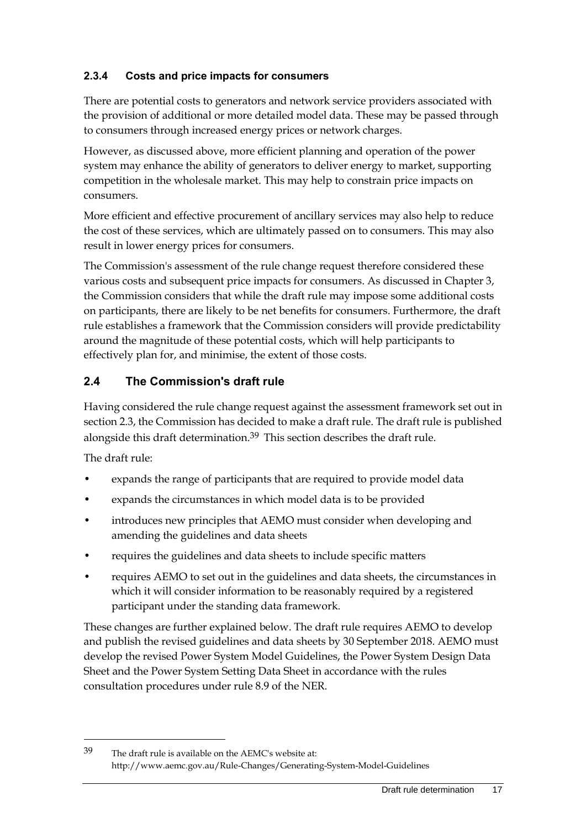## **2.3.4 Costs and price impacts for consumers**

There are potential costs to generators and network service providers associated with the provision of additional or more detailed model data. These may be passed through to consumers through increased energy prices or network charges.

However, as discussed above, more efficient planning and operation of the power system may enhance the ability of generators to deliver energy to market, supporting competition in the wholesale market. This may help to constrain price impacts on consumers.

More efficient and effective procurement of ancillary services may also help to reduce the cost of these services, which are ultimately passed on to consumers. This may also result in lower energy prices for consumers.

The Commission's assessment of the rule change request therefore considered these various costs and subsequent price impacts for consumers. As discussed in Chapter 3, the Commission considers that while the draft rule may impose some additional costs on participants, there are likely to be net benefits for consumers. Furthermore, the draft rule establishes a framework that the Commission considers will provide predictability around the magnitude of these potential costs, which will help participants to effectively plan for, and minimise, the extent of those costs.

# <span id="page-24-0"></span>**2.4 The Commission's draft rule**

Having considered the rule change request against the assessment framework set out in section 2.3, the Commission has decided to make a draft rule. The draft rule is published alongside this draft determination.39 This section describes the draft rule.

The draft rule:

1

- expands the range of participants that are required to provide model data
- expands the circumstances in which model data is to be provided
- introduces new principles that AEMO must consider when developing and amending the guidelines and data sheets
- requires the guidelines and data sheets to include specific matters
- requires AEMO to set out in the guidelines and data sheets, the circumstances in which it will consider information to be reasonably required by a registered participant under the standing data framework.

These changes are further explained below. The draft rule requires AEMO to develop and publish the revised guidelines and data sheets by 30 September 2018. AEMO must develop the revised Power System Model Guidelines, the Power System Design Data Sheet and the Power System Setting Data Sheet in accordance with the rules consultation procedures under rule 8.9 of the NER.

39 The draft rule is available on the AEMC's website at: http://www.aemc.gov.au/Rule-Changes/Generating-System-Model-Guidelines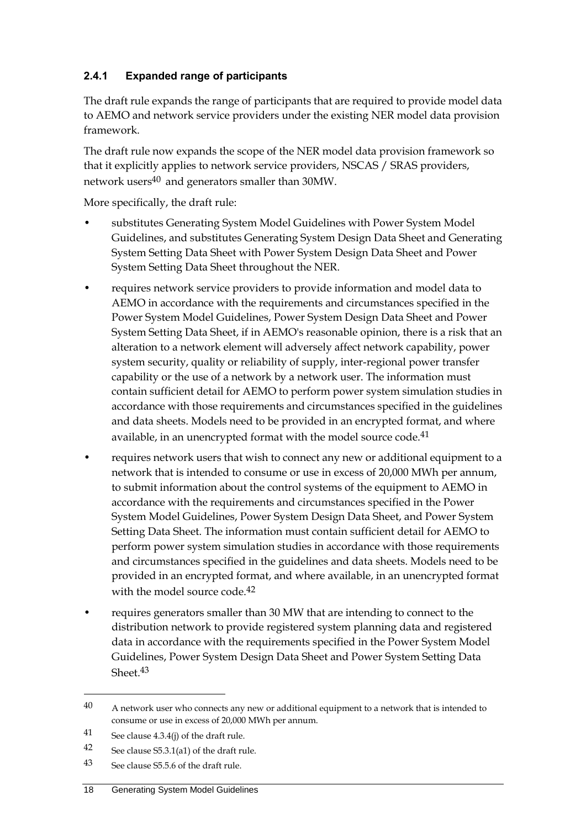## **2.4.1 Expanded range of participants**

The draft rule expands the range of participants that are required to provide model data to AEMO and network service providers under the existing NER model data provision framework.

The draft rule now expands the scope of the NER model data provision framework so that it explicitly applies to network service providers, NSCAS / SRAS providers, network users40 and generators smaller than 30MW.

More specifically, the draft rule:

- substitutes Generating System Model Guidelines with Power System Model Guidelines, and substitutes Generating System Design Data Sheet and Generating System Setting Data Sheet with Power System Design Data Sheet and Power System Setting Data Sheet throughout the NER.
- requires network service providers to provide information and model data to AEMO in accordance with the requirements and circumstances specified in the Power System Model Guidelines, Power System Design Data Sheet and Power System Setting Data Sheet, if in AEMO's reasonable opinion, there is a risk that an alteration to a network element will adversely affect network capability, power system security, quality or reliability of supply, inter-regional power transfer capability or the use of a network by a network user. The information must contain sufficient detail for AEMO to perform power system simulation studies in accordance with those requirements and circumstances specified in the guidelines and data sheets. Models need to be provided in an encrypted format, and where available, in an unencrypted format with the model source code.<sup>41</sup>
- requires network users that wish to connect any new or additional equipment to a network that is intended to consume or use in excess of 20,000 MWh per annum, to submit information about the control systems of the equipment to AEMO in accordance with the requirements and circumstances specified in the Power System Model Guidelines, Power System Design Data Sheet, and Power System Setting Data Sheet. The information must contain sufficient detail for AEMO to perform power system simulation studies in accordance with those requirements and circumstances specified in the guidelines and data sheets. Models need to be provided in an encrypted format, and where available, in an unencrypted format with the model source code.<sup>42</sup>
- requires generators smaller than 30 MW that are intending to connect to the distribution network to provide registered system planning data and registered data in accordance with the requirements specified in the Power System Model Guidelines, Power System Design Data Sheet and Power System Setting Data Sheet.<sup>43</sup>

 $40$  A network user who connects any new or additional equipment to a network that is intended to consume or use in excess of 20,000 MWh per annum.

<sup>41</sup> See clause 4.3.4(j) of the draft rule.

<sup>42</sup> See clause S5.3.1(a1) of the draft rule.

<sup>43</sup> See clause S5.5.6 of the draft rule.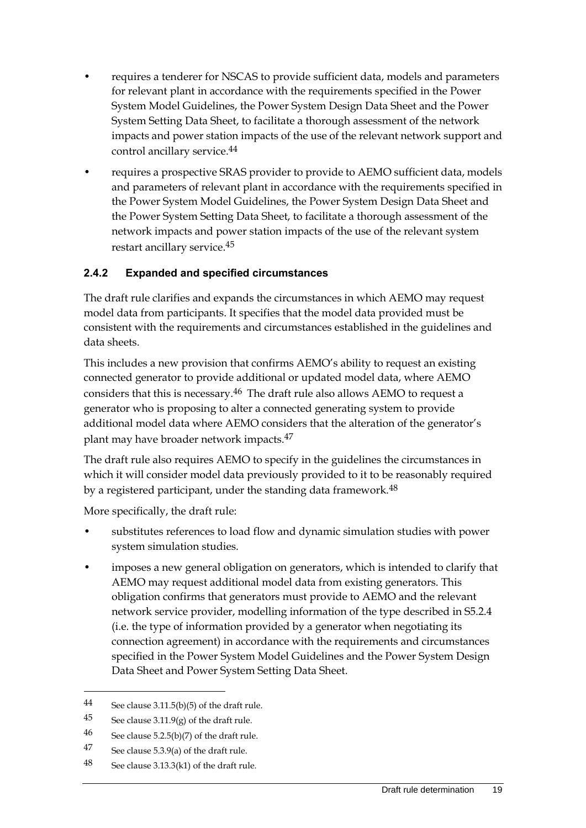- requires a tenderer for NSCAS to provide sufficient data, models and parameters for relevant plant in accordance with the requirements specified in the Power System Model Guidelines, the Power System Design Data Sheet and the Power System Setting Data Sheet, to facilitate a thorough assessment of the network impacts and power station impacts of the use of the relevant network support and control ancillary service. 44
- requires a prospective SRAS provider to provide to AEMO sufficient data, models and parameters of relevant plant in accordance with the requirements specified in the Power System Model Guidelines, the Power System Design Data Sheet and the Power System Setting Data Sheet, to facilitate a thorough assessment of the network impacts and power station impacts of the use of the relevant system restart ancillary service.45

## **2.4.2 Expanded and specified circumstances**

The draft rule clarifies and expands the circumstances in which AEMO may request model data from participants. It specifies that the model data provided must be consistent with the requirements and circumstances established in the guidelines and data sheets.

This includes a new provision that confirms AEMO's ability to request an existing connected generator to provide additional or updated model data, where AEMO considers that this is necessary.46 The draft rule also allows AEMO to request a generator who is proposing to alter a connected generating system to provide additional model data where AEMO considers that the alteration of the generator's plant may have broader network impacts.47

The draft rule also requires AEMO to specify in the guidelines the circumstances in which it will consider model data previously provided to it to be reasonably required by a registered participant, under the standing data framework.48

More specifically, the draft rule:

- substitutes references to load flow and dynamic simulation studies with power system simulation studies.
- imposes a new general obligation on generators, which is intended to clarify that AEMO may request additional model data from existing generators. This obligation confirms that generators must provide to AEMO and the relevant network service provider, modelling information of the type described in S5.2.4 (i.e. the type of information provided by a generator when negotiating its connection agreement) in accordance with the requirements and circumstances specified in the Power System Model Guidelines and the Power System Design Data Sheet and Power System Setting Data Sheet.

<sup>44</sup> See clause 3.11.5(b)(5) of the draft rule.

<sup>45</sup> See clause  $3.11.9(g)$  of the draft rule.

<sup>46</sup> See clause  $5.2.5(b)(7)$  of the draft rule.

<sup>47</sup> See clause 5.3.9(a) of the draft rule.

<sup>48</sup> See clause 3.13.3(k1) of the draft rule.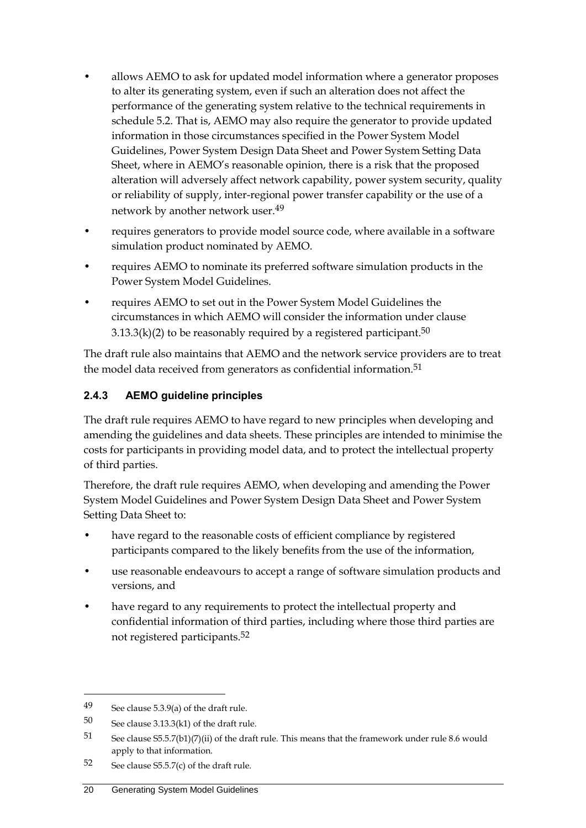- allows AEMO to ask for updated model information where a generator proposes to alter its generating system, even if such an alteration does not affect the performance of the generating system relative to the technical requirements in schedule 5.2. That is, AEMO may also require the generator to provide updated information in those circumstances specified in the Power System Model Guidelines, Power System Design Data Sheet and Power System Setting Data Sheet, where in AEMO's reasonable opinion, there is a risk that the proposed alteration will adversely affect network capability, power system security, quality or reliability of supply, inter-regional power transfer capability or the use of a network by another network user. 49
- requires generators to provide model source code, where available in a software simulation product nominated by AEMO.
- requires AEMO to nominate its preferred software simulation products in the Power System Model Guidelines.
- requires AEMO to set out in the Power System Model Guidelines the circumstances in which AEMO will consider the information under clause 3.13.3(k)(2) to be reasonably required by a registered participant. $^{\rm 50}$

The draft rule also maintains that AEMO and the network service providers are to treat the model data received from generators as confidential information.<sup>51</sup>

#### **2.4.3 AEMO guideline principles**

The draft rule requires AEMO to have regard to new principles when developing and amending the guidelines and data sheets. These principles are intended to minimise the costs for participants in providing model data, and to protect the intellectual property of third parties.

Therefore, the draft rule requires AEMO, when developing and amending the Power System Model Guidelines and Power System Design Data Sheet and Power System Setting Data Sheet to:

- have regard to the reasonable costs of efficient compliance by registered participants compared to the likely benefits from the use of the information,
- use reasonable endeavours to accept a range of software simulation products and versions, and
- have regard to any requirements to protect the intellectual property and confidential information of third parties, including where those third parties are not registered participants.52

<sup>49</sup> See clause 5.3.9(a) of the draft rule.

<sup>50</sup> See clause 3.13.3(k1) of the draft rule.

<sup>51</sup> See clause S5.5.7(b1)(7)(ii) of the draft rule. This means that the framework under rule 8.6 would apply to that information.

<sup>52</sup> See clause  $55.5.7(c)$  of the draft rule.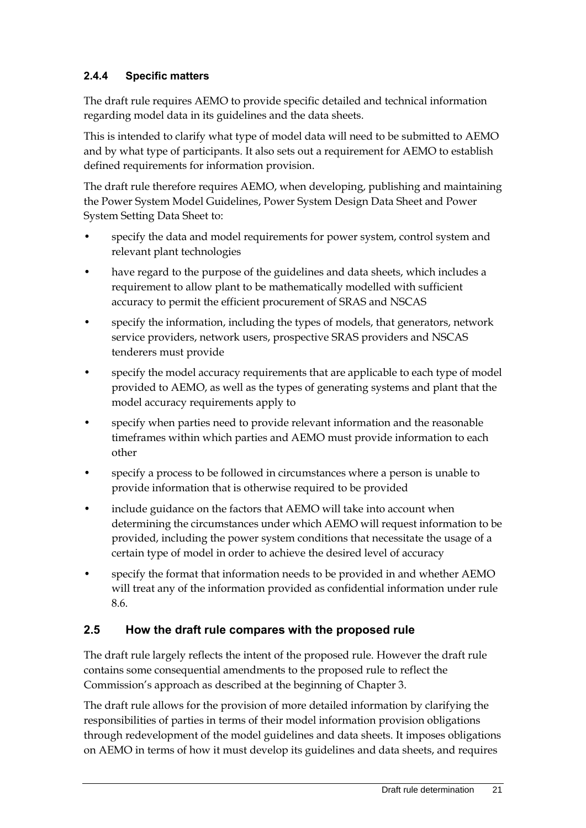## **2.4.4 Specific matters**

The draft rule requires AEMO to provide specific detailed and technical information regarding model data in its guidelines and the data sheets.

This is intended to clarify what type of model data will need to be submitted to AEMO and by what type of participants. It also sets out a requirement for AEMO to establish defined requirements for information provision.

The draft rule therefore requires AEMO, when developing, publishing and maintaining the Power System Model Guidelines, Power System Design Data Sheet and Power System Setting Data Sheet to:

- specify the data and model requirements for power system, control system and relevant plant technologies
- have regard to the purpose of the guidelines and data sheets, which includes a requirement to allow plant to be mathematically modelled with sufficient accuracy to permit the efficient procurement of SRAS and NSCAS
- specify the information, including the types of models, that generators, network service providers, network users, prospective SRAS providers and NSCAS tenderers must provide
- specify the model accuracy requirements that are applicable to each type of model provided to AEMO, as well as the types of generating systems and plant that the model accuracy requirements apply to
- specify when parties need to provide relevant information and the reasonable timeframes within which parties and AEMO must provide information to each other
- specify a process to be followed in circumstances where a person is unable to provide information that is otherwise required to be provided
- include guidance on the factors that AEMO will take into account when determining the circumstances under which AEMO will request information to be provided, including the power system conditions that necessitate the usage of a certain type of model in order to achieve the desired level of accuracy
- specify the format that information needs to be provided in and whether AEMO will treat any of the information provided as confidential information under rule 8.6.

## <span id="page-28-0"></span>**2.5 How the draft rule compares with the proposed rule**

The draft rule largely reflects the intent of the proposed rule. However the draft rule contains some consequential amendments to the proposed rule to reflect the Commission's approach as described at the beginning of Chapter 3.

The draft rule allows for the provision of more detailed information by clarifying the responsibilities of parties in terms of their model information provision obligations through redevelopment of the model guidelines and data sheets. It imposes obligations on AEMO in terms of how it must develop its guidelines and data sheets, and requires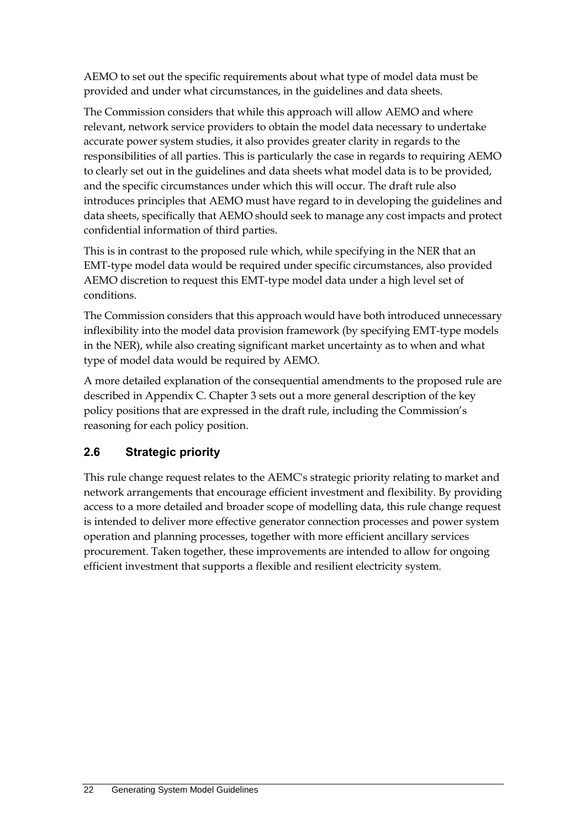AEMO to set out the specific requirements about what type of model data must be provided and under what circumstances, in the guidelines and data sheets.

The Commission considers that while this approach will allow AEMO and where relevant, network service providers to obtain the model data necessary to undertake accurate power system studies, it also provides greater clarity in regards to the responsibilities of all parties. This is particularly the case in regards to requiring AEMO to clearly set out in the guidelines and data sheets what model data is to be provided, and the specific circumstances under which this will occur. The draft rule also introduces principles that AEMO must have regard to in developing the guidelines and data sheets, specifically that AEMO should seek to manage any cost impacts and protect confidential information of third parties.

This is in contrast to the proposed rule which, while specifying in the NER that an EMT-type model data would be required under specific circumstances, also provided AEMO discretion to request this EMT-type model data under a high level set of conditions.

The Commission considers that this approach would have both introduced unnecessary inflexibility into the model data provision framework (by specifying EMT-type models in the NER), while also creating significant market uncertainty as to when and what type of model data would be required by AEMO.

A more detailed explanation of the consequential amendments to the proposed rule are described in Appendix C. Chapter 3 sets out a more general description of the key policy positions that are expressed in the draft rule, including the Commission's reasoning for each policy position.

# <span id="page-29-0"></span>**2.6 Strategic priority**

This rule change request relates to the AEMC's strategic priority relating to market and network arrangements that encourage efficient investment and flexibility. By providing access to a more detailed and broader scope of modelling data, this rule change request is intended to deliver more effective generator connection processes and power system operation and planning processes, together with more efficient ancillary services procurement. Taken together, these improvements are intended to allow for ongoing efficient investment that supports a flexible and resilient electricity system.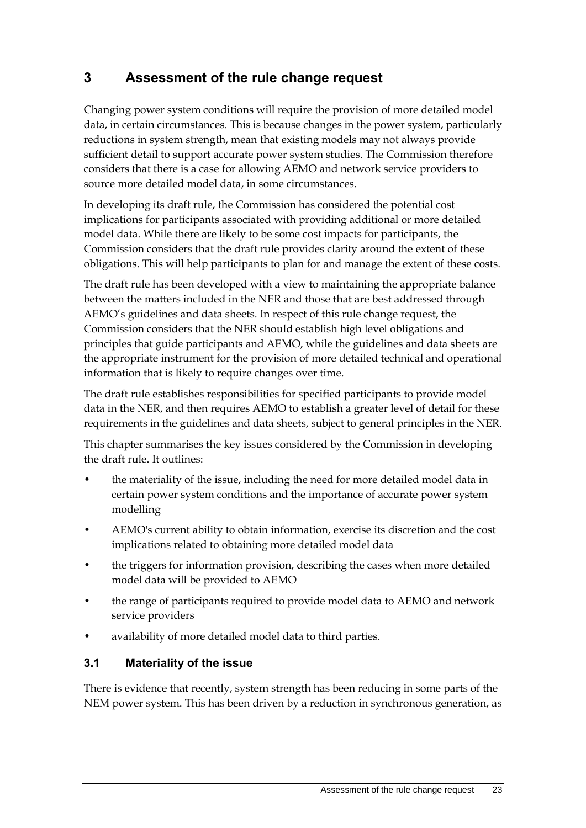# <span id="page-30-0"></span>**3 Assessment of the rule change request**

Changing power system conditions will require the provision of more detailed model data, in certain circumstances. This is because changes in the power system, particularly reductions in system strength, mean that existing models may not always provide sufficient detail to support accurate power system studies. The Commission therefore considers that there is a case for allowing AEMO and network service providers to source more detailed model data, in some circumstances.

In developing its draft rule, the Commission has considered the potential cost implications for participants associated with providing additional or more detailed model data. While there are likely to be some cost impacts for participants, the Commission considers that the draft rule provides clarity around the extent of these obligations. This will help participants to plan for and manage the extent of these costs.

The draft rule has been developed with a view to maintaining the appropriate balance between the matters included in the NER and those that are best addressed through AEMO's guidelines and data sheets. In respect of this rule change request, the Commission considers that the NER should establish high level obligations and principles that guide participants and AEMO, while the guidelines and data sheets are the appropriate instrument for the provision of more detailed technical and operational information that is likely to require changes over time.

The draft rule establishes responsibilities for specified participants to provide model data in the NER, and then requires AEMO to establish a greater level of detail for these requirements in the guidelines and data sheets, subject to general principles in the NER.

This chapter summarises the key issues considered by the Commission in developing the draft rule. It outlines:

- the materiality of the issue, including the need for more detailed model data in certain power system conditions and the importance of accurate power system modelling
- AEMO's current ability to obtain information, exercise its discretion and the cost implications related to obtaining more detailed model data
- the triggers for information provision, describing the cases when more detailed model data will be provided to AEMO
- the range of participants required to provide model data to AEMO and network service providers
- availability of more detailed model data to third parties.

## <span id="page-30-1"></span>**3.1 Materiality of the issue**

There is evidence that recently, system strength has been reducing in some parts of the NEM power system. This has been driven by a reduction in synchronous generation, as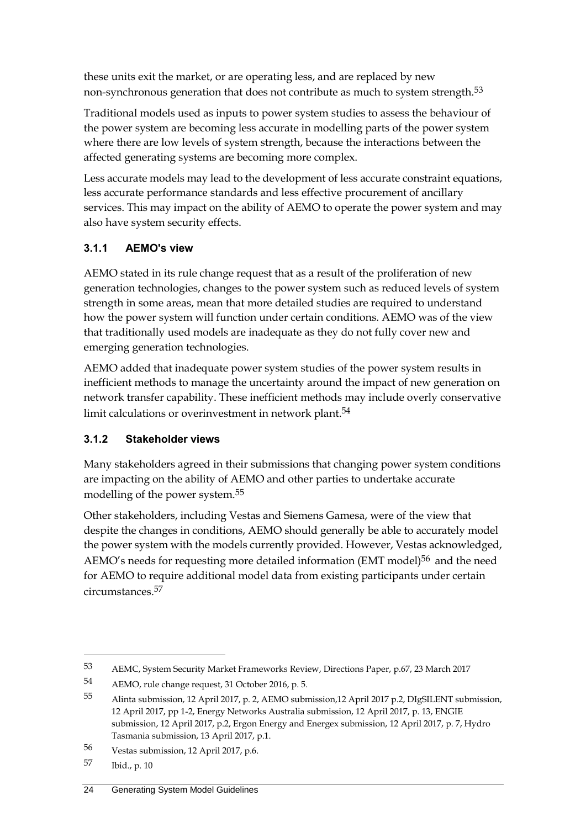these units exit the market, or are operating less, and are replaced by new non-synchronous generation that does not contribute as much to system strength.<sup>53</sup>

Traditional models used as inputs to power system studies to assess the behaviour of the power system are becoming less accurate in modelling parts of the power system where there are low levels of system strength, because the interactions between the affected generating systems are becoming more complex.

Less accurate models may lead to the development of less accurate constraint equations, less accurate performance standards and less effective procurement of ancillary services. This may impact on the ability of AEMO to operate the power system and may also have system security effects.

# **3.1.1 AEMO's view**

AEMO stated in its rule change request that as a result of the proliferation of new generation technologies, changes to the power system such as reduced levels of system strength in some areas, mean that more detailed studies are required to understand how the power system will function under certain conditions. AEMO was of the view that traditionally used models are inadequate as they do not fully cover new and emerging generation technologies.

AEMO added that inadequate power system studies of the power system results in inefficient methods to manage the uncertainty around the impact of new generation on network transfer capability. These inefficient methods may include overly conservative limit calculations or overinvestment in network plant.<sup>54</sup>

## **3.1.2 Stakeholder views**

Many stakeholders agreed in their submissions that changing power system conditions are impacting on the ability of AEMO and other parties to undertake accurate modelling of the power system.55

Other stakeholders, including Vestas and Siemens Gamesa, were of the view that despite the changes in conditions, AEMO should generally be able to accurately model the power system with the models currently provided. However, Vestas acknowledged, AEMO's needs for requesting more detailed information (EMT model)<sup>56</sup> and the need for AEMO to require additional model data from existing participants under certain circumstances.57

<sup>53</sup> AEMC, System Security Market Frameworks Review, Directions Paper, p.67, 23 March 2017

<sup>54</sup> AEMO, rule change request, 31 October 2016, p. 5.

<sup>55</sup> Alinta submission, 12 April 2017, p. 2, AEMO submission,12 April 2017 p.2, DIgSILENT submission, 12 April 2017, pp 1-2, Energy Networks Australia submission, 12 April 2017, p. 13, ENGIE submission, 12 April 2017, p.2, Ergon Energy and Energex submission, 12 April 2017, p. 7, Hydro Tasmania submission, 13 April 2017, p.1.

<sup>56</sup> Vestas submission, 12 April 2017, p.6.

<sup>57</sup> Ibid., p. 10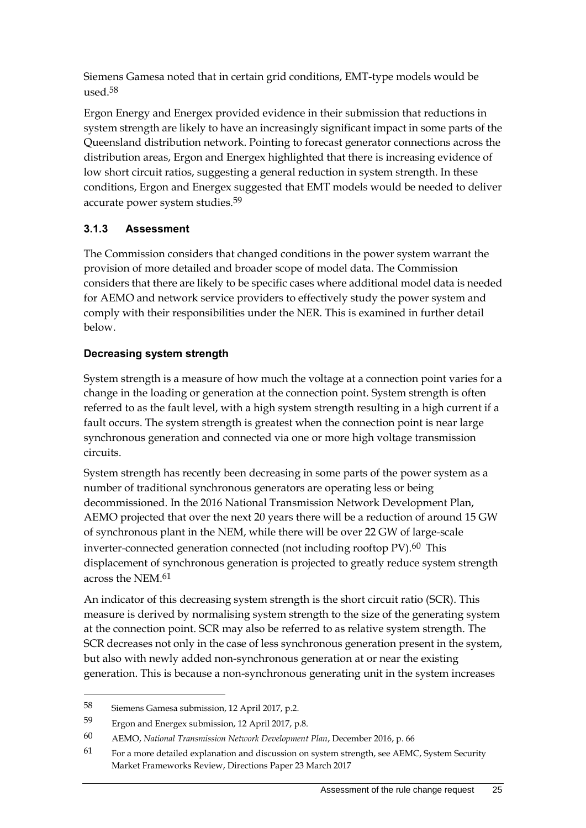Siemens Gamesa noted that in certain grid conditions, EMT-type models would be used.58

Ergon Energy and Energex provided evidence in their submission that reductions in system strength are likely to have an increasingly significant impact in some parts of the Queensland distribution network. Pointing to forecast generator connections across the distribution areas, Ergon and Energex highlighted that there is increasing evidence of low short circuit ratios, suggesting a general reduction in system strength. In these conditions, Ergon and Energex suggested that EMT models would be needed to deliver accurate power system studies.59

#### **3.1.3 Assessment**

The Commission considers that changed conditions in the power system warrant the provision of more detailed and broader scope of model data. The Commission considers that there are likely to be specific cases where additional model data is needed for AEMO and network service providers to effectively study the power system and comply with their responsibilities under the NER. This is examined in further detail below.

#### **Decreasing system strength**

System strength is a measure of how much the voltage at a connection point varies for a change in the loading or generation at the connection point. System strength is often referred to as the fault level, with a high system strength resulting in a high current if a fault occurs. The system strength is greatest when the connection point is near large synchronous generation and connected via one or more high voltage transmission circuits.

System strength has recently been decreasing in some parts of the power system as a number of traditional synchronous generators are operating less or being decommissioned. In the 2016 National Transmission Network Development Plan, AEMO projected that over the next 20 years there will be a reduction of around 15 GW of synchronous plant in the NEM, while there will be over 22 GW of large-scale inverter-connected generation connected (not including rooftop PV).<sup>60</sup> This displacement of synchronous generation is projected to greatly reduce system strength across the NEM.61

An indicator of this decreasing system strength is the short circuit ratio (SCR). This measure is derived by normalising system strength to the size of the generating system at the connection point. SCR may also be referred to as relative system strength. The SCR decreases not only in the case of less synchronous generation present in the system, but also with newly added non-synchronous generation at or near the existing generation. This is because a non-synchronous generating unit in the system increases

<sup>58</sup> Siemens Gamesa submission, 12 April 2017, p.2.

<sup>59</sup> Ergon and Energex submission, 12 April 2017, p.8.

<sup>60</sup> AEMO, *National Transmission Network Development Plan*, December 2016, p. 66

 $61$  For a more detailed explanation and discussion on system strength, see AEMC, System Security Market Frameworks Review, Directions Paper 23 March 2017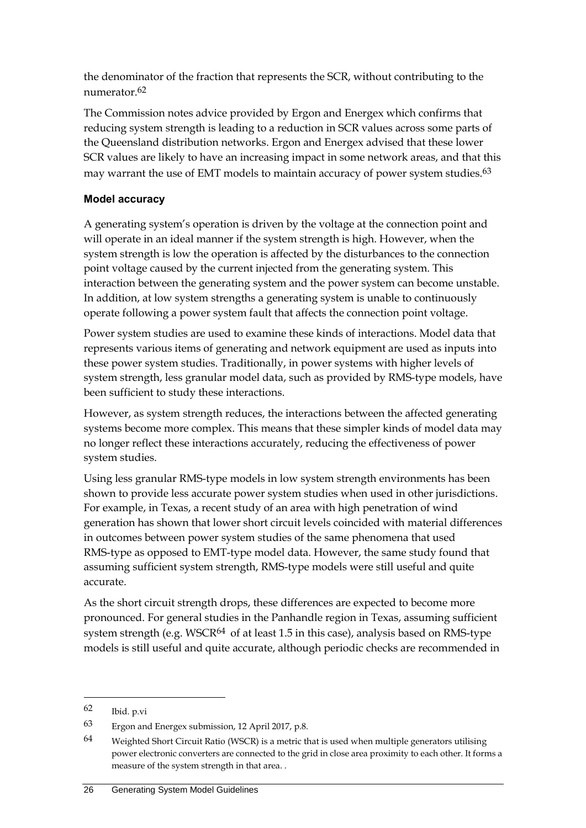the denominator of the fraction that represents the SCR, without contributing to the numerator.62

The Commission notes advice provided by Ergon and Energex which confirms that reducing system strength is leading to a reduction in SCR values across some parts of the Queensland distribution networks. Ergon and Energex advised that these lower SCR values are likely to have an increasing impact in some network areas, and that this may warrant the use of EMT models to maintain accuracy of power system studies. $63$ 

#### **Model accuracy**

A generating system's operation is driven by the voltage at the connection point and will operate in an ideal manner if the system strength is high. However, when the system strength is low the operation is affected by the disturbances to the connection point voltage caused by the current injected from the generating system. This interaction between the generating system and the power system can become unstable. In addition, at low system strengths a generating system is unable to continuously operate following a power system fault that affects the connection point voltage.

Power system studies are used to examine these kinds of interactions. Model data that represents various items of generating and network equipment are used as inputs into these power system studies. Traditionally, in power systems with higher levels of system strength, less granular model data, such as provided by RMS-type models, have been sufficient to study these interactions.

However, as system strength reduces, the interactions between the affected generating systems become more complex. This means that these simpler kinds of model data may no longer reflect these interactions accurately, reducing the effectiveness of power system studies.

Using less granular RMS-type models in low system strength environments has been shown to provide less accurate power system studies when used in other jurisdictions. For example, in Texas, a recent study of an area with high penetration of wind generation has shown that lower short circuit levels coincided with material differences in outcomes between power system studies of the same phenomena that used RMS-type as opposed to EMT-type model data. However, the same study found that assuming sufficient system strength, RMS-type models were still useful and quite accurate.

As the short circuit strength drops, these differences are expected to become more pronounced. For general studies in the Panhandle region in Texas, assuming sufficient system strength (e.g. WSCR $64$  of at least 1.5 in this case), analysis based on RMS-type models is still useful and quite accurate, although periodic checks are recommended in

<sup>62</sup> Ibid. p.vi

<sup>63</sup> Ergon and Energex submission, 12 April 2017, p.8.

 $64$  Weighted Short Circuit Ratio (WSCR) is a metric that is used when multiple generators utilising power electronic converters are connected to the grid in close area proximity to each other. It forms a measure of the system strength in that area. .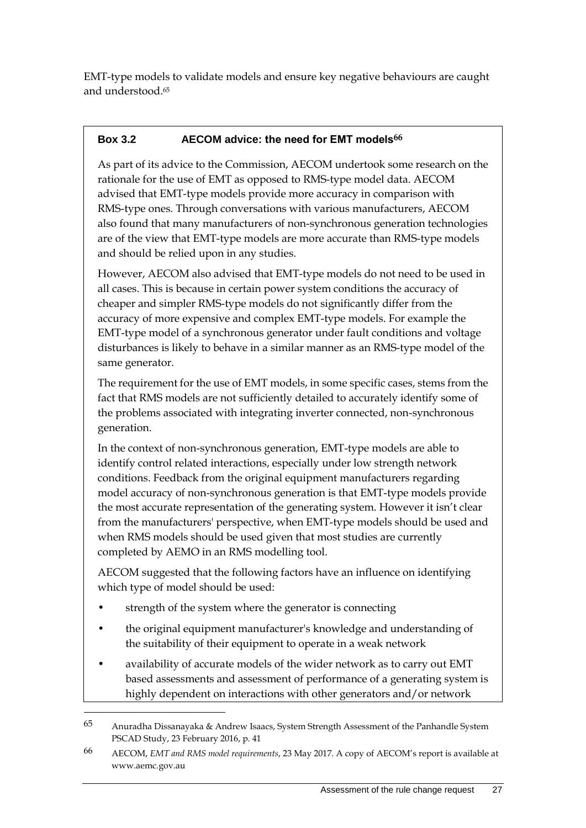EMT-type models to validate models and ensure key negative behaviours are caught and understood. 65

### **Box 3.2 AECOM advice: the need for EMT models66**

As part of its advice to the Commission, AECOM undertook some research on the rationale for the use of EMT as opposed to RMS-type model data. AECOM advised that EMT-type models provide more accuracy in comparison with RMS-type ones. Through conversations with various manufacturers, AECOM also found that many manufacturers of non-synchronous generation technologies are of the view that EMT-type models are more accurate than RMS-type models and should be relied upon in any studies.

However, AECOM also advised that EMT-type models do not need to be used in all cases. This is because in certain power system conditions the accuracy of cheaper and simpler RMS-type models do not significantly differ from the accuracy of more expensive and complex EMT-type models. For example the EMT-type model of a synchronous generator under fault conditions and voltage disturbances is likely to behave in a similar manner as an RMS-type model of the same generator.

The requirement for the use of EMT models, in some specific cases, stems from the fact that RMS models are not sufficiently detailed to accurately identify some of the problems associated with integrating inverter connected, non-synchronous generation.

In the context of non-synchronous generation, EMT-type models are able to identify control related interactions, especially under low strength network conditions. Feedback from the original equipment manufacturers regarding model accuracy of non-synchronous generation is that EMT-type models provide the most accurate representation of the generating system. However it isn't clear from the manufacturers' perspective, when EMT-type models should be used and when RMS models should be used given that most studies are currently completed by AEMO in an RMS modelling tool.

AECOM suggested that the following factors have an influence on identifying which type of model should be used:

strength of the system where the generator is connecting

- the original equipment manufacturer's knowledge and understanding of the suitability of their equipment to operate in a weak network
- availability of accurate models of the wider network as to carry out EMT based assessments and assessment of performance of a generating system is highly dependent on interactions with other generators and/or network

<sup>65</sup> Anuradha Dissanayaka & Andrew Isaacs, System Strength Assessment of the Panhandle System PSCAD Study, 23 February 2016, p. 41

<sup>66</sup> AECOM, *EMT and RMS model requirements*, 23 May 2017. A copy of AECOM's report is available at www.aemc.gov.au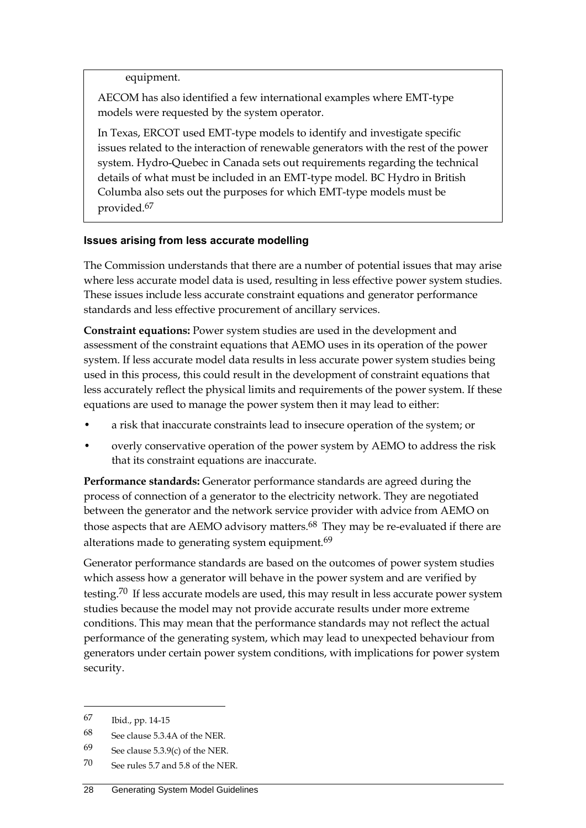equipment.

AECOM has also identified a few international examples where EMT-type models were requested by the system operator.

In Texas, ERCOT used EMT-type models to identify and investigate specific issues related to the interaction of renewable generators with the rest of the power system. Hydro-Quebec in Canada sets out requirements regarding the technical details of what must be included in an EMT-type model. BC Hydro in British Columba also sets out the purposes for which EMT-type models must be provided.67

#### **Issues arising from less accurate modelling**

The Commission understands that there are a number of potential issues that may arise where less accurate model data is used, resulting in less effective power system studies. These issues include less accurate constraint equations and generator performance standards and less effective procurement of ancillary services.

**Constraint equations:** Power system studies are used in the development and assessment of the constraint equations that AEMO uses in its operation of the power system. If less accurate model data results in less accurate power system studies being used in this process, this could result in the development of constraint equations that less accurately reflect the physical limits and requirements of the power system. If these equations are used to manage the power system then it may lead to either:

- a risk that inaccurate constraints lead to insecure operation of the system; or
- overly conservative operation of the power system by AEMO to address the risk that its constraint equations are inaccurate.

**Performance standards:** Generator performance standards are agreed during the process of connection of a generator to the electricity network. They are negotiated between the generator and the network service provider with advice from AEMO on those aspects that are AEMO advisory matters.<sup>68</sup> They may be re-evaluated if there are alterations made to generating system equipment.<sup>69</sup>

Generator performance standards are based on the outcomes of power system studies which assess how a generator will behave in the power system and are verified by testing.<sup>70</sup> If less accurate models are used, this may result in less accurate power system studies because the model may not provide accurate results under more extreme conditions. This may mean that the performance standards may not reflect the actual performance of the generating system, which may lead to unexpected behaviour from generators under certain power system conditions, with implications for power system security.

<sup>67</sup> Ibid., pp. 14-15

<sup>68</sup> See clause 5.3.4A of the NER.

<sup>69</sup> See clause  $5.3.9(c)$  of the NER.

<sup>70</sup> See rules 5.7 and 5.8 of the NER.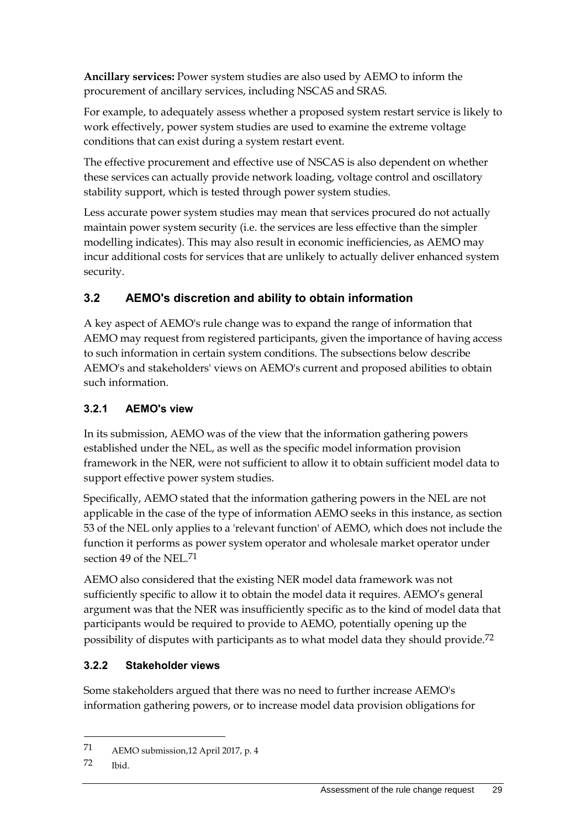**Ancillary services:** Power system studies are also used by AEMO to inform the procurement of ancillary services, including NSCAS and SRAS.

For example, to adequately assess whether a proposed system restart service is likely to work effectively, power system studies are used to examine the extreme voltage conditions that can exist during a system restart event.

The effective procurement and effective use of NSCAS is also dependent on whether these services can actually provide network loading, voltage control and oscillatory stability support, which is tested through power system studies.

Less accurate power system studies may mean that services procured do not actually maintain power system security (i.e. the services are less effective than the simpler modelling indicates). This may also result in economic inefficiencies, as AEMO may incur additional costs for services that are unlikely to actually deliver enhanced system security.

# <span id="page-36-0"></span>**3.2 AEMO's discretion and ability to obtain information**

A key aspect of AEMO's rule change was to expand the range of information that AEMO may request from registered participants, given the importance of having access to such information in certain system conditions. The subsections below describe AEMO's and stakeholders' views on AEMO's current and proposed abilities to obtain such information.

# **3.2.1 AEMO's view**

In its submission, AEMO was of the view that the information gathering powers established under the NEL, as well as the specific model information provision framework in the NER, were not sufficient to allow it to obtain sufficient model data to support effective power system studies.

Specifically, AEMO stated that the information gathering powers in the NEL are not applicable in the case of the type of information AEMO seeks in this instance, as section 53 of the NEL only applies to a 'relevant function' of AEMO, which does not include the function it performs as power system operator and wholesale market operator under section 49 of the NEL.71

AEMO also considered that the existing NER model data framework was not sufficiently specific to allow it to obtain the model data it requires. AEMO's general argument was that the NER was insufficiently specific as to the kind of model data that participants would be required to provide to AEMO, potentially opening up the possibility of disputes with participants as to what model data they should provide.72

## **3.2.2 Stakeholder views**

Some stakeholders argued that there was no need to further increase AEMO's information gathering powers, or to increase model data provision obligations for

1

<sup>71</sup> AEMO submission,12 April 2017, p. 4

<sup>72</sup> Ibid.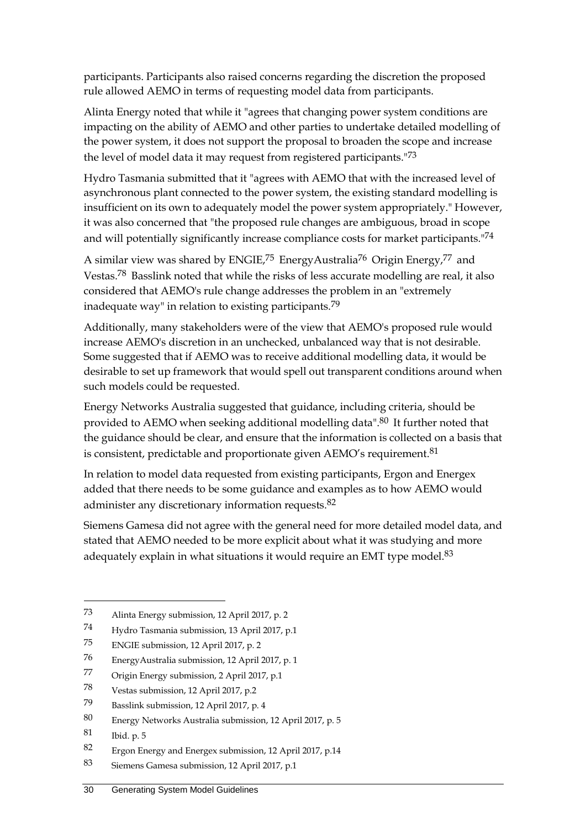participants. Participants also raised concerns regarding the discretion the proposed rule allowed AEMO in terms of requesting model data from participants.

Alinta Energy noted that while it "agrees that changing power system conditions are impacting on the ability of AEMO and other parties to undertake detailed modelling of the power system, it does not support the proposal to broaden the scope and increase the level of model data it may request from registered participants."73

Hydro Tasmania submitted that it "agrees with AEMO that with the increased level of asynchronous plant connected to the power system, the existing standard modelling is insufficient on its own to adequately model the power system appropriately." However, it was also concerned that "the proposed rule changes are ambiguous, broad in scope and will potentially significantly increase compliance costs for market participants."74

A similar view was shared by ENGIE,<sup>75</sup> EnergyAustralia<sup>76</sup> Origin Energy,<sup>77</sup> and Vestas.78 Basslink noted that while the risks of less accurate modelling are real, it also considered that AEMO's rule change addresses the problem in an "extremely inadequate way" in relation to existing participants.79

Additionally, many stakeholders were of the view that AEMO's proposed rule would increase AEMO's discretion in an unchecked, unbalanced way that is not desirable. Some suggested that if AEMO was to receive additional modelling data, it would be desirable to set up framework that would spell out transparent conditions around when such models could be requested.

Energy Networks Australia suggested that guidance, including criteria, should be provided to AEMO when seeking additional modelling data".<sup>80</sup> It further noted that the guidance should be clear, and ensure that the information is collected on a basis that is consistent, predictable and proportionate given AEMO's requirement.<sup>81</sup>

In relation to model data requested from existing participants, Ergon and Energex added that there needs to be some guidance and examples as to how AEMO would administer any discretionary information requests.<sup>82</sup>

Siemens Gamesa did not agree with the general need for more detailed model data, and stated that AEMO needed to be more explicit about what it was studying and more adequately explain in what situations it would require an EMT type model.<sup>83</sup>

<sup>73</sup> Alinta Energy submission, 12 April 2017, p. 2

<sup>74</sup> Hydro Tasmania submission, 13 April 2017, p.1

<sup>75</sup> ENGIE submission, 12 April 2017, p. 2

<sup>76</sup> EnergyAustralia submission, 12 April 2017, p. 1

<sup>77</sup> Origin Energy submission, 2 April 2017, p.1

<sup>78</sup> Vestas submission, 12 April 2017, p.2

<sup>79</sup> Basslink submission, 12 April 2017, p. 4

<sup>80</sup> Energy Networks Australia submission, 12 April 2017, p. 5

<sup>81</sup> Ibid. p. 5

<sup>82</sup> Ergon Energy and Energex submission, 12 April 2017, p.14

<sup>83</sup> Siemens Gamesa submission, 12 April 2017, p.1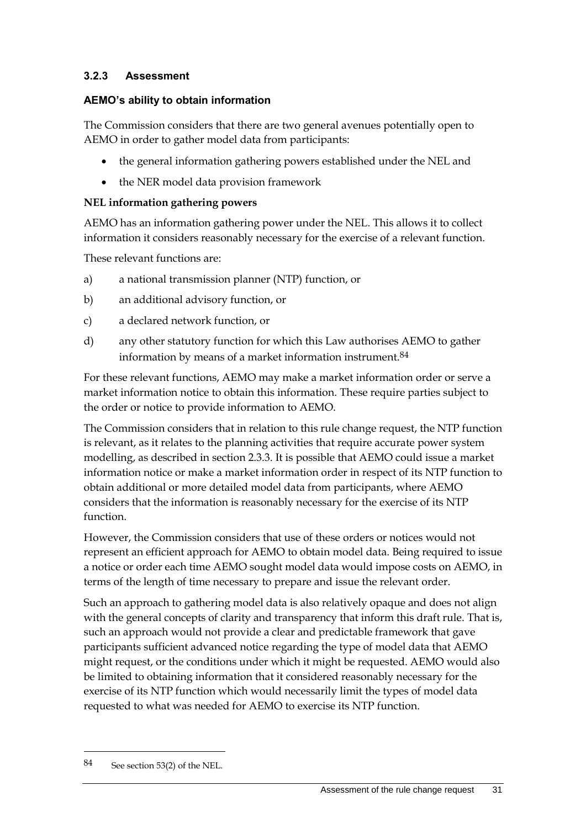#### **3.2.3 Assessment**

#### **AEMO's ability to obtain information**

The Commission considers that there are two general avenues potentially open to AEMO in order to gather model data from participants:

- the general information gathering powers established under the NEL and
- the NER model data provision framework

#### **NEL information gathering powers**

AEMO has an information gathering power under the NEL. This allows it to collect information it considers reasonably necessary for the exercise of a relevant function.

These relevant functions are:

- a) a national transmission planner (NTP) function, or
- b) an additional advisory function, or
- c) a declared network function, or
- d) any other statutory function for which this Law authorises AEMO to gather information by means of a market information instrument.84

For these relevant functions, AEMO may make a market information order or serve a market information notice to obtain this information. These require parties subject to the order or notice to provide information to AEMO.

The Commission considers that in relation to this rule change request, the NTP function is relevant, as it relates to the planning activities that require accurate power system modelling, as described in section 2.3.3. It is possible that AEMO could issue a market information notice or make a market information order in respect of its NTP function to obtain additional or more detailed model data from participants, where AEMO considers that the information is reasonably necessary for the exercise of its NTP function.

However, the Commission considers that use of these orders or notices would not represent an efficient approach for AEMO to obtain model data. Being required to issue a notice or order each time AEMO sought model data would impose costs on AEMO, in terms of the length of time necessary to prepare and issue the relevant order.

Such an approach to gathering model data is also relatively opaque and does not align with the general concepts of clarity and transparency that inform this draft rule. That is, such an approach would not provide a clear and predictable framework that gave participants sufficient advanced notice regarding the type of model data that AEMO might request, or the conditions under which it might be requested. AEMO would also be limited to obtaining information that it considered reasonably necessary for the exercise of its NTP function which would necessarily limit the types of model data requested to what was needed for AEMO to exercise its NTP function.

1

<sup>84</sup> See section 53(2) of the NEL.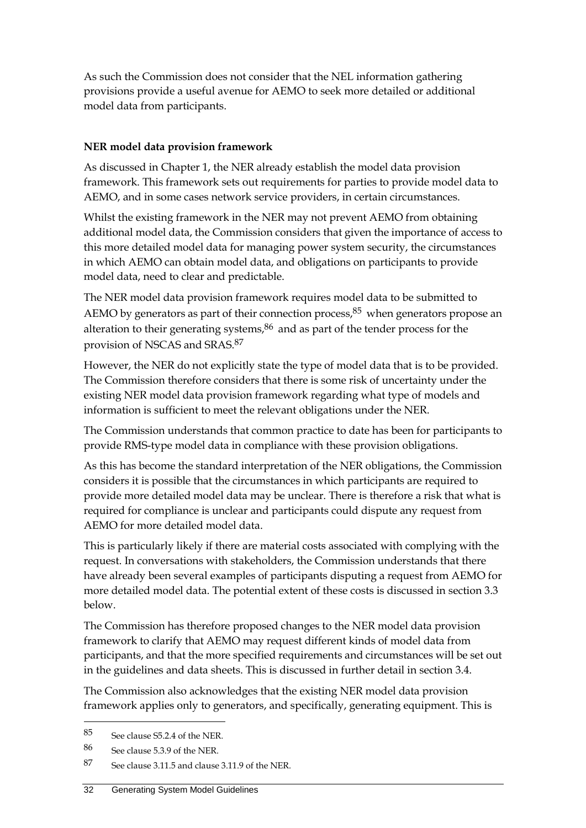As such the Commission does not consider that the NEL information gathering provisions provide a useful avenue for AEMO to seek more detailed or additional model data from participants.

#### **NER model data provision framework**

As discussed in Chapter 1, the NER already establish the model data provision framework. This framework sets out requirements for parties to provide model data to AEMO, and in some cases network service providers, in certain circumstances.

Whilst the existing framework in the NER may not prevent AEMO from obtaining additional model data, the Commission considers that given the importance of access to this more detailed model data for managing power system security, the circumstances in which AEMO can obtain model data, and obligations on participants to provide model data, need to clear and predictable.

The NER model data provision framework requires model data to be submitted to AEMO by generators as part of their connection process, $85$  when generators propose an alteration to their generating systems, $86$  and as part of the tender process for the provision of NSCAS and SRAS. 87

However, the NER do not explicitly state the type of model data that is to be provided. The Commission therefore considers that there is some risk of uncertainty under the existing NER model data provision framework regarding what type of models and information is sufficient to meet the relevant obligations under the NER.

The Commission understands that common practice to date has been for participants to provide RMS-type model data in compliance with these provision obligations.

As this has become the standard interpretation of the NER obligations, the Commission considers it is possible that the circumstances in which participants are required to provide more detailed model data may be unclear. There is therefore a risk that what is required for compliance is unclear and participants could dispute any request from AEMO for more detailed model data.

This is particularly likely if there are material costs associated with complying with the request. In conversations with stakeholders, the Commission understands that there have already been several examples of participants disputing a request from AEMO for more detailed model data. The potential extent of these costs is discussed in section 3.3 below.

The Commission has therefore proposed changes to the NER model data provision framework to clarify that AEMO may request different kinds of model data from participants, and that the more specified requirements and circumstances will be set out in the guidelines and data sheets. This is discussed in further detail in section 3.4.

The Commission also acknowledges that the existing NER model data provision framework applies only to generators, and specifically, generating equipment. This is

<sup>85</sup> See clause S5.2.4 of the NER.

<sup>86</sup> See clause 5.3.9 of the NER.

<sup>87</sup> See clause 3.11.5 and clause 3.11.9 of the NER.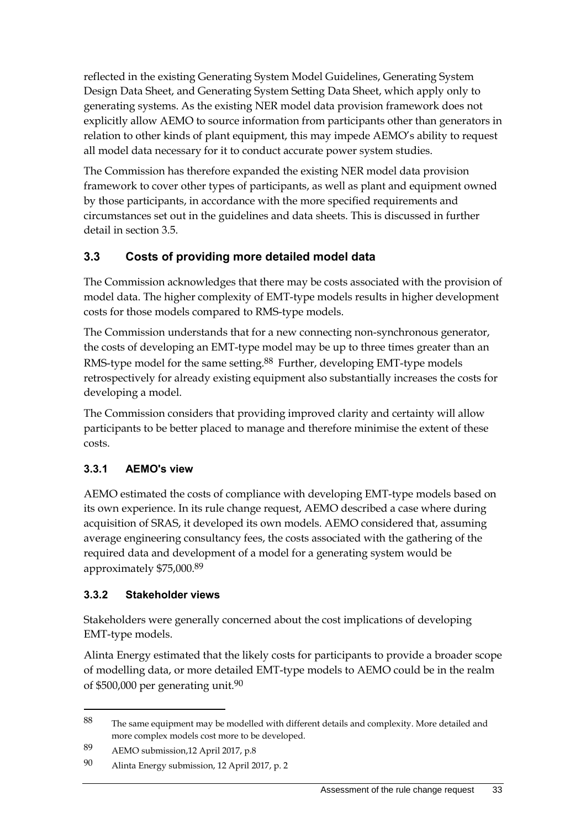reflected in the existing Generating System Model Guidelines, Generating System Design Data Sheet, and Generating System Setting Data Sheet, which apply only to generating systems. As the existing NER model data provision framework does not explicitly allow AEMO to source information from participants other than generators in relation to other kinds of plant equipment, this may impede AEMO's ability to request all model data necessary for it to conduct accurate power system studies.

The Commission has therefore expanded the existing NER model data provision framework to cover other types of participants, as well as plant and equipment owned by those participants, in accordance with the more specified requirements and circumstances set out in the guidelines and data sheets. This is discussed in further detail in section 3.5.

# <span id="page-40-0"></span>**3.3 Costs of providing more detailed model data**

The Commission acknowledges that there may be costs associated with the provision of model data. The higher complexity of EMT-type models results in higher development costs for those models compared to RMS-type models.

The Commission understands that for a new connecting non-synchronous generator, the costs of developing an EMT-type model may be up to three times greater than an RMS-type model for the same setting.<sup>88</sup> Further, developing EMT-type models retrospectively for already existing equipment also substantially increases the costs for developing a model.

The Commission considers that providing improved clarity and certainty will allow participants to be better placed to manage and therefore minimise the extent of these costs.

## **3.3.1 AEMO's view**

AEMO estimated the costs of compliance with developing EMT-type models based on its own experience. In its rule change request, AEMO described a case where during acquisition of SRAS, it developed its own models. AEMO considered that, assuming average engineering consultancy fees, the costs associated with the gathering of the required data and development of a model for a generating system would be approximately \$75,000.89

## **3.3.2 Stakeholder views**

<u>.</u>

Stakeholders were generally concerned about the cost implications of developing EMT-type models.

Alinta Energy estimated that the likely costs for participants to provide a broader scope of modelling data, or more detailed EMT-type models to AEMO could be in the realm of \$500,000 per generating unit.90

<sup>88</sup> The same equipment may be modelled with different details and complexity. More detailed and more complex models cost more to be developed.

<sup>89</sup> AEMO submission,12 April 2017, p.8

<sup>90</sup> Alinta Energy submission, 12 April 2017, p. 2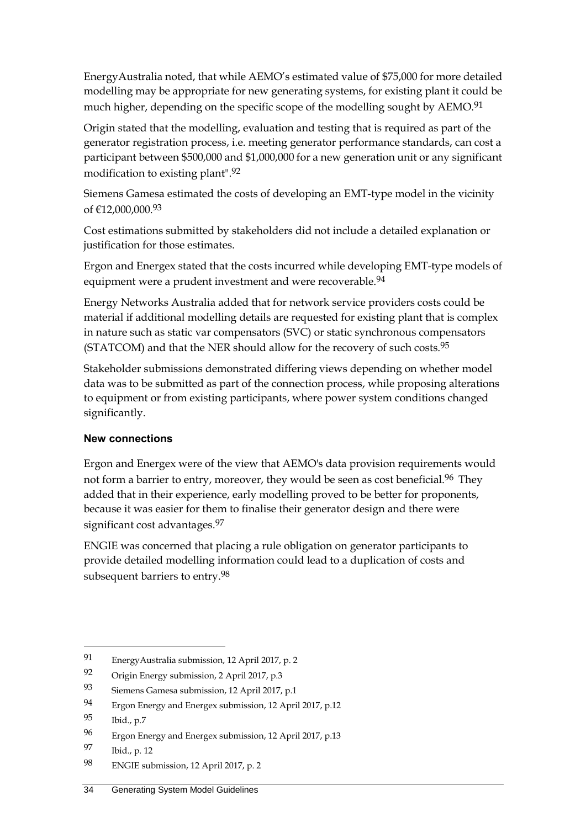EnergyAustralia noted, that while AEMO's estimated value of \$75,000 for more detailed modelling may be appropriate for new generating systems, for existing plant it could be much higher, depending on the specific scope of the modelling sought by AEMO.<sup>91</sup>

Origin stated that the modelling, evaluation and testing that is required as part of the generator registration process, i.e. meeting generator performance standards, can cost a participant between \$500,000 and \$1,000,000 for a new generation unit or any significant modification to existing plant". 92

Siemens Gamesa estimated the costs of developing an EMT-type model in the vicinity of €12,000,000.93

Cost estimations submitted by stakeholders did not include a detailed explanation or justification for those estimates.

Ergon and Energex stated that the costs incurred while developing EMT-type models of equipment were a prudent investment and were recoverable.<sup>94</sup>

Energy Networks Australia added that for network service providers costs could be material if additional modelling details are requested for existing plant that is complex in nature such as static var compensators (SVC) or static synchronous compensators (STATCOM) and that the NER should allow for the recovery of such costs.<sup>95</sup>

Stakeholder submissions demonstrated differing views depending on whether model data was to be submitted as part of the connection process, while proposing alterations to equipment or from existing participants, where power system conditions changed significantly.

#### **New connections**

Ergon and Energex were of the view that AEMO's data provision requirements would not form a barrier to entry, moreover, they would be seen as cost beneficial.<sup>96</sup> They added that in their experience, early modelling proved to be better for proponents, because it was easier for them to finalise their generator design and there were significant cost advantages.<sup>97</sup>

ENGIE was concerned that placing a rule obligation on generator participants to provide detailed modelling information could lead to a duplication of costs and subsequent barriers to entry.98

<sup>91</sup> EnergyAustralia submission, 12 April 2017, p. 2

<sup>92</sup> Origin Energy submission, 2 April 2017, p.3

<sup>93</sup> Siemens Gamesa submission, 12 April 2017, p.1

<sup>94</sup> Ergon Energy and Energex submission, 12 April 2017, p.12

<sup>95</sup> Ibid., p.7

<sup>96</sup> Ergon Energy and Energex submission, 12 April 2017, p.13

<sup>97</sup> Ibid., p. 12

<sup>98</sup> ENGIE submission, 12 April 2017, p. 2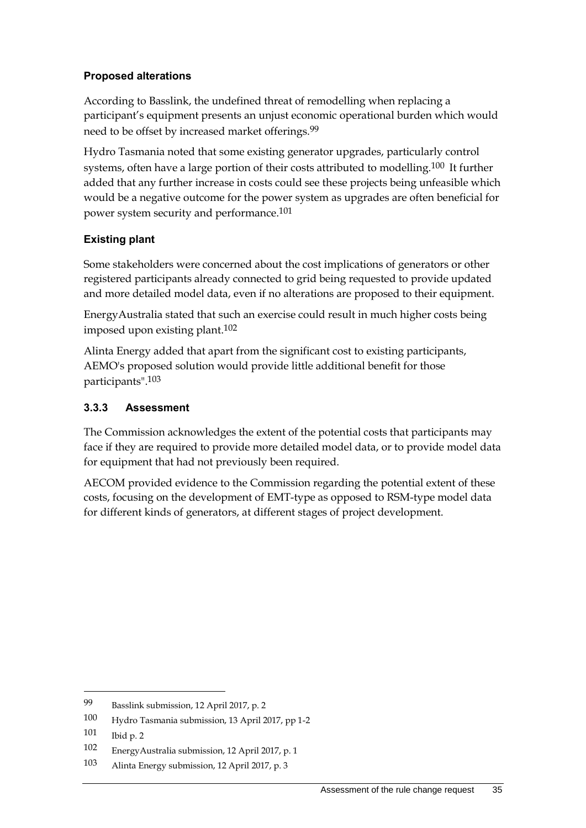#### **Proposed alterations**

According to Basslink, the undefined threat of remodelling when replacing a participant's equipment presents an unjust economic operational burden which would need to be offset by increased market offerings.<sup>99</sup>

Hydro Tasmania noted that some existing generator upgrades, particularly control systems, often have a large portion of their costs attributed to modelling.<sup>100</sup> It further added that any further increase in costs could see these projects being unfeasible which would be a negative outcome for the power system as upgrades are often beneficial for power system security and performance.101

#### **Existing plant**

Some stakeholders were concerned about the cost implications of generators or other registered participants already connected to grid being requested to provide updated and more detailed model data, even if no alterations are proposed to their equipment.

EnergyAustralia stated that such an exercise could result in much higher costs being imposed upon existing plant.102

Alinta Energy added that apart from the significant cost to existing participants, AEMO's proposed solution would provide little additional benefit for those participants".103

#### **3.3.3 Assessment**

The Commission acknowledges the extent of the potential costs that participants may face if they are required to provide more detailed model data, or to provide model data for equipment that had not previously been required.

AECOM provided evidence to the Commission regarding the potential extent of these costs, focusing on the development of EMT-type as opposed to RSM-type model data for different kinds of generators, at different stages of project development.

<sup>99</sup> Basslink submission, 12 April 2017, p. 2

<sup>100</sup> Hydro Tasmania submission, 13 April 2017, pp 1-2

<sup>101</sup> Ibid p. 2

<sup>102</sup> EnergyAustralia submission, 12 April 2017, p. 1

<sup>103</sup> Alinta Energy submission, 12 April 2017, p. 3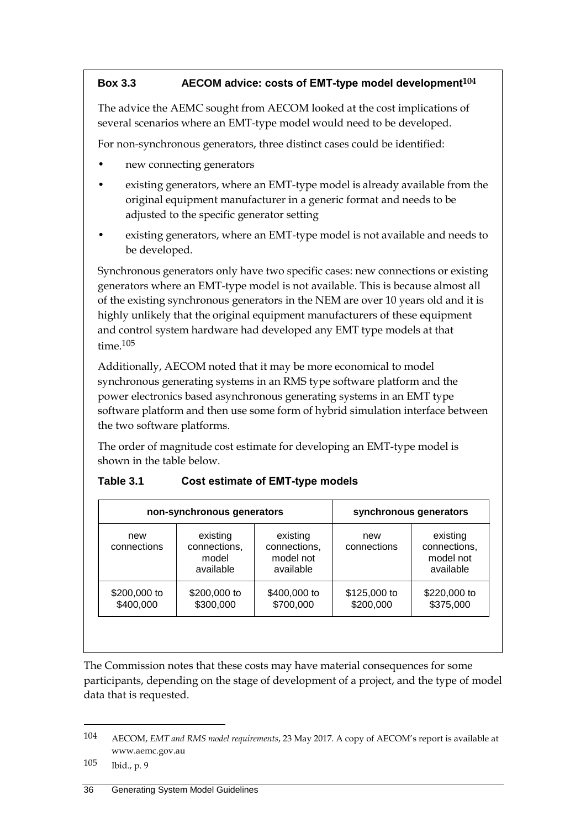#### **Box 3.3 AECOM advice: costs of EMT-type model development104**

The advice the AEMC sought from AECOM looked at the cost implications of several scenarios where an EMT-type model would need to be developed.

For non-synchronous generators, three distinct cases could be identified:

- new connecting generators
- existing generators, where an EMT-type model is already available from the original equipment manufacturer in a generic format and needs to be adjusted to the specific generator setting
- existing generators, where an EMT-type model is not available and needs to be developed.

Synchronous generators only have two specific cases: new connections or existing generators where an EMT-type model is not available. This is because almost all of the existing synchronous generators in the NEM are over 10 years old and it is highly unlikely that the original equipment manufacturers of these equipment and control system hardware had developed any EMT type models at that time.105

Additionally, AECOM noted that it may be more economical to model synchronous generating systems in an RMS type software platform and the power electronics based asynchronous generating systems in an EMT type software platform and then use some form of hybrid simulation interface between the two software platforms.

The order of magnitude cost estimate for developing an EMT-type model is shown in the table below.

|                           | non-synchronous generators                     | synchronous generators                             |                           |                                                    |
|---------------------------|------------------------------------------------|----------------------------------------------------|---------------------------|----------------------------------------------------|
| new<br>connections        | existing<br>connections,<br>model<br>available | existing<br>connections,<br>model not<br>available | new<br>connections        | existing<br>connections,<br>model not<br>available |
| \$200,000 to<br>\$400,000 | \$200,000 to<br>\$300,000                      | \$400,000 to<br>\$700,000                          | \$125,000 to<br>\$200,000 | \$220,000 to<br>\$375,000                          |

#### **Table 3.1 Cost estimate of EMT-type models**

The Commission notes that these costs may have material consequences for some participants, depending on the stage of development of a project, and the type of model data that is requested.

105 Ibid., p. 9

<sup>104</sup> AECOM, *EMT and RMS model requirements*, 23 May 2017. A copy of AECOM's report is available at www.aemc.gov.au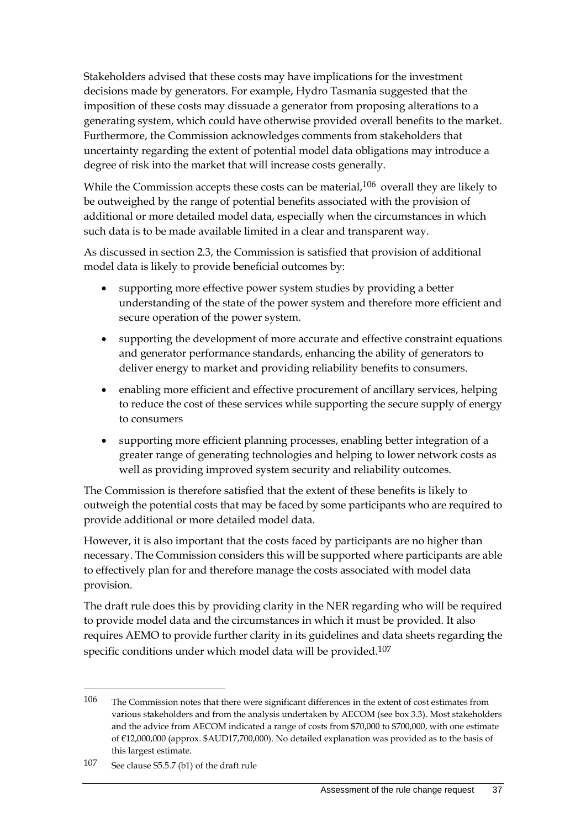Stakeholders advised that these costs may have implications for the investment decisions made by generators. For example, Hydro Tasmania suggested that the imposition of these costs may dissuade a generator from proposing alterations to a generating system, which could have otherwise provided overall benefits to the market. Furthermore, the Commission acknowledges comments from stakeholders that uncertainty regarding the extent of potential model data obligations may introduce a degree of risk into the market that will increase costs generally.

While the Commission accepts these costs can be material,<sup>106</sup> overall they are likely to be outweighed by the range of potential benefits associated with the provision of additional or more detailed model data, especially when the circumstances in which such data is to be made available limited in a clear and transparent way.

As discussed in section 2.3, the Commission is satisfied that provision of additional model data is likely to provide beneficial outcomes by:

- supporting more effective power system studies by providing a better understanding of the state of the power system and therefore more efficient and secure operation of the power system.
- supporting the development of more accurate and effective constraint equations and generator performance standards, enhancing the ability of generators to deliver energy to market and providing reliability benefits to consumers.
- enabling more efficient and effective procurement of ancillary services, helping to reduce the cost of these services while supporting the secure supply of energy to consumers
- supporting more efficient planning processes, enabling better integration of a greater range of generating technologies and helping to lower network costs as well as providing improved system security and reliability outcomes.

The Commission is therefore satisfied that the extent of these benefits is likely to outweigh the potential costs that may be faced by some participants who are required to provide additional or more detailed model data.

However, it is also important that the costs faced by participants are no higher than necessary. The Commission considers this will be supported where participants are able to effectively plan for and therefore manage the costs associated with model data provision.

The draft rule does this by providing clarity in the NER regarding who will be required to provide model data and the circumstances in which it must be provided. It also requires AEMO to provide further clarity in its guidelines and data sheets regarding the specific conditions under which model data will be provided. 107

<sup>106</sup> The Commission notes that there were significant differences in the extent of cost estimates from various stakeholders and from the analysis undertaken by AECOM (see box 3.3). Most stakeholders and the advice from AECOM indicated a range of costs from \$70,000 to \$700,000, with one estimate of €12,000,000 (approx. \$AUD17,700,000). No detailed explanation was provided as to the basis of this largest estimate.

<sup>107</sup> See clause S5.5.7 (b1) of the draft rule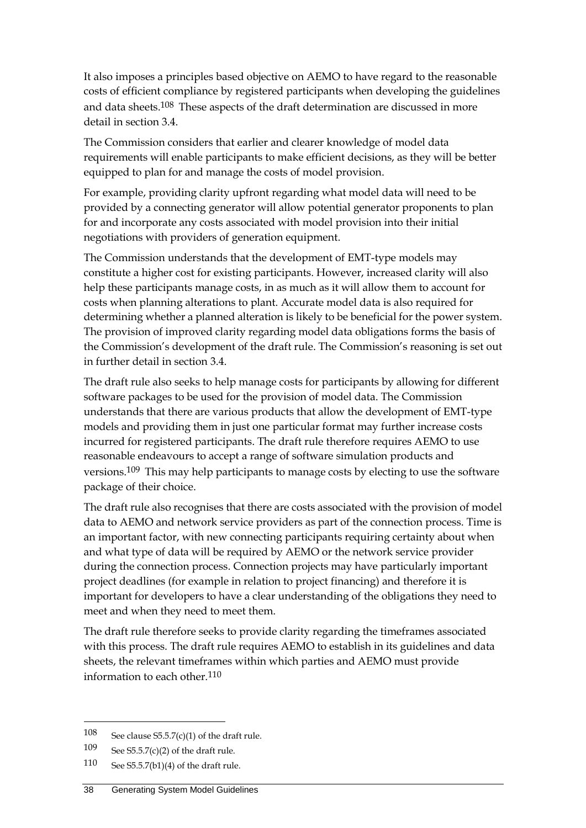It also imposes a principles based objective on AEMO to have regard to the reasonable costs of efficient compliance by registered participants when developing the guidelines and data sheets. 108 These aspects of the draft determination are discussed in more detail in section 3.4.

The Commission considers that earlier and clearer knowledge of model data requirements will enable participants to make efficient decisions, as they will be better equipped to plan for and manage the costs of model provision.

For example, providing clarity upfront regarding what model data will need to be provided by a connecting generator will allow potential generator proponents to plan for and incorporate any costs associated with model provision into their initial negotiations with providers of generation equipment.

The Commission understands that the development of EMT-type models may constitute a higher cost for existing participants. However, increased clarity will also help these participants manage costs, in as much as it will allow them to account for costs when planning alterations to plant. Accurate model data is also required for determining whether a planned alteration is likely to be beneficial for the power system. The provision of improved clarity regarding model data obligations forms the basis of the Commission's development of the draft rule. The Commission's reasoning is set out in further detail in section 3.4.

The draft rule also seeks to help manage costs for participants by allowing for different software packages to be used for the provision of model data. The Commission understands that there are various products that allow the development of EMT-type models and providing them in just one particular format may further increase costs incurred for registered participants. The draft rule therefore requires AEMO to use reasonable endeavours to accept a range of software simulation products and versions.109 This may help participants to manage costs by electing to use the software package of their choice.

The draft rule also recognises that there are costs associated with the provision of model data to AEMO and network service providers as part of the connection process. Time is an important factor, with new connecting participants requiring certainty about when and what type of data will be required by AEMO or the network service provider during the connection process. Connection projects may have particularly important project deadlines (for example in relation to project financing) and therefore it is important for developers to have a clear understanding of the obligations they need to meet and when they need to meet them.

The draft rule therefore seeks to provide clarity regarding the timeframes associated with this process. The draft rule requires AEMO to establish in its guidelines and data sheets, the relevant timeframes within which parties and AEMO must provide information to each other.110

<sup>108</sup> See clause  $S5.5.7(c)(1)$  of the draft rule.

<sup>109</sup> See S5.5.7(c)(2) of the draft rule.

<sup>110</sup> See S5.5.7(b1)(4) of the draft rule.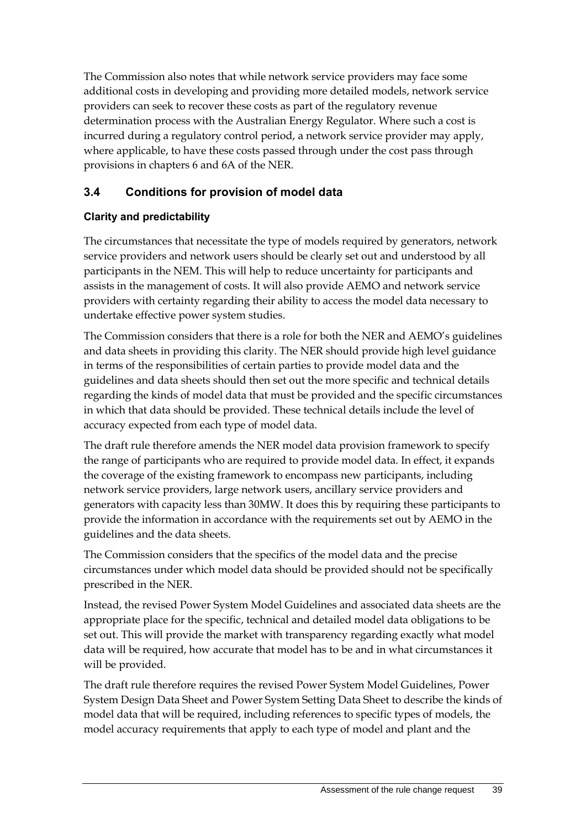The Commission also notes that while network service providers may face some additional costs in developing and providing more detailed models, network service providers can seek to recover these costs as part of the regulatory revenue determination process with the Australian Energy Regulator. Where such a cost is incurred during a regulatory control period, a network service provider may apply, where applicable, to have these costs passed through under the cost pass through provisions in chapters 6 and 6A of the NER.

# <span id="page-46-0"></span>**3.4 Conditions for provision of model data**

#### **Clarity and predictability**

The circumstances that necessitate the type of models required by generators, network service providers and network users should be clearly set out and understood by all participants in the NEM. This will help to reduce uncertainty for participants and assists in the management of costs. It will also provide AEMO and network service providers with certainty regarding their ability to access the model data necessary to undertake effective power system studies.

The Commission considers that there is a role for both the NER and AEMO's guidelines and data sheets in providing this clarity. The NER should provide high level guidance in terms of the responsibilities of certain parties to provide model data and the guidelines and data sheets should then set out the more specific and technical details regarding the kinds of model data that must be provided and the specific circumstances in which that data should be provided. These technical details include the level of accuracy expected from each type of model data.

The draft rule therefore amends the NER model data provision framework to specify the range of participants who are required to provide model data. In effect, it expands the coverage of the existing framework to encompass new participants, including network service providers, large network users, ancillary service providers and generators with capacity less than 30MW. It does this by requiring these participants to provide the information in accordance with the requirements set out by AEMO in the guidelines and the data sheets.

The Commission considers that the specifics of the model data and the precise circumstances under which model data should be provided should not be specifically prescribed in the NER.

Instead, the revised Power System Model Guidelines and associated data sheets are the appropriate place for the specific, technical and detailed model data obligations to be set out. This will provide the market with transparency regarding exactly what model data will be required, how accurate that model has to be and in what circumstances it will be provided.

The draft rule therefore requires the revised Power System Model Guidelines, Power System Design Data Sheet and Power System Setting Data Sheet to describe the kinds of model data that will be required, including references to specific types of models, the model accuracy requirements that apply to each type of model and plant and the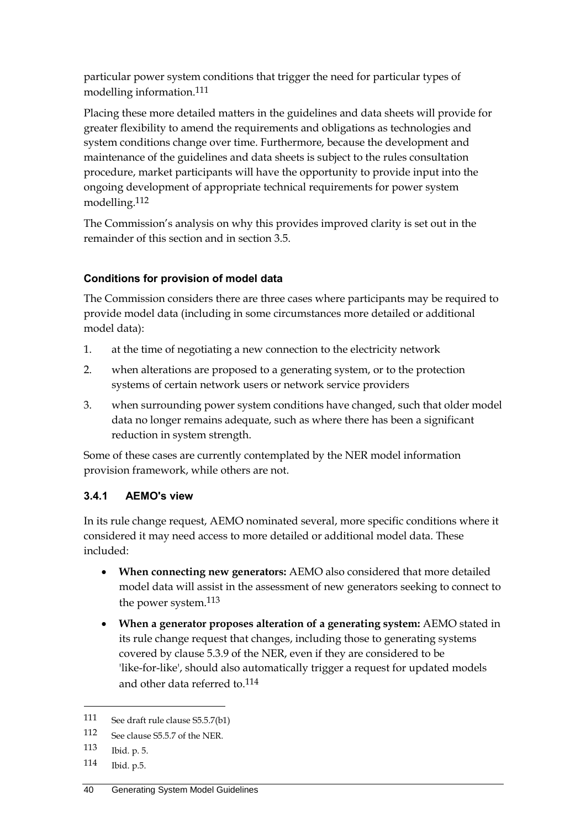particular power system conditions that trigger the need for particular types of modelling information.111

Placing these more detailed matters in the guidelines and data sheets will provide for greater flexibility to amend the requirements and obligations as technologies and system conditions change over time. Furthermore, because the development and maintenance of the guidelines and data sheets is subject to the rules consultation procedure, market participants will have the opportunity to provide input into the ongoing development of appropriate technical requirements for power system modelling.112

The Commission's analysis on why this provides improved clarity is set out in the remainder of this section and in section 3.5.

#### **Conditions for provision of model data**

The Commission considers there are three cases where participants may be required to provide model data (including in some circumstances more detailed or additional model data):

- 1. at the time of negotiating a new connection to the electricity network
- 2. when alterations are proposed to a generating system, or to the protection systems of certain network users or network service providers
- 3. when surrounding power system conditions have changed, such that older model data no longer remains adequate, such as where there has been a significant reduction in system strength.

Some of these cases are currently contemplated by the NER model information provision framework, while others are not.

## **3.4.1 AEMO's view**

In its rule change request, AEMO nominated several, more specific conditions where it considered it may need access to more detailed or additional model data. These included:

- **When connecting new generators:** AEMO also considered that more detailed model data will assist in the assessment of new generators seeking to connect to the power system.113
- **When a generator proposes alteration of a generating system:** AEMO stated in its rule change request that changes, including those to generating systems covered by clause 5.3.9 of the NER, even if they are considered to be 'like-for-like', should also automatically trigger a request for updated models and other data referred to.114

<sup>111</sup> See draft rule clause S5.5.7(b1)

<sup>112</sup> See clause S5.5.7 of the NER.

<sup>113</sup> Ibid. p. 5.

<sup>114</sup> Ibid. p.5.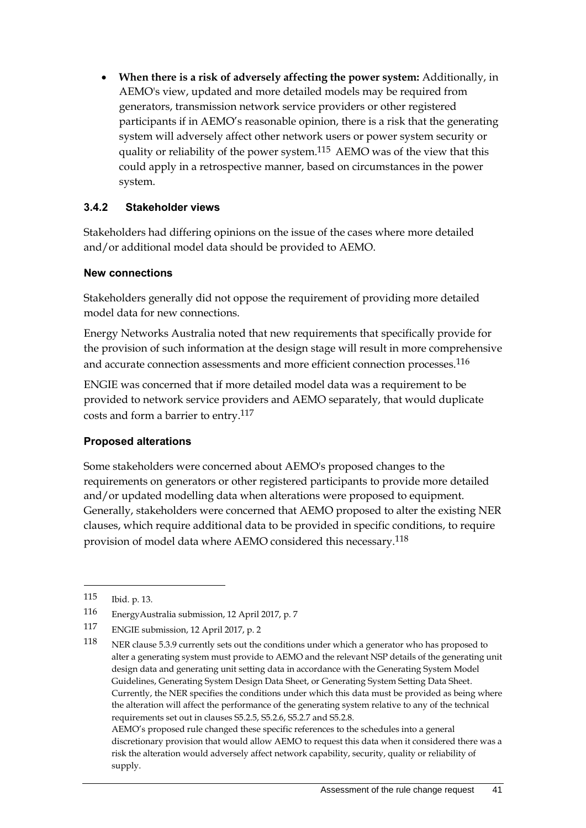**When there is a risk of adversely affecting the power system:** Additionally, in AEMO's view, updated and more detailed models may be required from generators, transmission network service providers or other registered participants if in AEMO's reasonable opinion, there is a risk that the generating system will adversely affect other network users or power system security or quality or reliability of the power system. 115 AEMO was of the view that this could apply in a retrospective manner, based on circumstances in the power system.

#### **3.4.2 Stakeholder views**

Stakeholders had differing opinions on the issue of the cases where more detailed and/or additional model data should be provided to AEMO.

#### **New connections**

Stakeholders generally did not oppose the requirement of providing more detailed model data for new connections.

Energy Networks Australia noted that new requirements that specifically provide for the provision of such information at the design stage will result in more comprehensive and accurate connection assessments and more efficient connection processes.<sup>116</sup>

ENGIE was concerned that if more detailed model data was a requirement to be provided to network service providers and AEMO separately, that would duplicate costs and form a barrier to entry.117

#### **Proposed alterations**

Some stakeholders were concerned about AEMO's proposed changes to the requirements on generators or other registered participants to provide more detailed and/or updated modelling data when alterations were proposed to equipment. Generally, stakeholders were concerned that AEMO proposed to alter the existing NER clauses, which require additional data to be provided in specific conditions, to require provision of model data where AEMO considered this necessary.118

<u>.</u>

AEMO's proposed rule changed these specific references to the schedules into a general discretionary provision that would allow AEMO to request this data when it considered there was a risk the alteration would adversely affect network capability, security, quality or reliability of supply.

<sup>115</sup> Ibid. p. 13.

<sup>116</sup> EnergyAustralia submission, 12 April 2017, p. 7

<sup>117</sup> ENGIE submission, 12 April 2017, p. 2

<sup>118</sup> NER clause 5.3.9 currently sets out the conditions under which a generator who has proposed to alter a generating system must provide to AEMO and the relevant NSP details of the generating unit design data and generating unit setting data in accordance with the Generating System Model Guidelines, Generating System Design Data Sheet, or Generating System Setting Data Sheet. Currently, the NER specifies the conditions under which this data must be provided as being where the alteration will affect the performance of the generating system relative to any of the technical requirements set out in clauses S5.2.5, S5.2.6, S5.2.7 and S5.2.8.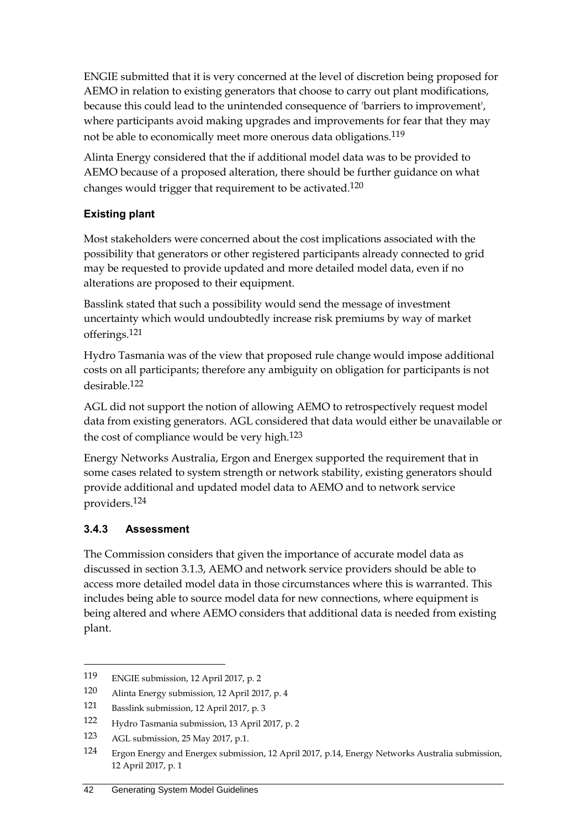ENGIE submitted that it is very concerned at the level of discretion being proposed for AEMO in relation to existing generators that choose to carry out plant modifications, because this could lead to the unintended consequence of 'barriers to improvement', where participants avoid making upgrades and improvements for fear that they may not be able to economically meet more onerous data obligations.119

Alinta Energy considered that the if additional model data was to be provided to AEMO because of a proposed alteration, there should be further guidance on what changes would trigger that requirement to be activated.120

# **Existing plant**

Most stakeholders were concerned about the cost implications associated with the possibility that generators or other registered participants already connected to grid may be requested to provide updated and more detailed model data, even if no alterations are proposed to their equipment.

Basslink stated that such a possibility would send the message of investment uncertainty which would undoubtedly increase risk premiums by way of market offerings.121

Hydro Tasmania was of the view that proposed rule change would impose additional costs on all participants; therefore any ambiguity on obligation for participants is not desirable.122

AGL did not support the notion of allowing AEMO to retrospectively request model data from existing generators. AGL considered that data would either be unavailable or the cost of compliance would be very high.123

Energy Networks Australia, Ergon and Energex supported the requirement that in some cases related to system strength or network stability, existing generators should provide additional and updated model data to AEMO and to network service providers. 124

## **3.4.3 Assessment**

<u>.</u>

The Commission considers that given the importance of accurate model data as discussed in section 3.1.3, AEMO and network service providers should be able to access more detailed model data in those circumstances where this is warranted. This includes being able to source model data for new connections, where equipment is being altered and where AEMO considers that additional data is needed from existing plant.

<sup>119</sup> ENGIE submission, 12 April 2017, p. 2

<sup>120</sup> Alinta Energy submission, 12 April 2017, p. 4

<sup>121</sup> Basslink submission, 12 April 2017, p. 3

<sup>122</sup> Hydro Tasmania submission, 13 April 2017, p. 2

<sup>123</sup> AGL submission, 25 May 2017, p.1.

<sup>124</sup> Ergon Energy and Energex submission, 12 April 2017, p.14, Energy Networks Australia submission, 12 April 2017, p. 1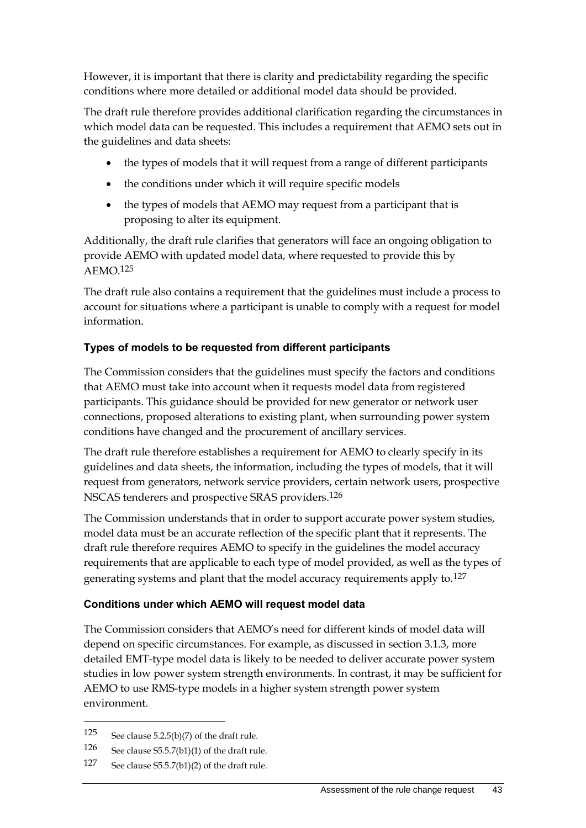However, it is important that there is clarity and predictability regarding the specific conditions where more detailed or additional model data should be provided.

The draft rule therefore provides additional clarification regarding the circumstances in which model data can be requested. This includes a requirement that AEMO sets out in the guidelines and data sheets:

- the types of models that it will request from a range of different participants
- the conditions under which it will require specific models
- the types of models that AEMO may request from a participant that is proposing to alter its equipment.

Additionally, the draft rule clarifies that generators will face an ongoing obligation to provide AEMO with updated model data, where requested to provide this by  $AEMO.125$ 

The draft rule also contains a requirement that the guidelines must include a process to account for situations where a participant is unable to comply with a request for model information.

#### **Types of models to be requested from different participants**

The Commission considers that the guidelines must specify the factors and conditions that AEMO must take into account when it requests model data from registered participants. This guidance should be provided for new generator or network user connections, proposed alterations to existing plant, when surrounding power system conditions have changed and the procurement of ancillary services.

The draft rule therefore establishes a requirement for AEMO to clearly specify in its guidelines and data sheets, the information, including the types of models, that it will request from generators, network service providers, certain network users, prospective NSCAS tenderers and prospective SRAS providers.126

The Commission understands that in order to support accurate power system studies, model data must be an accurate reflection of the specific plant that it represents. The draft rule therefore requires AEMO to specify in the guidelines the model accuracy requirements that are applicable to each type of model provided, as well as the types of generating systems and plant that the model accuracy requirements apply to.127

#### **Conditions under which AEMO will request model data**

The Commission considers that AEMO's need for different kinds of model data will depend on specific circumstances. For example, as discussed in section 3.1.3, more detailed EMT-type model data is likely to be needed to deliver accurate power system studies in low power system strength environments. In contrast, it may be sufficient for AEMO to use RMS-type models in a higher system strength power system environment.

<sup>125</sup> See clause 5.2.5(b)(7) of the draft rule.

<sup>126</sup> See clause S5.5.7(b1)(1) of the draft rule.

<sup>127</sup> See clause S5.5.7(b1)(2) of the draft rule.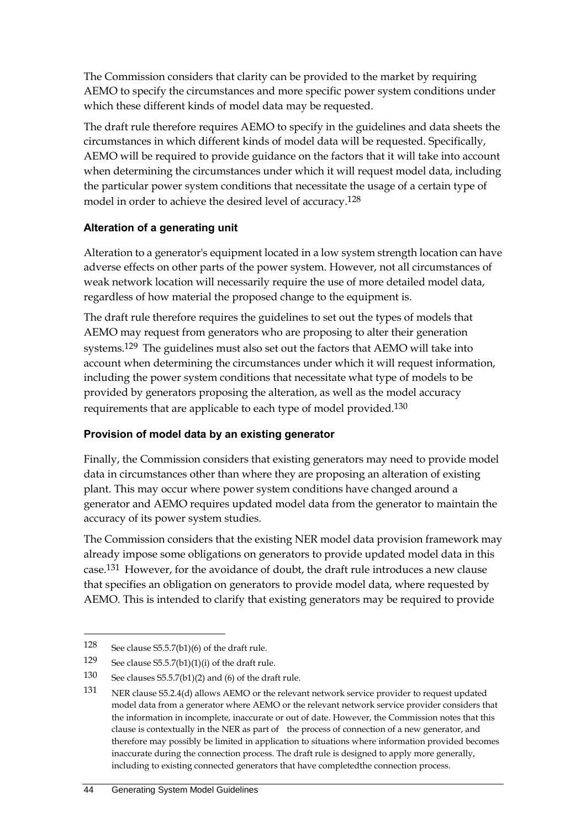The Commission considers that clarity can be provided to the market by requiring AEMO to specify the circumstances and more specific power system conditions under which these different kinds of model data may be requested.

The draft rule therefore requires AEMO to specify in the guidelines and data sheets the circumstances in which different kinds of model data will be requested. Specifically, AEMO will be required to provide guidance on the factors that it will take into account when determining the circumstances under which it will request model data, including the particular power system conditions that necessitate the usage of a certain type of model in order to achieve the desired level of accuracy. 128

#### **Alteration of a generating unit**

Alteration to a generator's equipment located in a low system strength location can have adverse effects on other parts of the power system. However, not all circumstances of weak network location will necessarily require the use of more detailed model data, regardless of how material the proposed change to the equipment is.

The draft rule therefore requires the guidelines to set out the types of models that AEMO may request from generators who are proposing to alter their generation systems.129 The guidelines must also set out the factors that AEMO will take into account when determining the circumstances under which it will request information, including the power system conditions that necessitate what type of models to be provided by generators proposing the alteration, as well as the model accuracy requirements that are applicable to each type of model provided.130

## **Provision of model data by an existing generator**

Finally, the Commission considers that existing generators may need to provide model data in circumstances other than where they are proposing an alteration of existing plant. This may occur where power system conditions have changed around a generator and AEMO requires updated model data from the generator to maintain the accuracy of its power system studies.

The Commission considers that the existing NER model data provision framework may already impose some obligations on generators to provide updated model data in this case.131 However, for the avoidance of doubt, the draft rule introduces a new clause that specifies an obligation on generators to provide model data, where requested by AEMO. This is intended to clarify that existing generators may be required to provide

<sup>128</sup> See clause S5.5.7(b1)(6) of the draft rule.

<sup>129</sup> See clause  $55.5.7(b1)(1)(i)$  of the draft rule.

<sup>130</sup> See clauses S5.5.7(b1)(2) and (6) of the draft rule.

<sup>131</sup> NER clause S5.2.4(d) allows AEMO or the relevant network service provider to request updated model data from a generator where AEMO or the relevant network service provider considers that the information in incomplete, inaccurate or out of date. However, the Commission notes that this clause is contextually in the NER as part of the process of connection of a new generator, and therefore may possibly be limited in application to situations where information provided becomes inaccurate during the connection process. The draft rule is designed to apply more generally, including to existing connected generators that have completedthe connection process.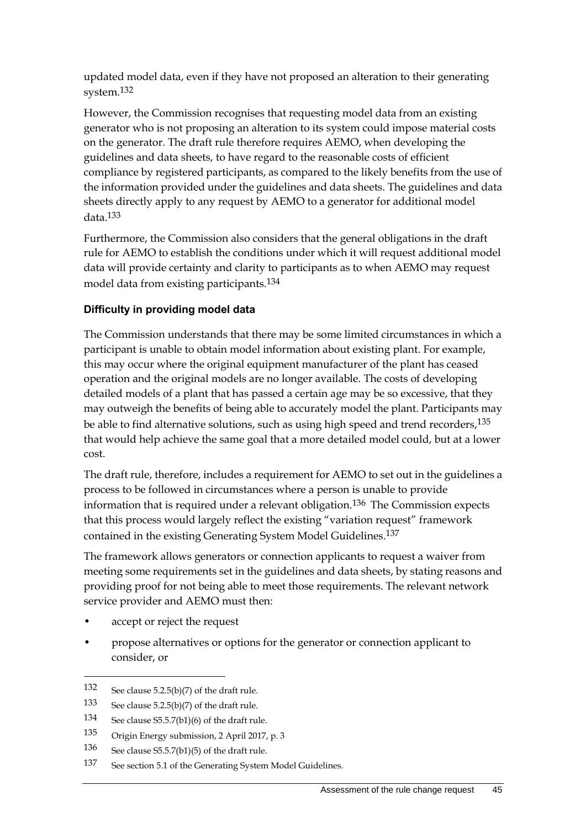updated model data, even if they have not proposed an alteration to their generating system.132

However, the Commission recognises that requesting model data from an existing generator who is not proposing an alteration to its system could impose material costs on the generator. The draft rule therefore requires AEMO, when developing the guidelines and data sheets, to have regard to the reasonable costs of efficient compliance by registered participants, as compared to the likely benefits from the use of the information provided under the guidelines and data sheets. The guidelines and data sheets directly apply to any request by AEMO to a generator for additional model data.133

Furthermore, the Commission also considers that the general obligations in the draft rule for AEMO to establish the conditions under which it will request additional model data will provide certainty and clarity to participants as to when AEMO may request model data from existing participants.134

#### **Difficulty in providing model data**

The Commission understands that there may be some limited circumstances in which a participant is unable to obtain model information about existing plant. For example, this may occur where the original equipment manufacturer of the plant has ceased operation and the original models are no longer available. The costs of developing detailed models of a plant that has passed a certain age may be so excessive, that they may outweigh the benefits of being able to accurately model the plant. Participants may be able to find alternative solutions, such as using high speed and trend recorders,<sup>135</sup> that would help achieve the same goal that a more detailed model could, but at a lower cost.

The draft rule, therefore, includes a requirement for AEMO to set out in the guidelines a process to be followed in circumstances where a person is unable to provide information that is required under a relevant obligation.136 The Commission expects that this process would largely reflect the existing "variation request" framework contained in the existing Generating System Model Guidelines.137

The framework allows generators or connection applicants to request a waiver from meeting some requirements set in the guidelines and data sheets, by stating reasons and providing proof for not being able to meet those requirements. The relevant network service provider and AEMO must then:

accept or reject the request

<u>.</u>

• propose alternatives or options for the generator or connection applicant to consider, or

<sup>132</sup> See clause 5.2.5(b)(7) of the draft rule.

<sup>133</sup> See clause 5.2.5(b)(7) of the draft rule.

<sup>134</sup> See clause S5.5.7(b1)(6) of the draft rule.

<sup>135</sup> Origin Energy submission, 2 April 2017, p. 3

<sup>136</sup> See clause S5.5.7(b1)(5) of the draft rule.

<sup>137</sup> See section 5.1 of the Generating System Model Guidelines.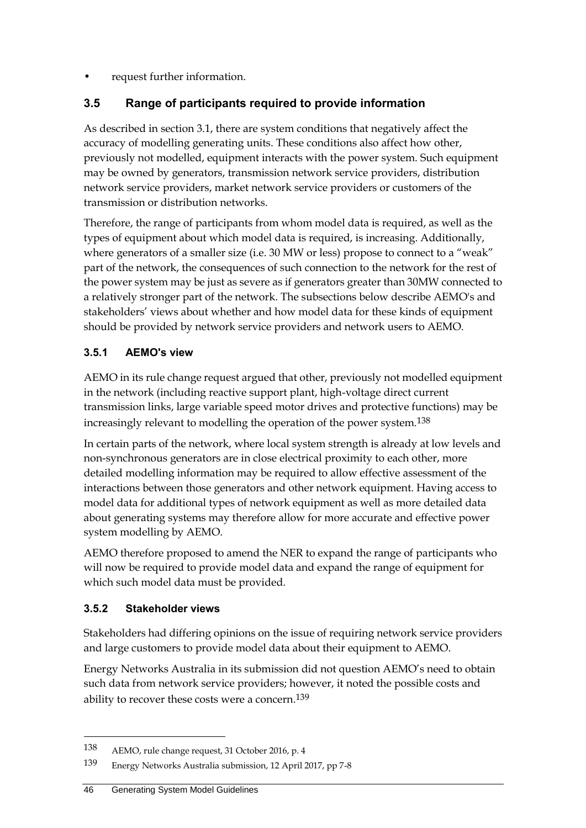• request further information.

## <span id="page-53-0"></span>**3.5 Range of participants required to provide information**

As described in section 3.1, there are system conditions that negatively affect the accuracy of modelling generating units. These conditions also affect how other, previously not modelled, equipment interacts with the power system. Such equipment may be owned by generators, transmission network service providers, distribution network service providers, market network service providers or customers of the transmission or distribution networks.

Therefore, the range of participants from whom model data is required, as well as the types of equipment about which model data is required, is increasing. Additionally, where generators of a smaller size (i.e. 30 MW or less) propose to connect to a "weak" part of the network, the consequences of such connection to the network for the rest of the power system may be just as severe as if generators greater than 30MW connected to a relatively stronger part of the network. The subsections below describe AEMO's and stakeholders' views about whether and how model data for these kinds of equipment should be provided by network service providers and network users to AEMO.

#### **3.5.1 AEMO's view**

AEMO in its rule change request argued that other, previously not modelled equipment in the network (including reactive support plant, high-voltage direct current transmission links, large variable speed motor drives and protective functions) may be increasingly relevant to modelling the operation of the power system.138

In certain parts of the network, where local system strength is already at low levels and non-synchronous generators are in close electrical proximity to each other, more detailed modelling information may be required to allow effective assessment of the interactions between those generators and other network equipment. Having access to model data for additional types of network equipment as well as more detailed data about generating systems may therefore allow for more accurate and effective power system modelling by AEMO.

AEMO therefore proposed to amend the NER to expand the range of participants who will now be required to provide model data and expand the range of equipment for which such model data must be provided.

#### **3.5.2 Stakeholder views**

1

Stakeholders had differing opinions on the issue of requiring network service providers and large customers to provide model data about their equipment to AEMO.

Energy Networks Australia in its submission did not question AEMO's need to obtain such data from network service providers; however, it noted the possible costs and ability to recover these costs were a concern.<sup>139</sup>

<sup>138</sup> AEMO, rule change request, 31 October 2016, p. 4

<sup>139</sup> Energy Networks Australia submission, 12 April 2017, pp 7-8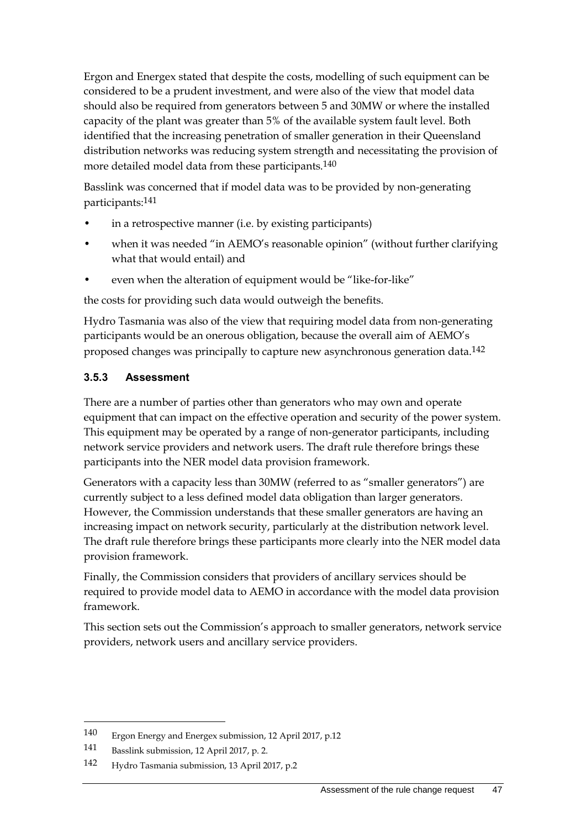Ergon and Energex stated that despite the costs, modelling of such equipment can be considered to be a prudent investment, and were also of the view that model data should also be required from generators between 5 and 30MW or where the installed capacity of the plant was greater than 5% of the available system fault level. Both identified that the increasing penetration of smaller generation in their Queensland distribution networks was reducing system strength and necessitating the provision of more detailed model data from these participants.<sup>140</sup>

Basslink was concerned that if model data was to be provided by non-generating participants:141

- in a retrospective manner (i.e. by existing participants)
- when it was needed "in AEMO's reasonable opinion" (without further clarifying what that would entail) and
- even when the alteration of equipment would be "like-for-like"

the costs for providing such data would outweigh the benefits.

Hydro Tasmania was also of the view that requiring model data from non-generating participants would be an onerous obligation, because the overall aim of AEMO's proposed changes was principally to capture new asynchronous generation data.142

#### **3.5.3 Assessment**

There are a number of parties other than generators who may own and operate equipment that can impact on the effective operation and security of the power system. This equipment may be operated by a range of non-generator participants, including network service providers and network users. The draft rule therefore brings these participants into the NER model data provision framework.

Generators with a capacity less than 30MW (referred to as "smaller generators") are currently subject to a less defined model data obligation than larger generators. However, the Commission understands that these smaller generators are having an increasing impact on network security, particularly at the distribution network level. The draft rule therefore brings these participants more clearly into the NER model data provision framework.

Finally, the Commission considers that providers of ancillary services should be required to provide model data to AEMO in accordance with the model data provision framework.

This section sets out the Commission's approach to smaller generators, network service providers, network users and ancillary service providers.

<sup>140</sup> Ergon Energy and Energex submission, 12 April 2017, p.12

<sup>141</sup> Basslink submission, 12 April 2017, p. 2.

<sup>142</sup> Hydro Tasmania submission, 13 April 2017, p.2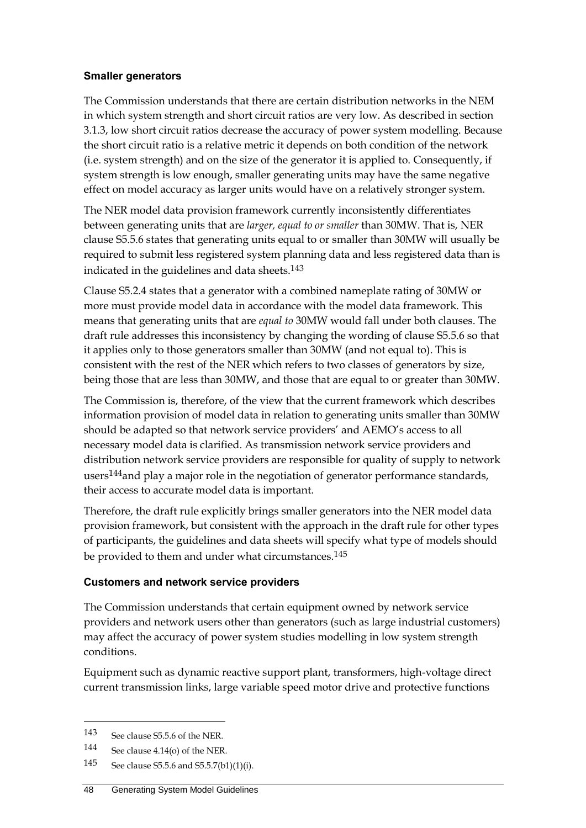#### **Smaller generators**

The Commission understands that there are certain distribution networks in the NEM in which system strength and short circuit ratios are very low. As described in section 3.1.3, low short circuit ratios decrease the accuracy of power system modelling. Because the short circuit ratio is a relative metric it depends on both condition of the network (i.e. system strength) and on the size of the generator it is applied to. Consequently, if system strength is low enough, smaller generating units may have the same negative effect on model accuracy as larger units would have on a relatively stronger system.

The NER model data provision framework currently inconsistently differentiates between generating units that are *larger, equal to or smaller* than 30MW. That is, NER clause S5.5.6 states that generating units equal to or smaller than 30MW will usually be required to submit less registered system planning data and less registered data than is indicated in the guidelines and data sheets.143

Clause S5.2.4 states that a generator with a combined nameplate rating of 30MW or more must provide model data in accordance with the model data framework. This means that generating units that are *equal to* 30MW would fall under both clauses. The draft rule addresses this inconsistency by changing the wording of clause S5.5.6 so that it applies only to those generators smaller than 30MW (and not equal to). This is consistent with the rest of the NER which refers to two classes of generators by size, being those that are less than 30MW, and those that are equal to or greater than 30MW.

The Commission is, therefore, of the view that the current framework which describes information provision of model data in relation to generating units smaller than 30MW should be adapted so that network service providers' and AEMO's access to all necessary model data is clarified. As transmission network service providers and distribution network service providers are responsible for quality of supply to network users<sup>144</sup>and play a major role in the negotiation of generator performance standards, their access to accurate model data is important.

Therefore, the draft rule explicitly brings smaller generators into the NER model data provision framework, but consistent with the approach in the draft rule for other types of participants, the guidelines and data sheets will specify what type of models should be provided to them and under what circumstances.<sup>145</sup>

#### **Customers and network service providers**

The Commission understands that certain equipment owned by network service providers and network users other than generators (such as large industrial customers) may affect the accuracy of power system studies modelling in low system strength conditions.

Equipment such as dynamic reactive support plant, transformers, high-voltage direct current transmission links, large variable speed motor drive and protective functions

<sup>143</sup> See clause S5.5.6 of the NER.

<sup>144</sup> See clause 4.14(o) of the NER.

<sup>145</sup> See clause S5.5.6 and S5.5.7(b1)(1)(i).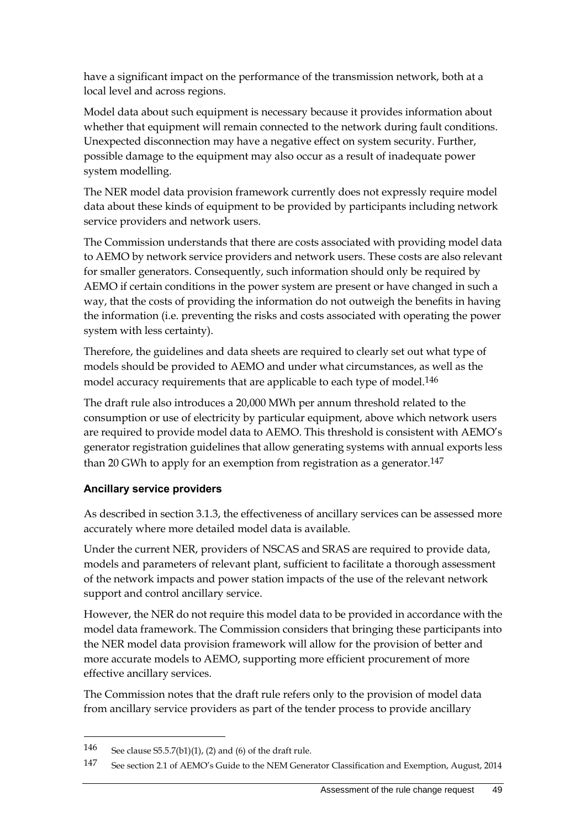have a significant impact on the performance of the transmission network, both at a local level and across regions.

Model data about such equipment is necessary because it provides information about whether that equipment will remain connected to the network during fault conditions. Unexpected disconnection may have a negative effect on system security. Further, possible damage to the equipment may also occur as a result of inadequate power system modelling.

The NER model data provision framework currently does not expressly require model data about these kinds of equipment to be provided by participants including network service providers and network users.

The Commission understands that there are costs associated with providing model data to AEMO by network service providers and network users. These costs are also relevant for smaller generators. Consequently, such information should only be required by AEMO if certain conditions in the power system are present or have changed in such a way, that the costs of providing the information do not outweigh the benefits in having the information (i.e. preventing the risks and costs associated with operating the power system with less certainty).

Therefore, the guidelines and data sheets are required to clearly set out what type of models should be provided to AEMO and under what circumstances, as well as the model accuracy requirements that are applicable to each type of model.<sup>146</sup>

The draft rule also introduces a 20,000 MWh per annum threshold related to the consumption or use of electricity by particular equipment, above which network users are required to provide model data to AEMO. This threshold is consistent with AEMO's generator registration guidelines that allow generating systems with annual exports less than 20 GWh to apply for an exemption from registration as a generator.<sup>147</sup>

#### **Ancillary service providers**

As described in section 3.1.3, the effectiveness of ancillary services can be assessed more accurately where more detailed model data is available.

Under the current NER, providers of NSCAS and SRAS are required to provide data, models and parameters of relevant plant, sufficient to facilitate a thorough assessment of the network impacts and power station impacts of the use of the relevant network support and control ancillary service.

However, the NER do not require this model data to be provided in accordance with the model data framework. The Commission considers that bringing these participants into the NER model data provision framework will allow for the provision of better and more accurate models to AEMO, supporting more efficient procurement of more effective ancillary services.

The Commission notes that the draft rule refers only to the provision of model data from ancillary service providers as part of the tender process to provide ancillary

1

<sup>146</sup> See clause  $S5.5.7(b1)(1)$ , (2) and (6) of the draft rule.

<sup>147</sup> See section 2.1 of AEMO's Guide to the NEM Generator Classification and Exemption, August, 2014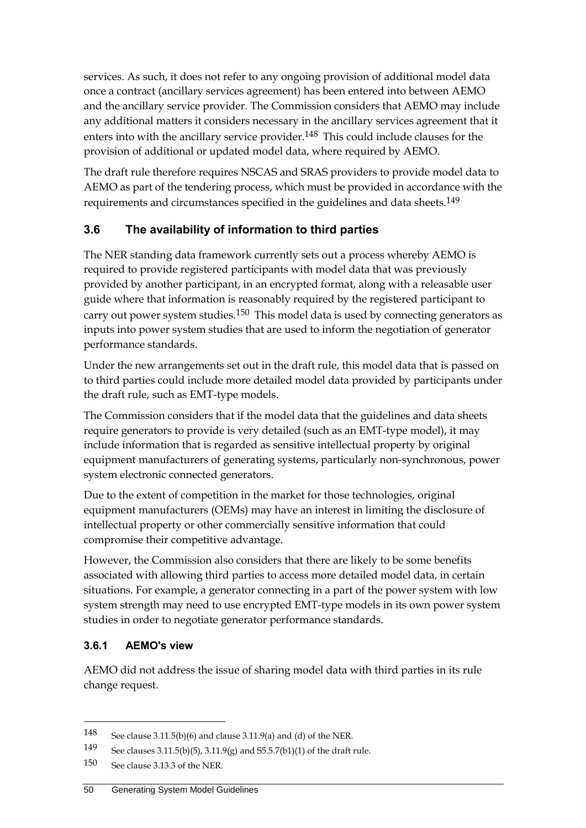services. As such, it does not refer to any ongoing provision of additional model data once a contract (ancillary services agreement) has been entered into between AEMO and the ancillary service provider. The Commission considers that AEMO may include any additional matters it considers necessary in the ancillary services agreement that it enters into with the ancillary service provider.<sup>148</sup> This could include clauses for the provision of additional or updated model data, where required by AEMO.

The draft rule therefore requires NSCAS and SRAS providers to provide model data to AEMO as part of the tendering process, which must be provided in accordance with the requirements and circumstances specified in the guidelines and data sheets. 149

# <span id="page-57-0"></span>**3.6 The availability of information to third parties**

The NER standing data framework currently sets out a process whereby AEMO is required to provide registered participants with model data that was previously provided by another participant, in an encrypted format, along with a releasable user guide where that information is reasonably required by the registered participant to carry out power system studies.<sup>150</sup> This model data is used by connecting generators as inputs into power system studies that are used to inform the negotiation of generator performance standards.

Under the new arrangements set out in the draft rule, this model data that is passed on to third parties could include more detailed model data provided by participants under the draft rule, such as EMT-type models.

The Commission considers that if the model data that the guidelines and data sheets require generators to provide is very detailed (such as an EMT-type model), it may include information that is regarded as sensitive intellectual property by original equipment manufacturers of generating systems, particularly non-synchronous, power system electronic connected generators.

Due to the extent of competition in the market for those technologies, original equipment manufacturers (OEMs) may have an interest in limiting the disclosure of intellectual property or other commercially sensitive information that could compromise their competitive advantage.

However, the Commission also considers that there are likely to be some benefits associated with allowing third parties to access more detailed model data, in certain situations. For example, a generator connecting in a part of the power system with low system strength may need to use encrypted EMT-type models in its own power system studies in order to negotiate generator performance standards.

## **3.6.1 AEMO's view**

<u>.</u>

AEMO did not address the issue of sharing model data with third parties in its rule change request.

<sup>148</sup> See clause 3.11.5(b)(6) and clause 3.11.9(a) and (d) of the NER.

<sup>149</sup> See clauses 3.11.5(b)(5), 3.11.9(g) and S5.5.7(b1)(1) of the draft rule.

<sup>150</sup> See clause 3.13.3 of the NER.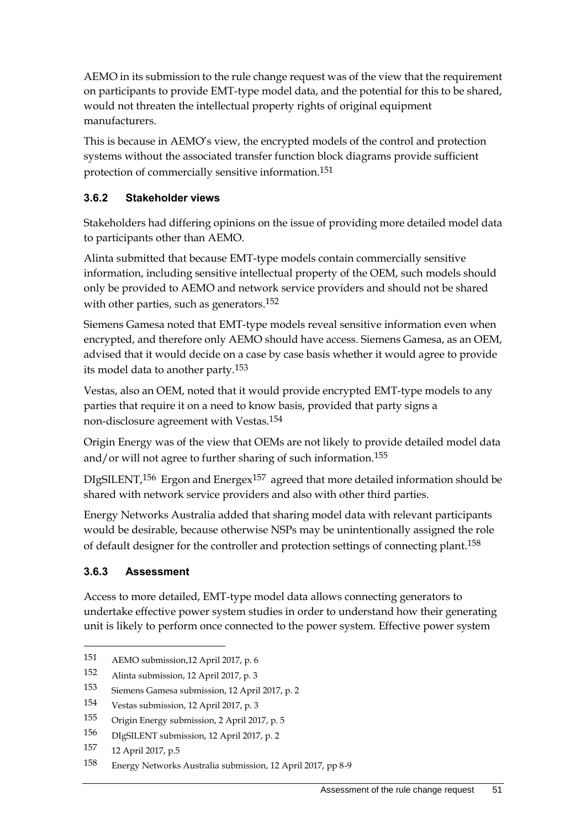AEMO in its submission to the rule change request was of the view that the requirement on participants to provide EMT-type model data, and the potential for this to be shared, would not threaten the intellectual property rights of original equipment manufacturers.

This is because in AEMO's view, the encrypted models of the control and protection systems without the associated transfer function block diagrams provide sufficient protection of commercially sensitive information.151

### **3.6.2 Stakeholder views**

Stakeholders had differing opinions on the issue of providing more detailed model data to participants other than AEMO.

Alinta submitted that because EMT-type models contain commercially sensitive information, including sensitive intellectual property of the OEM, such models should only be provided to AEMO and network service providers and should not be shared with other parties, such as generators.<sup>152</sup>

Siemens Gamesa noted that EMT-type models reveal sensitive information even when encrypted, and therefore only AEMO should have access. Siemens Gamesa, as an OEM, advised that it would decide on a case by case basis whether it would agree to provide its model data to another party.153

Vestas, also an OEM, noted that it would provide encrypted EMT-type models to any parties that require it on a need to know basis, provided that party signs a non-disclosure agreement with Vestas.154

Origin Energy was of the view that OEMs are not likely to provide detailed model data and/or will not agree to further sharing of such information.<sup>155</sup>

DIgSILENT,156 Ergon and Energex157 agreed that more detailed information should be shared with network service providers and also with other third parties.

Energy Networks Australia added that sharing model data with relevant participants would be desirable, because otherwise NSPs may be unintentionally assigned the role of default designer for the controller and protection settings of connecting plant.158

#### **3.6.3 Assessment**

<u>.</u>

Access to more detailed, EMT-type model data allows connecting generators to undertake effective power system studies in order to understand how their generating unit is likely to perform once connected to the power system. Effective power system

<sup>151</sup> AEMO submission,12 April 2017, p. 6

<sup>152</sup> Alinta submission, 12 April 2017, p. 3

<sup>153</sup> Siemens Gamesa submission, 12 April 2017, p. 2

<sup>154</sup> Vestas submission, 12 April 2017, p. 3

<sup>155</sup> Origin Energy submission, 2 April 2017, p. 5

<sup>156</sup> DIgSILENT submission, 12 April 2017, p. 2

<sup>157</sup> 12 April 2017, p.5

<sup>158</sup> Energy Networks Australia submission, 12 April 2017, pp 8-9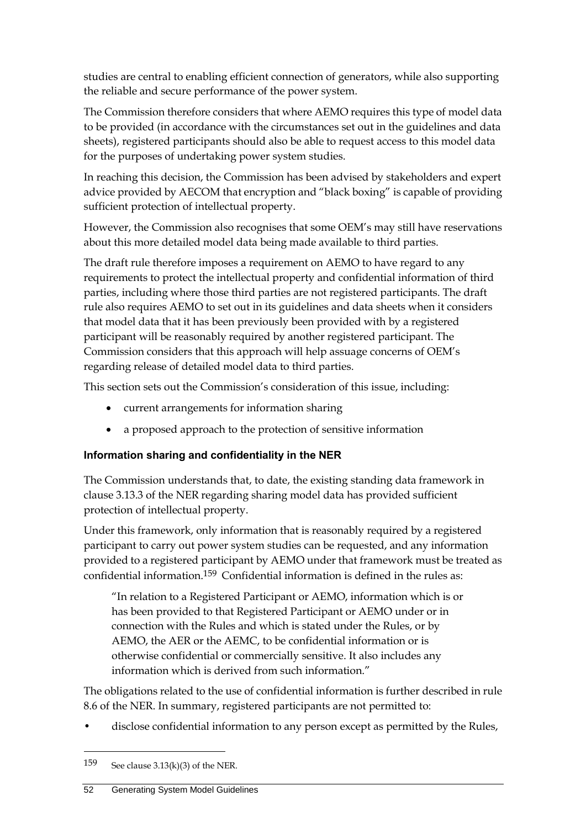studies are central to enabling efficient connection of generators, while also supporting the reliable and secure performance of the power system.

The Commission therefore considers that where AEMO requires this type of model data to be provided (in accordance with the circumstances set out in the guidelines and data sheets), registered participants should also be able to request access to this model data for the purposes of undertaking power system studies.

In reaching this decision, the Commission has been advised by stakeholders and expert advice provided by AECOM that encryption and "black boxing" is capable of providing sufficient protection of intellectual property.

However, the Commission also recognises that some OEM's may still have reservations about this more detailed model data being made available to third parties.

The draft rule therefore imposes a requirement on AEMO to have regard to any requirements to protect the intellectual property and confidential information of third parties, including where those third parties are not registered participants. The draft rule also requires AEMO to set out in its guidelines and data sheets when it considers that model data that it has been previously been provided with by a registered participant will be reasonably required by another registered participant. The Commission considers that this approach will help assuage concerns of OEM's regarding release of detailed model data to third parties.

This section sets out the Commission's consideration of this issue, including:

- current arrangements for information sharing
- a proposed approach to the protection of sensitive information

## **Information sharing and confidentiality in the NER**

The Commission understands that, to date, the existing standing data framework in clause 3.13.3 of the NER regarding sharing model data has provided sufficient protection of intellectual property.

Under this framework, only information that is reasonably required by a registered participant to carry out power system studies can be requested, and any information provided to a registered participant by AEMO under that framework must be treated as confidential information.159 Confidential information is defined in the rules as:

"In relation to a Registered Participant or AEMO, information which is or has been provided to that Registered Participant or AEMO under or in connection with the Rules and which is stated under the Rules, or by AEMO, the AER or the AEMC, to be confidential information or is otherwise confidential or commercially sensitive. It also includes any information which is derived from such information."

The obligations related to the use of confidential information is further described in rule 8.6 of the NER. In summary, registered participants are not permitted to:

• disclose confidential information to any person except as permitted by the Rules,

1

<sup>159</sup> See clause  $3.13(k)(3)$  of the NER.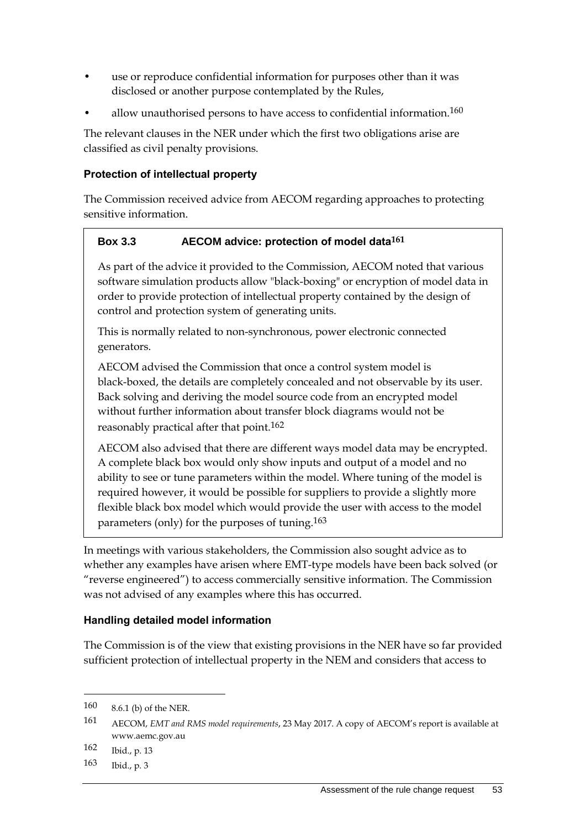- use or reproduce confidential information for purposes other than it was disclosed or another purpose contemplated by the Rules,
- allow unauthorised persons to have access to confidential information.<sup>160</sup>

The relevant clauses in the NER under which the first two obligations arise are classified as civil penalty provisions.

#### **Protection of intellectual property**

The Commission received advice from AECOM regarding approaches to protecting sensitive information.

#### **Box 3.3 AECOM advice: protection of model data161**

As part of the advice it provided to the Commission, AECOM noted that various software simulation products allow "black-boxing" or encryption of model data in order to provide protection of intellectual property contained by the design of control and protection system of generating units.

This is normally related to non-synchronous, power electronic connected generators.

AECOM advised the Commission that once a control system model is black-boxed, the details are completely concealed and not observable by its user. Back solving and deriving the model source code from an encrypted model without further information about transfer block diagrams would not be reasonably practical after that point.<sup>162</sup>

AECOM also advised that there are different ways model data may be encrypted. A complete black box would only show inputs and output of a model and no ability to see or tune parameters within the model. Where tuning of the model is required however, it would be possible for suppliers to provide a slightly more flexible black box model which would provide the user with access to the model parameters (only) for the purposes of tuning.163

In meetings with various stakeholders, the Commission also sought advice as to whether any examples have arisen where EMT-type models have been back solved (or "reverse engineered") to access commercially sensitive information. The Commission was not advised of any examples where this has occurred.

#### **Handling detailed model information**

The Commission is of the view that existing provisions in the NER have so far provided sufficient protection of intellectual property in the NEM and considers that access to

<sup>160</sup> 8.6.1 (b) of the NER.

<sup>161</sup> AECOM, *EMT and RMS model requirements*, 23 May 2017. A copy of AECOM's report is available at www.aemc.gov.au

<sup>162</sup> Ibid., p. 13

<sup>163</sup> Ibid., p. 3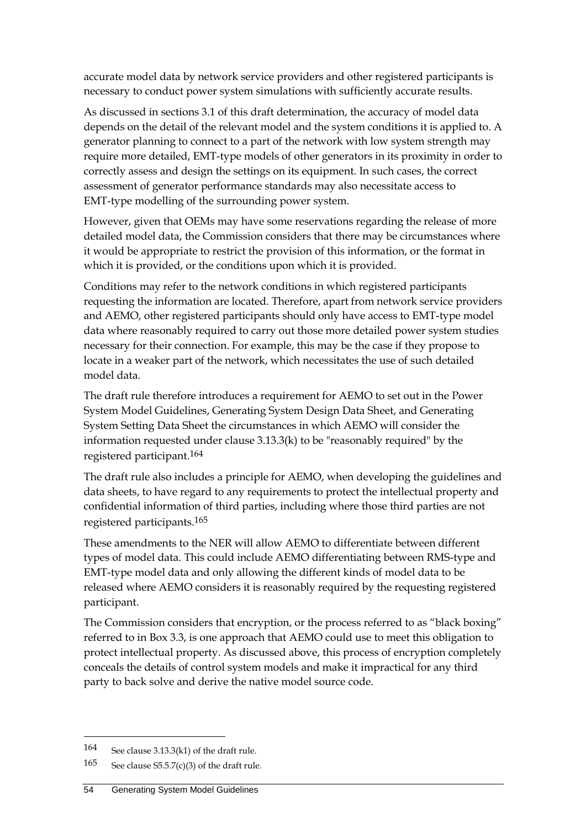accurate model data by network service providers and other registered participants is necessary to conduct power system simulations with sufficiently accurate results.

As discussed in sections 3.1 of this draft determination, the accuracy of model data depends on the detail of the relevant model and the system conditions it is applied to. A generator planning to connect to a part of the network with low system strength may require more detailed, EMT-type models of other generators in its proximity in order to correctly assess and design the settings on its equipment. In such cases, the correct assessment of generator performance standards may also necessitate access to EMT-type modelling of the surrounding power system.

However, given that OEMs may have some reservations regarding the release of more detailed model data, the Commission considers that there may be circumstances where it would be appropriate to restrict the provision of this information, or the format in which it is provided, or the conditions upon which it is provided.

Conditions may refer to the network conditions in which registered participants requesting the information are located. Therefore, apart from network service providers and AEMO, other registered participants should only have access to EMT-type model data where reasonably required to carry out those more detailed power system studies necessary for their connection. For example, this may be the case if they propose to locate in a weaker part of the network, which necessitates the use of such detailed model data.

The draft rule therefore introduces a requirement for AEMO to set out in the Power System Model Guidelines, Generating System Design Data Sheet, and Generating System Setting Data Sheet the circumstances in which AEMO will consider the information requested under clause 3.13.3(k) to be "reasonably required" by the registered participant.164

The draft rule also includes a principle for AEMO, when developing the guidelines and data sheets, to have regard to any requirements to protect the intellectual property and confidential information of third parties, including where those third parties are not registered participants.165

These amendments to the NER will allow AEMO to differentiate between different types of model data. This could include AEMO differentiating between RMS-type and EMT-type model data and only allowing the different kinds of model data to be released where AEMO considers it is reasonably required by the requesting registered participant.

The Commission considers that encryption, or the process referred to as "black boxing" referred to in Box 3.3, is one approach that AEMO could use to meet this obligation to protect intellectual property. As discussed above, this process of encryption completely conceals the details of control system models and make it impractical for any third party to back solve and derive the native model source code.

1

<sup>164</sup> See clause 3.13.3(k1) of the draft rule.

<sup>165</sup> See clause  $S5.5.7(c)(3)$  of the draft rule.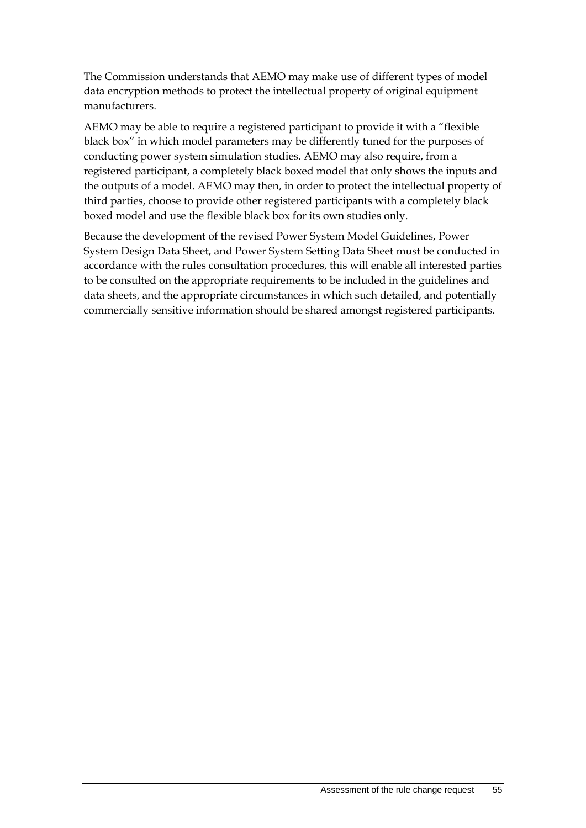The Commission understands that AEMO may make use of different types of model data encryption methods to protect the intellectual property of original equipment manufacturers.

AEMO may be able to require a registered participant to provide it with a "flexible black box" in which model parameters may be differently tuned for the purposes of conducting power system simulation studies. AEMO may also require, from a registered participant, a completely black boxed model that only shows the inputs and the outputs of a model. AEMO may then, in order to protect the intellectual property of third parties, choose to provide other registered participants with a completely black boxed model and use the flexible black box for its own studies only.

Because the development of the revised Power System Model Guidelines, Power System Design Data Sheet, and Power System Setting Data Sheet must be conducted in accordance with the rules consultation procedures, this will enable all interested parties to be consulted on the appropriate requirements to be included in the guidelines and data sheets, and the appropriate circumstances in which such detailed, and potentially commercially sensitive information should be shared amongst registered participants.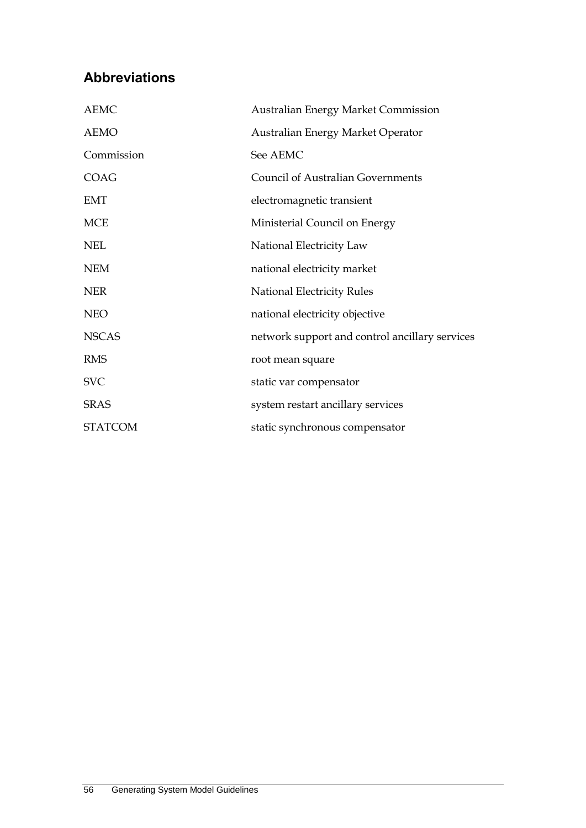# <span id="page-63-0"></span>**Abbreviations**

| <b>AEMC</b>    | <b>Australian Energy Market Commission</b>     |
|----------------|------------------------------------------------|
| <b>AEMO</b>    | Australian Energy Market Operator              |
| Commission     | See AEMC                                       |
| COAG           | <b>Council of Australian Governments</b>       |
| <b>EMT</b>     | electromagnetic transient                      |
| <b>MCE</b>     | Ministerial Council on Energy                  |
| <b>NEL</b>     | National Electricity Law                       |
| <b>NEM</b>     | national electricity market                    |
| <b>NER</b>     | <b>National Electricity Rules</b>              |
| <b>NEO</b>     | national electricity objective                 |
| <b>NSCAS</b>   | network support and control ancillary services |
| <b>RMS</b>     | root mean square                               |
| <b>SVC</b>     | static var compensator                         |
| <b>SRAS</b>    | system restart ancillary services              |
| <b>STATCOM</b> | static synchronous compensator                 |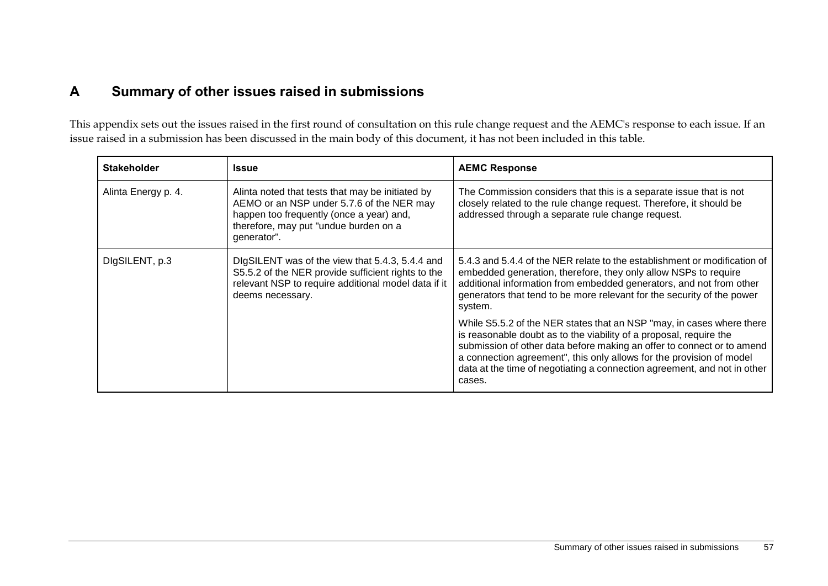# **A Summary of other issues raised in submissions**

This appendix sets out the issues raised in the first round of consultation on this rule change request and the AEMC's response to each issue. If an issue raised in a submission has been discussed in the main body of this document, it has not been included in this table.

<span id="page-64-0"></span>

| <b>Stakeholder</b>  | <b>Issue</b>                                                                                                                                                                                      | <b>AEMC Response</b>                                                                                                                                                                                                                                                                                                                                                                |
|---------------------|---------------------------------------------------------------------------------------------------------------------------------------------------------------------------------------------------|-------------------------------------------------------------------------------------------------------------------------------------------------------------------------------------------------------------------------------------------------------------------------------------------------------------------------------------------------------------------------------------|
| Alinta Energy p. 4. | Alinta noted that tests that may be initiated by<br>AEMO or an NSP under 5.7.6 of the NER may<br>happen too frequently (once a year) and,<br>therefore, may put "undue burden on a<br>generator". | The Commission considers that this is a separate issue that is not<br>closely related to the rule change request. Therefore, it should be<br>addressed through a separate rule change request.                                                                                                                                                                                      |
| DigSILENT, p.3      | DIgSILENT was of the view that 5.4.3, 5.4.4 and<br>S5.5.2 of the NER provide sufficient rights to the<br>relevant NSP to require additional model data if it<br>deems necessary.                  | 5.4.3 and 5.4.4 of the NER relate to the establishment or modification of<br>embedded generation, therefore, they only allow NSPs to require<br>additional information from embedded generators, and not from other<br>generators that tend to be more relevant for the security of the power<br>system.                                                                            |
|                     |                                                                                                                                                                                                   | While S5.5.2 of the NER states that an NSP "may, in cases where there<br>is reasonable doubt as to the viability of a proposal, require the<br>submission of other data before making an offer to connect or to amend<br>a connection agreement", this only allows for the provision of model<br>data at the time of negotiating a connection agreement, and not in other<br>cases. |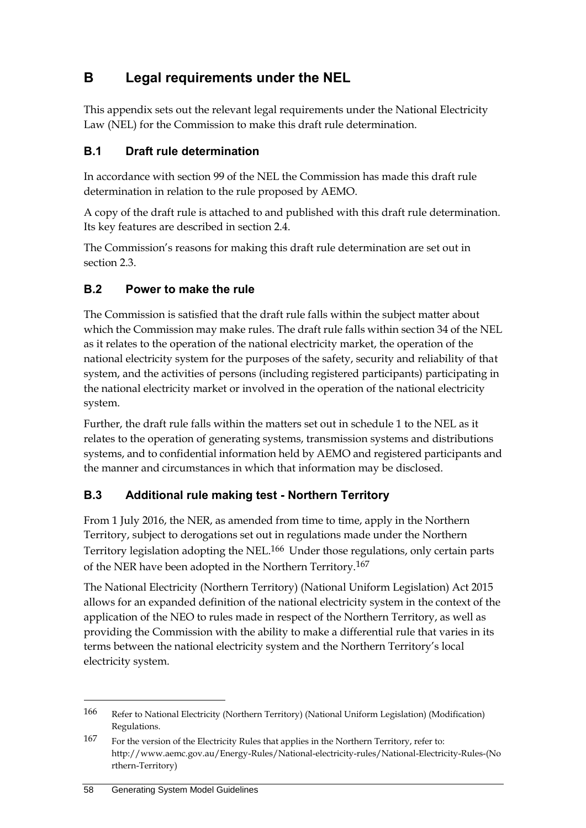# <span id="page-65-0"></span>**B Legal requirements under the NEL**

This appendix sets out the relevant legal requirements under the National Electricity Law (NEL) for the Commission to make this draft rule determination.

# <span id="page-65-1"></span>**B.1 Draft rule determination**

In accordance with section 99 of the NEL the Commission has made this draft rule determination in relation to the rule proposed by AEMO.

A copy of the draft rule is attached to and published with this draft rule determination. Its key features are described in section 2.4.

The Commission's reasons for making this draft rule determination are set out in section 2.3.

# <span id="page-65-2"></span>**B.2 Power to make the rule**

The Commission is satisfied that the draft rule falls within the subject matter about which the Commission may make rules. The draft rule falls within section 34 of the NEL as it relates to the operation of the national electricity market, the operation of the national electricity system for the purposes of the safety, security and reliability of that system, and the activities of persons (including registered participants) participating in the national electricity market or involved in the operation of the national electricity system.

Further, the draft rule falls within the matters set out in schedule 1 to the NEL as it relates to the operation of generating systems, transmission systems and distributions systems, and to confidential information held by AEMO and registered participants and the manner and circumstances in which that information may be disclosed.

# <span id="page-65-3"></span>**B.3 Additional rule making test - Northern Territory**

From 1 July 2016, the NER, as amended from time to time, apply in the Northern Territory, subject to derogations set out in regulations made under the Northern Territory legislation adopting the NEL.166 Under those regulations, only certain parts of the NER have been adopted in the Northern Territory.167

The National Electricity (Northern Territory) (National Uniform Legislation) Act 2015 allows for an expanded definition of the national electricity system in the context of the application of the NEO to rules made in respect of the Northern Territory, as well as providing the Commission with the ability to make a differential rule that varies in its terms between the national electricity system and the Northern Territory's local electricity system.

<sup>166</sup> Refer to National Electricity (Northern Territory) (National Uniform Legislation) (Modification) Regulations.

<sup>167</sup> For the version of the Electricity Rules that applies in the Northern Territory, refer to: http://www.aemc.gov.au/Energy-Rules/National-electricity-rules/National-Electricity-Rules-(No rthern-Territory)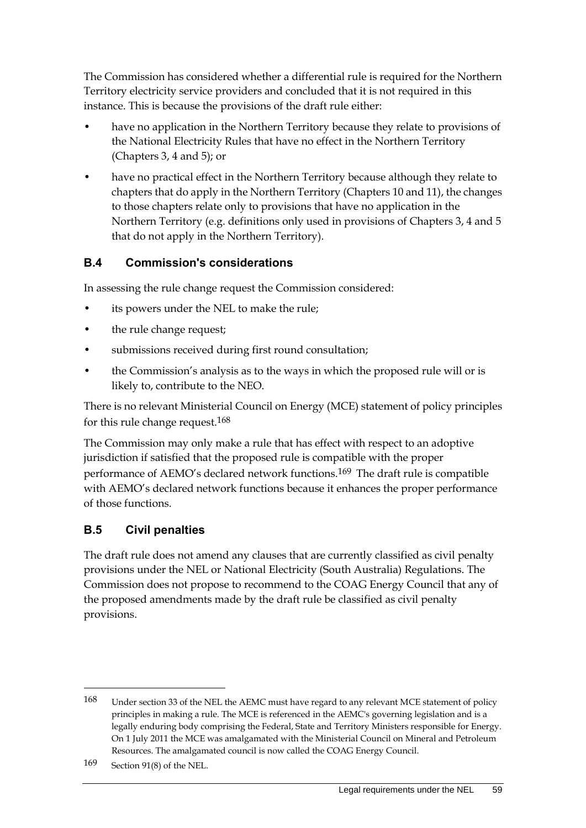The Commission has considered whether a differential rule is required for the Northern Territory electricity service providers and concluded that it is not required in this instance. This is because the provisions of the draft rule either:

- have no application in the Northern Territory because they relate to provisions of the National Electricity Rules that have no effect in the Northern Territory (Chapters 3, 4 and 5); or
- have no practical effect in the Northern Territory because although they relate to chapters that do apply in the Northern Territory (Chapters 10 and 11), the changes to those chapters relate only to provisions that have no application in the Northern Territory (e.g. definitions only used in provisions of Chapters 3, 4 and 5 that do not apply in the Northern Territory).

## <span id="page-66-0"></span>**B.4 Commission's considerations**

In assessing the rule change request the Commission considered:

- its powers under the NEL to make the rule;
- the rule change request;
- submissions received during first round consultation;
- the Commission's analysis as to the ways in which the proposed rule will or is likely to, contribute to the NEO.

There is no relevant Ministerial Council on Energy (MCE) statement of policy principles for this rule change request.168

The Commission may only make a rule that has effect with respect to an adoptive jurisdiction if satisfied that the proposed rule is compatible with the proper performance of AEMO's declared network functions.169 The draft rule is compatible with AEMO's declared network functions because it enhances the proper performance of those functions.

# <span id="page-66-1"></span>**B.5 Civil penalties**

The draft rule does not amend any clauses that are currently classified as civil penalty provisions under the NEL or National Electricity (South Australia) Regulations. The Commission does not propose to recommend to the COAG Energy Council that any of the proposed amendments made by the draft rule be classified as civil penalty provisions.

<sup>168</sup> Under section 33 of the NEL the AEMC must have regard to any relevant MCE statement of policy principles in making a rule. The MCE is referenced in the AEMC's governing legislation and is a legally enduring body comprising the Federal, State and Territory Ministers responsible for Energy. On 1 July 2011 the MCE was amalgamated with the Ministerial Council on Mineral and Petroleum Resources. The amalgamated council is now called the COAG Energy Council.

<sup>169</sup> Section 91(8) of the NEL.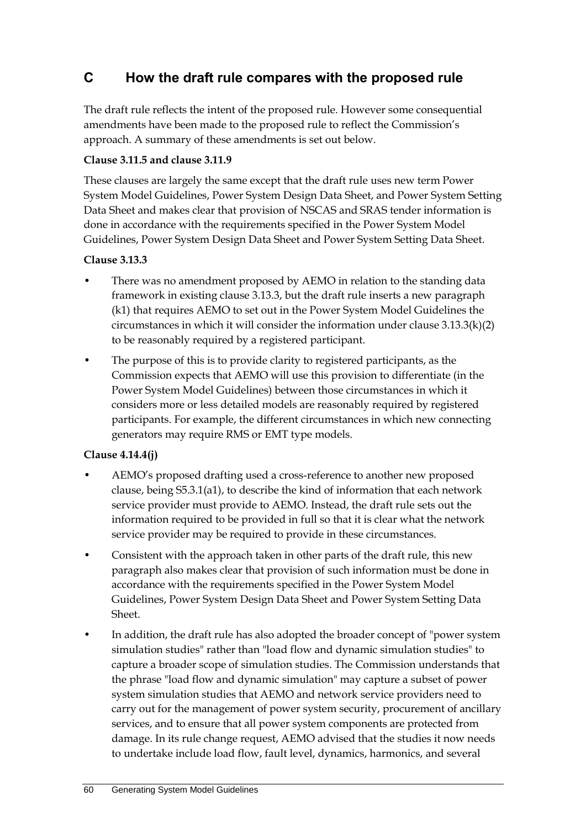# <span id="page-67-0"></span>**C How the draft rule compares with the proposed rule**

The draft rule reflects the intent of the proposed rule. However some consequential amendments have been made to the proposed rule to reflect the Commission's approach. A summary of these amendments is set out below.

#### **Clause 3.11.5 and clause 3.11.9**

These clauses are largely the same except that the draft rule uses new term Power System Model Guidelines, Power System Design Data Sheet, and Power System Setting Data Sheet and makes clear that provision of NSCAS and SRAS tender information is done in accordance with the requirements specified in the Power System Model Guidelines, Power System Design Data Sheet and Power System Setting Data Sheet.

#### **Clause 3.13.3**

- There was no amendment proposed by AEMO in relation to the standing data framework in existing clause 3.13.3, but the draft rule inserts a new paragraph (k1) that requires AEMO to set out in the Power System Model Guidelines the circumstances in which it will consider the information under clause  $3.13.3(k)(2)$ to be reasonably required by a registered participant.
- The purpose of this is to provide clarity to registered participants, as the Commission expects that AEMO will use this provision to differentiate (in the Power System Model Guidelines) between those circumstances in which it considers more or less detailed models are reasonably required by registered participants. For example, the different circumstances in which new connecting generators may require RMS or EMT type models.

#### **Clause 4.14.4(j)**

- AEMO's proposed drafting used a cross-reference to another new proposed clause, being S5.3.1(a1), to describe the kind of information that each network service provider must provide to AEMO. Instead, the draft rule sets out the information required to be provided in full so that it is clear what the network service provider may be required to provide in these circumstances.
- Consistent with the approach taken in other parts of the draft rule, this new paragraph also makes clear that provision of such information must be done in accordance with the requirements specified in the Power System Model Guidelines, Power System Design Data Sheet and Power System Setting Data Sheet.
- In addition, the draft rule has also adopted the broader concept of "power system simulation studies" rather than "load flow and dynamic simulation studies" to capture a broader scope of simulation studies. The Commission understands that the phrase "load flow and dynamic simulation" may capture a subset of power system simulation studies that AEMO and network service providers need to carry out for the management of power system security, procurement of ancillary services, and to ensure that all power system components are protected from damage. In its rule change request, AEMO advised that the studies it now needs to undertake include load flow, fault level, dynamics, harmonics, and several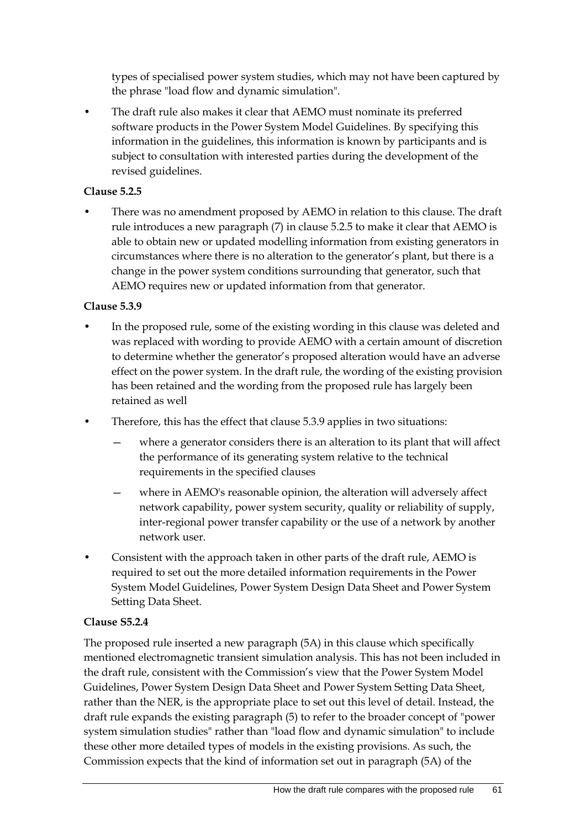types of specialised power system studies, which may not have been captured by the phrase "load flow and dynamic simulation".

The draft rule also makes it clear that AEMO must nominate its preferred software products in the Power System Model Guidelines. By specifying this information in the guidelines, this information is known by participants and is subject to consultation with interested parties during the development of the revised guidelines.

#### **Clause 5.2.5**

• There was no amendment proposed by AEMO in relation to this clause. The draft rule introduces a new paragraph (7) in clause 5.2.5 to make it clear that AEMO is able to obtain new or updated modelling information from existing generators in circumstances where there is no alteration to the generator's plant, but there is a change in the power system conditions surrounding that generator, such that AEMO requires new or updated information from that generator.

#### **Clause 5.3.9**

- In the proposed rule, some of the existing wording in this clause was deleted and was replaced with wording to provide AEMO with a certain amount of discretion to determine whether the generator's proposed alteration would have an adverse effect on the power system. In the draft rule, the wording of the existing provision has been retained and the wording from the proposed rule has largely been retained as well
- Therefore, this has the effect that clause 5.3.9 applies in two situations:
	- where a generator considers there is an alteration to its plant that will affect the performance of its generating system relative to the technical requirements in the specified clauses
	- where in AEMO's reasonable opinion, the alteration will adversely affect network capability, power system security, quality or reliability of supply, inter-regional power transfer capability or the use of a network by another network user.
- Consistent with the approach taken in other parts of the draft rule, AEMO is required to set out the more detailed information requirements in the Power System Model Guidelines, Power System Design Data Sheet and Power System Setting Data Sheet.

#### **Clause S5.2.4**

The proposed rule inserted a new paragraph (5A) in this clause which specifically mentioned electromagnetic transient simulation analysis. This has not been included in the draft rule, consistent with the Commission's view that the Power System Model Guidelines, Power System Design Data Sheet and Power System Setting Data Sheet, rather than the NER, is the appropriate place to set out this level of detail. Instead, the draft rule expands the existing paragraph (5) to refer to the broader concept of "power system simulation studies" rather than "load flow and dynamic simulation" to include these other more detailed types of models in the existing provisions. As such, the Commission expects that the kind of information set out in paragraph (5A) of the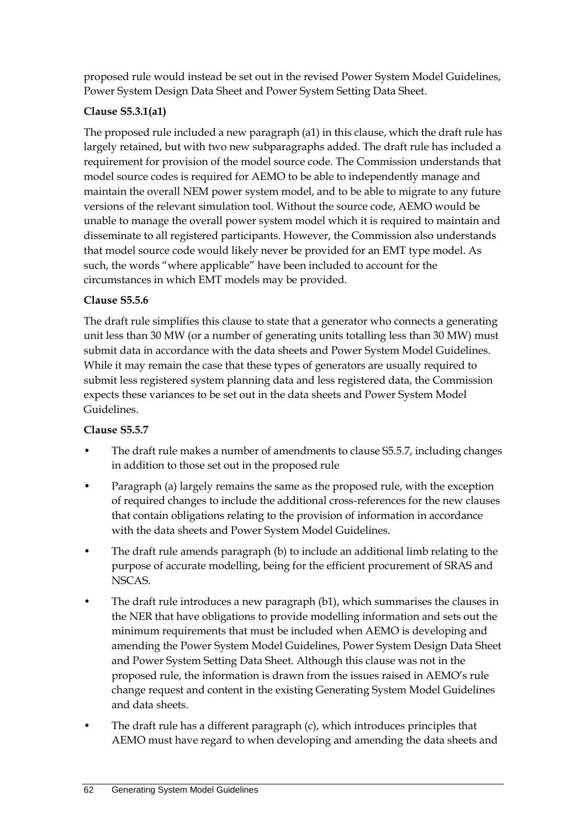proposed rule would instead be set out in the revised Power System Model Guidelines, Power System Design Data Sheet and Power System Setting Data Sheet.

#### **Clause S5.3.1(a1)**

The proposed rule included a new paragraph (a1) in this clause, which the draft rule has largely retained, but with two new subparagraphs added. The draft rule has included a requirement for provision of the model source code. The Commission understands that model source codes is required for AEMO to be able to independently manage and maintain the overall NEM power system model, and to be able to migrate to any future versions of the relevant simulation tool. Without the source code, AEMO would be unable to manage the overall power system model which it is required to maintain and disseminate to all registered participants. However, the Commission also understands that model source code would likely never be provided for an EMT type model. As such, the words "where applicable" have been included to account for the circumstances in which EMT models may be provided.

#### **Clause S5.5.6**

The draft rule simplifies this clause to state that a generator who connects a generating unit less than 30 MW (or a number of generating units totalling less than 30 MW) must submit data in accordance with the data sheets and Power System Model Guidelines. While it may remain the case that these types of generators are usually required to submit less registered system planning data and less registered data, the Commission expects these variances to be set out in the data sheets and Power System Model Guidelines.

#### **Clause S5.5.7**

- The draft rule makes a number of amendments to clause S5.5.7, including changes in addition to those set out in the proposed rule
- Paragraph (a) largely remains the same as the proposed rule, with the exception of required changes to include the additional cross-references for the new clauses that contain obligations relating to the provision of information in accordance with the data sheets and Power System Model Guidelines.
- The draft rule amends paragraph (b) to include an additional limb relating to the purpose of accurate modelling, being for the efficient procurement of SRAS and NSCAS.
- The draft rule introduces a new paragraph (b1), which summarises the clauses in the NER that have obligations to provide modelling information and sets out the minimum requirements that must be included when AEMO is developing and amending the Power System Model Guidelines, Power System Design Data Sheet and Power System Setting Data Sheet. Although this clause was not in the proposed rule, the information is drawn from the issues raised in AEMO's rule change request and content in the existing Generating System Model Guidelines and data sheets.
- The draft rule has a different paragraph (c), which introduces principles that AEMO must have regard to when developing and amending the data sheets and